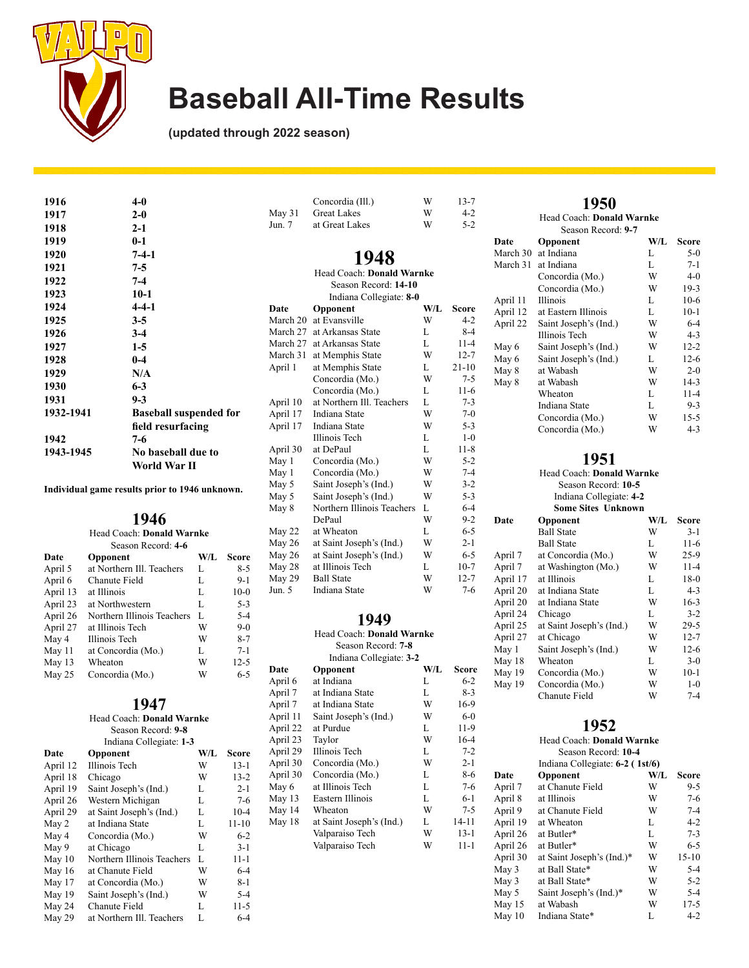

**(updated through 2022 season)**

| 1916      | $4-0$                         |
|-----------|-------------------------------|
| 1917      | $2-0$                         |
| 1918      | $2-1$                         |
| 1919      | $0 - 1$                       |
| 1920      | $7-4-1$                       |
| 1921      | 7-5                           |
| 1922      | $7 - 4$                       |
| 1923      | $10-1$                        |
| 1924      | $4 - 4 - 1$                   |
| 1925      | $3-5$                         |
| 1926      | $3-4$                         |
| 1927      | $1-5$                         |
| 1928      | $0 - 4$                       |
| 1929      | N/A                           |
| 1930      | $6 - 3$                       |
| 1931      | $9 - 3$                       |
| 1932-1941 | <b>Baseball suspended for</b> |
|           | field resurfacing             |
| 1942      | 7-6                           |
| 1943-1945 | No baseball due to            |
|           | World War II                  |

**Individual game results prior to 1946 unknown.**

### **1946**

| Head Coach: <b>Donald Warnke</b> |                            |     |          |  |
|----------------------------------|----------------------------|-----|----------|--|
|                                  | Season Record: 4-6         |     |          |  |
| Date                             | Opponent                   | W/L | Score    |  |
| April 5                          | at Northern Ill. Teachers  | L   | $8 - 5$  |  |
| April 6                          | Chanute Field              | L   | $9 - 1$  |  |
| April 13                         | at Illinois                | L   | $10-0$   |  |
| April 23                         | at Northwestern            | L   | $5 - 3$  |  |
| April 26                         | Northern Illinois Teachers | L   | $5 - 4$  |  |
| April 27                         | at Illinois Tech           | W   | $9-0$    |  |
| May 4                            | Illinois Tech              | W   | $8 - 7$  |  |
| May 11                           | at Concordia (Mo.)         | L   | $7 - 1$  |  |
| May 13                           | Wheaton                    | W   | $12 - 5$ |  |
| May 25                           | Concordia (Mo.)            | W   | $6 - 5$  |  |

### **1947**

Head Coach: **Donald Warnke** Season Record: **9-8** Indiana Collegiate: **1-3**

| Date     | Opponent                   | W/L | Score    |
|----------|----------------------------|-----|----------|
| April 12 | Illinois Tech              | W   | $13 - 1$ |
| April 18 | Chicago                    | W   | $13 - 2$ |
| April 19 | Saint Joseph's (Ind.)      | L   | $2 - 1$  |
| April 26 | Western Michigan           | L   | $7 - 6$  |
| April 29 | at Saint Joseph's (Ind.)   | L   | $10 - 4$ |
| May 2    | at Indiana State           | L   | 11-10    |
| May 4    | Concordia (Mo.)            | W   | $6-2$    |
| May 9    | at Chicago                 | L   | $3 - 1$  |
| May $10$ | Northern Illinois Teachers | L   | $11 - 1$ |
| May 16   | at Chanute Field           | W   | $6 - 4$  |
| May 17   | at Concordia (Mo.)         | W   | $8 - 1$  |
| May 19   | Saint Joseph's (Ind.)      | W   | $5 - 4$  |
| May 24   | Chanute Field              | L   | $11-5$   |
| May 29   | at Northern Ill. Teachers  | L   | $6 - 4$  |

|          | Concordia (Ill.)           | W   | $13 - 7$  |
|----------|----------------------------|-----|-----------|
| May 31   | <b>Great Lakes</b>         | W   | $4 - 2$   |
| Jun. 7   | at Great Lakes             | W   | $5 - 2$   |
|          | 1948                       |     |           |
|          | Head Coach: Donald Warnke  |     |           |
|          | Season Record: 14-10       |     |           |
|          | Indiana Collegiate: 8-0    |     |           |
| Date     | Opponent                   | W/L | Score     |
| March 20 | at Evansville              | W   | $4 - 2$   |
| March 27 | at Arkansas State          | L   | $8 - 4$   |
| March 27 | at Arkansas State          | L   | $11 - 4$  |
| March 31 | at Memphis State           | W   | $12 - 7$  |
| April 1  | at Memphis State           | L   | $21 - 10$ |
|          | Concordia (Mo.)            | W   | $7 - 5$   |
|          | Concordia (Mo.)            | L   | $11-6$    |
| April 10 | at Northern Ill. Teachers  | L   | $7 - 3$   |
| April 17 | Indiana State              | W   | $7-0$     |
| April 17 | Indiana State              | W   | $5 - 3$   |
|          | <b>Illinois</b> Tech       | L   | $1-0$     |
| April 30 | at DePaul                  | L   | $11 - 8$  |
| May 1    | Concordia (Mo.)            | W   | $5 - 2$   |
| May 1    | Concordia (Mo.)            | W   | $7 - 4$   |
| May 5    | Saint Joseph's (Ind.)      | W   | $3 - 2$   |
| May 5    | Saint Joseph's (Ind.)      | W   | $5 - 3$   |
| May 8    | Northern Illinois Teachers | L   | $6 - 4$   |
|          | DePaul                     | W   | $9 - 2$   |
| May 22   | at Wheaton                 | L   | $6 - 5$   |
| May 26   | at Saint Joseph's (Ind.)   | W   | $2 - 1$   |
| May 26   | at Saint Joseph's (Ind.)   | W   | $6 - 5$   |
| May 28   | at Illinois Tech           | L   | $10-7$    |
| May 29   | <b>Ball State</b>          | W   | $12 - 7$  |
| Jun. 5   | <b>Indiana State</b>       | W   | $7 - 6$   |
|          |                            |     |           |

### **1949**

|          | Head Coach: Donald Warnke |     |         |
|----------|---------------------------|-----|---------|
|          | Season Record: 7-8        |     |         |
|          | Indiana Collegiate: 3-2   |     |         |
| Date     | Opponent                  | W/L | Score   |
| April 6  | at Indiana                | L   | $6 - 2$ |
| April 7  | at Indiana State          | L   | $8 - 3$ |
| April 7  | at Indiana State          | W   | 16-9    |
| April 11 | Saint Joseph's (Ind.)     | W   | $6-0$   |
| April 22 | at Purdue                 | L   | $11-9$  |
| April 23 | Taylor                    | W   | $16-4$  |
| April 29 | Illinois Tech             | L   | $7 - 2$ |
| April 30 | Concordia (Mo.)           | W   | $2 - 1$ |
| April 30 | Concordia (Mo.)           | L   | $8-6$   |
| May 6    | at Illinois Tech          | L   | $7-6$   |
| May 13   | Eastern Illinois          | L   | $6-1$   |
| May 14   | Wheaton                   | W   | $7 - 5$ |
| May 18   | at Saint Joseph's (Ind.)  | L   | 14-11   |
|          | Valparaiso Tech           | W   | $13-1$  |
|          | Valparaiso Tech           | W   | 11-1    |
|          |                           |     |         |
|          |                           |     |         |

|          | 1950                      |     |          |
|----------|---------------------------|-----|----------|
|          | Head Coach: Donald Warnke |     |          |
|          | Season Record: 9-7        |     |          |
| Date     | Opponent                  | W/L | Score    |
| March 30 | at Indiana                | L   | $5-0$    |
| March 31 | at Indiana                | L   | $7 - 1$  |
|          | Concordia (Mo.)           | W   | $4-0$    |
|          | Concordia (Mo.)           | W   | $19-3$   |
| April 11 | <b>Illinois</b>           | L   | $10-6$   |
| April 12 | at Eastern Illinois       | L   | $10-1$   |
| April 22 | Saint Joseph's (Ind.)     | W   | $6 - 4$  |
|          | <b>Illinois</b> Tech      | W   | $4 - 3$  |
| May 6    | Saint Joseph's (Ind.)     | W   | $12 - 2$ |
| May 6    | Saint Joseph's (Ind.)     | L   | $12-6$   |
| May 8    | at Wabash                 | W   | $2 - 0$  |
| May 8    | at Wabash                 | W   | $14-3$   |
|          | Wheaton                   | L   | $11 - 4$ |
|          | Indiana State             | L   | $9 - 3$  |
|          | Concordia (Mo.)           | W   | $15 - 5$ |
|          | Concordia (Mo.)           | W   | $4 - 3$  |

### **1951**

| Head Coach: Donald Warnke |                          |     |              |
|---------------------------|--------------------------|-----|--------------|
| Season Record: 10-5       |                          |     |              |
|                           | Indiana Collegiate: 4-2  |     |              |
|                           | Some Sites Unknown       |     |              |
| Date                      | Opponent                 | W/L | <b>Score</b> |
|                           | <b>Ball State</b>        | W   | $3-1$        |
|                           | <b>Ball State</b>        | L   | $11-6$       |
| April 7                   | at Concordia (Mo.)       | W   | $25-9$       |
| April 7                   | at Washington (Mo.)      | W   | $11 - 4$     |
| April 17                  | at Illinois              | L   | $18-0$       |
| April 20                  | at Indiana State         | L   | $4 - 3$      |
| April 20                  | at Indiana State         | W   | $16-3$       |
| April 24                  | Chicago                  | L   | $3 - 2$      |
| April 25                  | at Saint Joseph's (Ind.) | W   | $29 - 5$     |
| April 27                  | at Chicago               | W   | $12 - 7$     |
| May 1                     | Saint Joseph's (Ind.)    | W   | $12-6$       |
| May 18                    | Wheaton                  | L   | $3-0$        |
| May 19                    | Concordia (Mo.)          | W   | $10-1$       |
| May 19                    | Concordia (Mo.)          | W   | $1 - 0$      |
|                           | Chanute Field            | W   | $7 - 4$      |

| Head Coach: <b>Donald Warnke</b> |                                 |     |           |
|----------------------------------|---------------------------------|-----|-----------|
|                                  | Season Record: 10-4             |     |           |
|                                  | Indiana Collegiate: 6-2 (1st/6) |     |           |
| Date                             | Opponent                        | W/L | Score     |
| April 7                          | at Chanute Field                | W   | $9 - 5$   |
| April 8                          | at Illinois                     | W   | $7-6$     |
| April 9                          | at Chanute Field                | W   | $7 - 4$   |
| April 19                         | at Wheaton                      | L   | $4 - 2$   |
| April 26                         | at Butler*                      | L   | $7 - 3$   |
| April 26                         | at Butler*                      | W   | $6 - 5$   |
| April 30                         | at Saint Joseph's (Ind.)*       | W   | $15 - 10$ |
| May 3                            | at Ball State*                  | W   | $5 - 4$   |
| May 3                            | at Ball State*                  | W   | $5 - 2$   |
| May 5                            | Saint Joseph's (Ind.)*          | W   | $5 - 4$   |
| May 15                           | at Wabash                       | W   | $17 - 5$  |
| May 10                           | Indiana State*                  | L   | $4-2$     |
|                                  |                                 |     |           |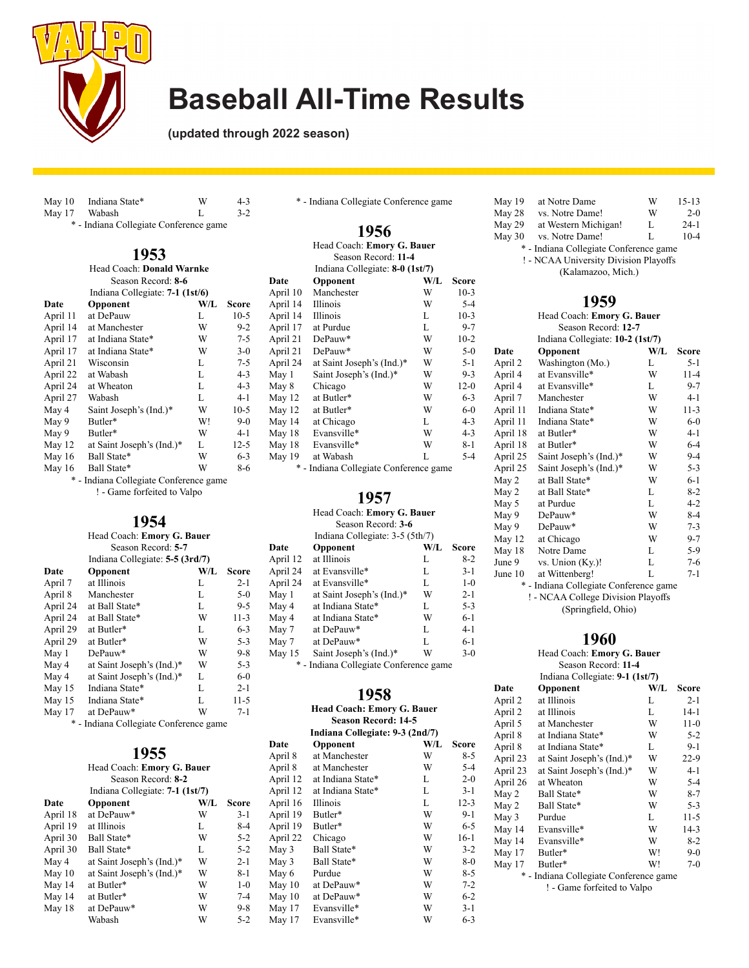

**(updated through 2022 season)**

| May 10 Indiana State* | w | $4 - 3$ |
|-----------------------|---|---------|
| May 17 Wabash         |   | $3 - 2$ |
|                       |   |         |

\* - Indiana Collegiate Conference game

| 1953                      |  |
|---------------------------|--|
| Head Coach: Donald Warnke |  |

| Season Record: 8-6                        |                           |     |          |
|-------------------------------------------|---------------------------|-----|----------|
| Indiana Collegiate: 7-1 (1st/6)           |                           |     |          |
| Date                                      | Opponent                  | W/L | Score    |
| April 11                                  | at DePauw                 | L   | $10-5$   |
| April 14                                  | at Manchester             | W   | $9-2$    |
| April 17                                  | at Indiana State*         | W   | $7 - 5$  |
| April 17                                  | at Indiana State*         | W   | $3-0$    |
| April 21                                  | Wisconsin                 | L   | $7 - 5$  |
| April 22                                  | at Wabash                 | L   | $4 - 3$  |
| April 24                                  | at Wheaton                | L   | $4 - 3$  |
| April 27                                  | Wabash                    | L   | $4 - 1$  |
| May 4                                     | Saint Joseph's (Ind.)*    | W   | $10-5$   |
| May 9                                     | Butler*                   | W!  | $9-0$    |
| May 9                                     | Butler*                   | W   | $4 - 1$  |
| May 12                                    | at Saint Joseph's (Ind.)* | L   | $12 - 5$ |
| May $16$                                  | Ball State*               | W   | $6 - 3$  |
| May 16                                    | Ball State*               | W   | 8-6      |
| *<br>- Indiana Collegiate Conference game |                           |     |          |

! - Game forfeited to Valpo

### **1954**

|                  | Head Coach: Emory G. Bauer                         |     |          |
|------------------|----------------------------------------------------|-----|----------|
|                  | Season Record: 5-7                                 |     |          |
|                  | Indiana Collegiate: 5-5 (3rd/7)                    |     |          |
| Date             | Opponent                                           | W/L | Score    |
| April 7          | at Illinois                                        | L   | $2 - 1$  |
| April 8          | Manchester                                         | L   | 5-0      |
| April 24         | at Ball State*                                     | L   | $9 - 5$  |
| April 24         | at Ball State*                                     | W   | $11-3$   |
| April 29         | at Butler*                                         | L   | $6 - 3$  |
| April 29         | at Butler*                                         | W   | $5 - 3$  |
| Max <sub>1</sub> | $\mathsf{D}_{\mathsf{P}}\mathsf{D}_{\mathsf{Q}11}$ | W   | $Q_{-}Q$ |

| April 24 | at Ball State*            | W | 11-3    |
|----------|---------------------------|---|---------|
| April 29 | at Butler*                | L | $6 - 3$ |
| April 29 | at Butler*                | W | $5 - 3$ |
| May 1    | DePauw*                   | W | $9 - 8$ |
| May 4    | at Saint Joseph's (Ind.)* | W | $5 - 3$ |
| May 4    | at Saint Joseph's (Ind.)* | L | $6-0$   |
| May 15   | Indiana State*            | L | $2 - 1$ |
| May 15   | Indiana State*            | L | $11-5$  |
| May 17   | at DePauw*                | W | $7 - 1$ |

\* - Indiana Collegiate Conference game

## **1955**

|          | Head Coach: Emory G. Bauer      |     |              |
|----------|---------------------------------|-----|--------------|
|          | Season Record: 8-2              |     |              |
|          | Indiana Collegiate: 7-1 (1st/7) |     |              |
| Date     | Opponent                        | W/L | <b>Score</b> |
| April 18 | at DePauw*                      | W   | $3-1$        |
| April 19 | at Illinois                     | L   | $8 - 4$      |
| April 30 | Ball State*                     | W   | $5 - 2$      |
| April 30 | Ball State*                     | L   | $5 - 2$      |
| May 4    | at Saint Joseph's (Ind.)*       | W   | $2 - 1$      |
| May $10$ | at Saint Joseph's (Ind.)*       | W   | $8 - 1$      |
| May 14   | at Butler*                      | W   | $1 - 0$      |
| May 14   | at Butler*                      | W   | $7 - 4$      |
| May 18   | at DePauw*                      | W   | 9-8          |
|          | Wabash                          | W   | $5 - 2$      |

|  |  | * - Indiana Collegiate Conference game |  |
|--|--|----------------------------------------|--|
|--|--|----------------------------------------|--|

### **1956**

| Head Coach: Emory G. Bauer |                                      |     |         |
|----------------------------|--------------------------------------|-----|---------|
| Season Record: 11-4        |                                      |     |         |
|                            | Indiana Collegiate: 8-0 (1st/7)      |     |         |
| Date                       | Opponent                             | W/L | Score   |
| April 10                   | Manchester                           | W   | $10-3$  |
| April 14                   | Illinois                             | W   | $5 - 4$ |
| April 14                   | Illinois                             | L   | $10-3$  |
| April 17                   | at Purdue                            | L   | $9 - 7$ |
| April 21                   | DePauw*                              | W   | $10-2$  |
| April 21                   | DePauw*                              | W   | $5-0$   |
| April 24                   | at Saint Joseph's (Ind.)*            | W   | $5 - 1$ |
| May 1                      | Saint Joseph's (Ind.)*               | W   | $9 - 3$ |
| May 8                      | Chicago                              | W   | $12-0$  |
| May 12                     | at Butler*                           | W   | $6 - 3$ |
| May 12                     | at Butler*                           | W   | $6-0$   |
| May 14                     | at Chicago                           | L   | $4 - 3$ |
| May 18                     | Evansville*                          | W   | $4 - 3$ |
| May 18                     | Evansville*                          | W   | 8-1     |
| May 19                     | at Wabash                            | L   | $5-4$   |
| *                          | - Indiana Collegiate Conference game |     |         |

Indiana Collegiate Conference game

#### **1957**

Head Coach: **Emory G. Bauer**

|                                 | Season Record: 3-6        |     |         |
|---------------------------------|---------------------------|-----|---------|
| Indiana Collegiate: 3-5 (5th/7) |                           |     |         |
| Date                            | Opponent                  | W/L | Score   |
| April 12                        | at Illinois               | L   | $8-2$   |
| April 24                        | at Evansville*            | L   | $3-1$   |
| April 24                        | at Evansville*            | L   | $1 - 0$ |
| May 1                           | at Saint Joseph's (Ind.)* | W   | $2 - 1$ |
| May 4                           | at Indiana State*         | L   | $5 - 3$ |
| May 4                           | at Indiana State*         | W   | $6-1$   |
| May 7                           | at DePauw*                | L   | 4-1     |
| May 7                           | at DePauw*                | L   | $6-1$   |
| May 15                          | Saint Joseph's (Ind.)*    | W   | $3-0$   |

#### **1958**

\* - Indiana Collegiate Conference game

May 15 Saint Joseph's (Ind.)\*

|          | <b>Head Coach: Emory G. Bauer</b> |     |              |
|----------|-----------------------------------|-----|--------------|
|          | <b>Season Record: 14-5</b>        |     |              |
|          | Indiana Collegiate: 9-3 (2nd/7)   |     |              |
| Date     | Opponent                          | W/L | <b>Score</b> |
| April 8  | at Manchester                     | W   | $8 - 5$      |
| April 8  | at Manchester                     | W   | $5 - 4$      |
| April 12 | at Indiana State*                 | L   | $2 - 0$      |
| April 12 | at Indiana State*                 | L   | $3-1$        |
| April 16 | Illinois                          | L   | $12 - 3$     |
| April 19 | Butler*                           | W   | $9-1$        |
| April 19 | Butler*                           | W   | $6 - 5$      |
| April 22 | Chicago                           | W   | $16-1$       |
| May 3    | Ball State*                       | W   | $3 - 2$      |
| May 3    | Ball State*                       | W   | $8-0$        |
| May 6    | Purdue                            | W   | $8 - 5$      |
| May 10   | at DePauw*                        | W   | $7 - 2$      |
| May 10   | at DePauw*                        | W   | $6 - 2$      |
| May 17   | Evansville*                       | W   | $3 - 1$      |
| May 17   | Evansville*                       | W   | $6 - 3$      |

| May 19 | at Notre Dame                          | W | $15 - 13$ |
|--------|----------------------------------------|---|-----------|
| May 28 | vs. Notre Dame!                        | W | $2-0$     |
| May 29 | at Western Michigan!                   | L | $24-1$    |
| May 30 | vs. Notre Dame!                        | L | $10 - 4$  |
|        | * - Indiana Collegiate Conference game |   |           |
|        | ! - NCAA University Division Playoffs  |   |           |

(Kalamazoo, Mich.)

## **1959**

| Head Coach: Emory G. Bauer         |                                      |     |          |  |
|------------------------------------|--------------------------------------|-----|----------|--|
| Season Record: 12-7                |                                      |     |          |  |
|                                    | Indiana Collegiate: 10-2 (1st/7)     |     |          |  |
| Date                               | Opponent                             | W/L | Score    |  |
| April 2                            | Washington (Mo.)                     | L   | $5 - 1$  |  |
| April 4                            | at Evansville*                       | W   | $11 - 4$ |  |
| April 4                            | at Evansville*                       | L   | $9 - 7$  |  |
| April 7                            | Manchester                           | W   | $4 - 1$  |  |
| April 11                           | Indiana State*                       | W   | $11-3$   |  |
| April 11                           | Indiana State*                       | W   | $6-0$    |  |
| April 18                           | at Butler*                           | W   | 4-1      |  |
| April 18                           | at Butler*                           | W   | $6 - 4$  |  |
| April 25                           | Saint Joseph's (Ind.)*               | W   | $9 - 4$  |  |
| April 25                           | Saint Joseph's (Ind.)*               | W   | $5 - 3$  |  |
| May 2                              | at Ball State*                       | W   | $6 - 1$  |  |
| May 2                              | at Ball State*                       | L   | $8-2$    |  |
| May 5                              | at Purdue                            | L   | 4-2      |  |
| May 9                              | DePauw*                              | W   | $8 - 4$  |  |
| May 9                              | $DePauw*$                            | W   | $7 - 3$  |  |
| May 12                             | at Chicago                           | W   | $9 - 7$  |  |
| May 18                             | Notre Dame                           | L   | 5-9      |  |
| June 9                             | vs. Union (Ky.)!                     | L   | $7-6$    |  |
| June 10                            | at Wittenberg!                       | L   | $7 - 1$  |  |
| *                                  | - Indiana Collegiate Conference game |     |          |  |
| ! - NCAA College Division Playoffs |                                      |     |          |  |

(Springfield, Ohio)

### **1960**

#### Head Coach: **Emory G. Bauer** Season Record: **11-4**

| Indiana Collegiate: 9-1 (1st/7) |                                        |     |          |
|---------------------------------|----------------------------------------|-----|----------|
| Date                            | Opponent                               | W/L | Score    |
| April 2                         | at Illinois                            | L   | $2 - 1$  |
| April 2                         | at Illinois                            | L   | $14-1$   |
| April 5                         | at Manchester                          | W   | $11-0$   |
| April 8                         | at Indiana State*                      | W   | $5 - 2$  |
| April 8                         | at Indiana State*                      | L   | 9-1      |
| April 23                        | at Saint Joseph's (Ind.)*              | W   | $22-9$   |
| April 23                        | at Saint Joseph's (Ind.)*              | W   | $4-1$    |
| April 26                        | at Wheaton                             | W   | 5-4      |
| May 2                           | Ball State*                            | W   | $8 - 7$  |
| May 2                           | Ball State*                            | W   | $5 - 3$  |
| May 3                           | Purdue                                 | L   | $11 - 5$ |
| May 14                          | Evansville*                            | W   | 14-3     |
| May 14                          | Evansville*                            | W   | 8-2      |
| May 17                          | Butler*                                | W!  | $9-0$    |
| May 17                          | Butler*                                | W!  | $7-0$    |
|                                 | * - Indiana Collegiate Conference game |     |          |
|                                 | ! - Game forfeited to Valpo            |     |          |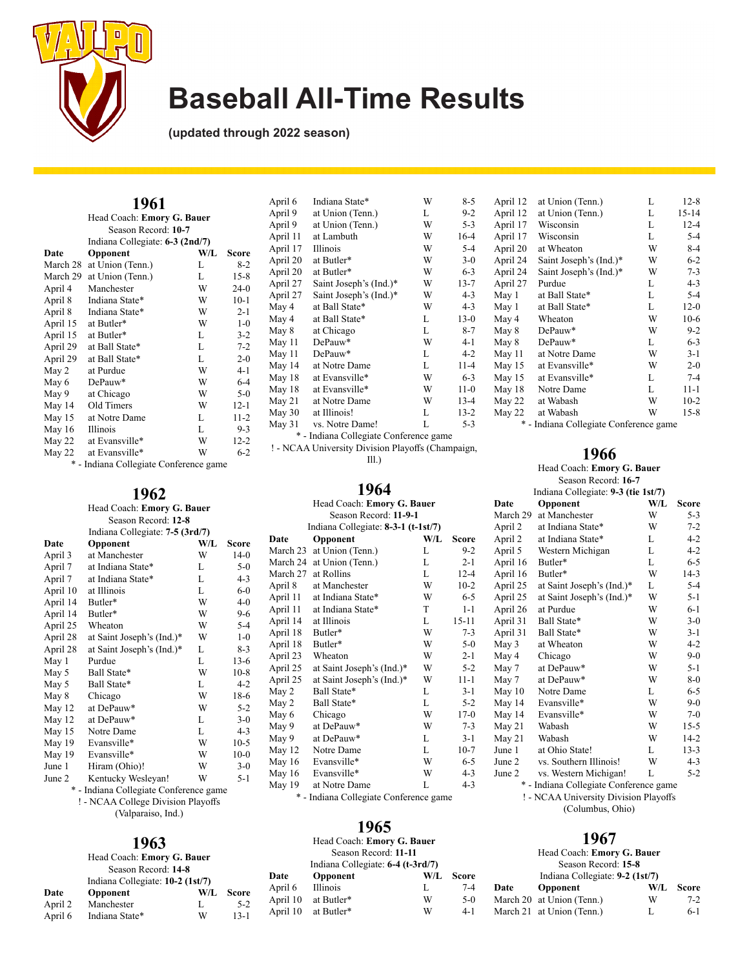

**(updated through 2022 season)**

|                            | 1961                            |     |          |
|----------------------------|---------------------------------|-----|----------|
| Head Coach: Emory G. Bauer |                                 |     |          |
|                            | Season Record: 10-7             |     |          |
|                            | Indiana Collegiate: 6-3 (2nd/7) |     |          |
| Date                       | Opponent                        | W/L | Score    |
| March 28                   | at Union (Tenn.)                | L   | $8-2$    |
| March 29                   | at Union (Tenn.)                | L   | $15 - 8$ |
| April 4                    | Manchester                      | W   | $24-0$   |
| April 8                    | Indiana State*                  | W   | $10-1$   |
| April 8                    | Indiana State*                  | W   | $2 - 1$  |
| April 15                   | at Butler*                      | W   | $1 - 0$  |
| April 15                   | at Butler*                      | L   | $3-2$    |
| April 29                   | at Ball State*                  | L   | $7 - 2$  |
| April 29                   | at Ball State*                  | L   | $2 - 0$  |
| May 2                      | at Purdue                       | W   | $4 - 1$  |
| May 6                      | DePauw*                         | W   | $6 - 4$  |
| May 9                      | at Chicago                      | W   | $5-0$    |
| May 14                     | Old Timers                      | W   | $12 - 1$ |
| May 15                     | at Notre Dame                   | L   | $11 - 2$ |
| May 16                     | Illinois                        | L   | $9-3$    |
| May 22                     | at Evansville*                  | W   | $12 - 2$ |
| May 22                     | at Evansville*                  | W   | $6 - 2$  |

\* - Indiana Collegiate Conference game

## **1962**

|          | Head Coach: Emory G. Bauer      |     |         |
|----------|---------------------------------|-----|---------|
|          | Season Record: 12-8             |     |         |
|          | Indiana Collegiate: 7-5 (3rd/7) |     |         |
| Date     | Opponent                        | W/L | Score   |
| April 3  | at Manchester                   | W   | $14-0$  |
| April 7  | at Indiana State*               | L   | $5-0$   |
| April 7  | at Indiana State*               | L   | $4 - 3$ |
| April 10 | at Illinois                     | L   | $6 - 0$ |
| April 14 | Butler*                         | W   | $4 - 0$ |
| April 14 | Butler*                         | W   | $9-6$   |
| April 25 | Wheaton                         | W   | $5 - 4$ |
| April 28 | at Saint Joseph's (Ind.)*       | W   | $1-0$   |
| April 28 | at Saint Joseph's (Ind.)*       | L   | $8 - 3$ |
| May 1    | Purdue                          | L   | $13-6$  |
| May 5    | Ball State*                     | W   | $10-8$  |
| May 5    | Ball State*                     | L   | $4 - 2$ |
| May 8    | Chicago                         | W   | 18-6    |
| May 12   | at DePauw*                      | W   | $5 - 2$ |
| May 12   | at DePauw*                      | L   | $3-0$   |
| May 15   | Notre Dame                      | L   | $4 - 3$ |
| May 19   | Evansville*                     | W   | $10-5$  |
| May 19   | Evansville*                     | W   | $10-0$  |
| June 1   | Hiram (Ohio)!                   | W   | $3 - 0$ |
| June 2   | Kentucky Wesleyan!              | W   | $5 - 1$ |
|          | 11. CII. CC                     |     |         |

- Indiana Collegiate Conference game ! - NCAA College Division Playoffs

(Valparaiso, Ind.)

|         | Head Coach: Emory G. Bauer       |     |              |
|---------|----------------------------------|-----|--------------|
|         | Season Record: 14-8              |     |              |
|         | Indiana Collegiate: 10-2 (1st/7) |     |              |
| Date    | <b>Opponent</b>                  | W/L | <b>Score</b> |
| April 2 | Manchester                       | L   | $5-2$        |
| April 6 | Indiana State*                   | W   | $13 - 1$     |

| April 9  | at Union (Tenn.)                       | L | $9-2$    |
|----------|----------------------------------------|---|----------|
| April 9  | at Union (Tenn.)                       | W | $5 - 3$  |
| April 11 | at Lambuth                             | W | $16-4$   |
| April 17 | Illinois                               | W | $5 - 4$  |
| April 20 | at Butler*                             | W | $3 - 0$  |
| April 20 | at Butler*                             | W | $6 - 3$  |
| April 27 | Saint Joseph's (Ind.)*                 | W | $13 - 7$ |
| April 27 | Saint Joseph's (Ind.)*                 | W | $4 - 3$  |
| May 4    | at Ball State*                         | W | $4 - 3$  |
| May 4    | at Ball State*                         | L | $13-0$   |
| May 8    | at Chicago                             | L | $8 - 7$  |
| May 11   | DePauw*                                | W | $4 - 1$  |
| May 11   | DePauw*                                | L | $4 - 2$  |
| May 14   | at Notre Dame                          | L | $11 - 4$ |
| May 18   | at Evansville*                         | W | $6 - 3$  |
| May 18   | at Evansville*                         | W | $11-0$   |
| May 21   | at Notre Dame                          | W | $13 - 4$ |
| May 30   | at Illinois!                           | L | $13 - 2$ |
| May 31   | vs. Notre Dame!                        | L | $5 - 3$  |
|          | * - Indiana Collegiate Conference game |   |          |
|          |                                        |   |          |

<sup>! -</sup> NCAA University Division Playoffs (Champaign, Ill.)

### **1964**

|          | Head Coach: Emory G. Bauer          |     |          |
|----------|-------------------------------------|-----|----------|
|          | Season Record: 11-9-1               |     |          |
|          | Indiana Collegiate: 8-3-1 (t-1st/7) |     |          |
| Date     | Opponent                            | W/L | Score    |
| March 23 | at Union (Tenn.)                    | L   | $9 - 2$  |
| March 24 | at Union (Tenn.)                    | L   | $2 - 1$  |
| March 27 | at Rollins                          | L   | $12 - 4$ |
| April 8  | at Manchester                       | W   | $10-2$   |
| April 11 | at Indiana State*                   | W   | $6 - 5$  |
| April 11 | at Indiana State*                   | T   | $1 - 1$  |
| April 14 | at Illinois                         | L   | 15-11    |
| April 18 | Butler*                             | W   | $7 - 3$  |
| April 18 | Butler*                             | W   | $5-0$    |
| April 23 | Wheaton                             | W   | $2 - 1$  |
| April 25 | at Saint Joseph's (Ind.)*           | W   | $5 - 2$  |
| April 25 | at Saint Joseph's (Ind.)*           | W   | $11 - 1$ |
| May 2    | Ball State*                         | L   | $3 - 1$  |
| May 2    | Ball State*                         | L   | $5 - 2$  |
| May 6    | Chicago                             | W   | $17-0$   |
| May 9    | at DePauw*                          | W   | $7 - 3$  |
| May 9    | at DePauw*                          | L   | $3-1$    |
| May 12   | Notre Dame                          | L   | $10-7$   |
| May 16   | Evansville*                         | W   | $6 - 5$  |
| May 16   | Evansville*                         | W   | $4 - 3$  |
| May 19   | at Notre Dame                       | L   | $4 - 3$  |
|          |                                     |     |          |

\* - Indiana Collegiate Conference game

#### **1965**

| 963<br>Emory G. Bauer<br>?ecord: <b>14-8</b> |              |          | $\mathbf{I}$<br>Head Coach: Emory G. Bauer<br>Season Record: 11-11<br>Indiana Collegiate: 6-4 (t-3rd/7) |     |              | 1967<br>Head Coach: Emory G. Bauer<br>Season Record: 15-8 |                                 |    |
|----------------------------------------------|--------------|----------|---------------------------------------------------------------------------------------------------------|-----|--------------|-----------------------------------------------------------|---------------------------------|----|
| giate: 10-2 $(1st/7)$                        |              | Date     | <b>Opponent</b>                                                                                         | W/L | <b>Score</b> |                                                           | Indiana Collegiate: 9-2 (1st/7) |    |
| W/L                                          | <b>Score</b> | April 6  | Illinois                                                                                                |     | $7 - 4$      | Date                                                      | <b>Opponent</b>                 | W/ |
| L                                            | $5 - 2$      | April 10 | at Butler*                                                                                              | W   | $5-0$        |                                                           | March 20 at Union (Tenn.)       | W  |
| W                                            | $13 - 1$     | April 10 | at Butler*                                                                                              | W   | $4-1$        |                                                           | March 21 at Union (Tenn.)       | L  |

| April 6  | Indiana State*         | W | $8 - 5$  | April 12 | at Union (Tenn.)       | L | $12 - 8$ |
|----------|------------------------|---|----------|----------|------------------------|---|----------|
| April 9  | at Union (Tenn.)       | L | $9-2$    | April 12 | at Union (Tenn.)       | L | 15-14    |
| April 9  | at Union (Tenn.)       | W | $5 - 3$  | April 17 | Wisconsin              | L | $12 - 4$ |
| April 11 | at Lambuth             | W | $16 - 4$ | April 17 | Wisconsin              | L | 5-4      |
| April 17 | Illinois               | W | $5 - 4$  | April 20 | at Wheaton             | W | $8 - 4$  |
| April 20 | at Butler*             | W | $3-0$    | April 24 | Saint Joseph's (Ind.)* | W | $6 - 2$  |
| April 20 | at Butler*             | W | $6 - 3$  | April 24 | Saint Joseph's (Ind.)* | W | $7 - 3$  |
| April 27 | Saint Joseph's (Ind.)* | W | $13 - 7$ | April 27 | Purdue                 | L | $4 - 3$  |
| April 27 | Saint Joseph's (Ind.)* | W | $4 - 3$  | May 1    | at Ball State*         | L | 5-4      |
| May 4    | at Ball State*         | W | $4 - 3$  | May 1    | at Ball State*         | L | $12-0$   |
| May 4    | at Ball State*         | L | $13-0$   | May 4    | Wheaton                | W | $10-6$   |
| May 8    | at Chicago             | L | $8 - 7$  | May 8    | DePauw*                | W | $9 - 2$  |
| May 11   | DePauw*                | W | $4 - 1$  | May 8    | DePauw*                | L | $6 - 3$  |
| May 11   | DePauw*                | L | $4 - 2$  | May 11   | at Notre Dame          | W | $3-1$    |
| May 14   | at Notre Dame          | L | $11 - 4$ | May 15   | at Evansville*         | W | $2 - 0$  |
| May 18   | at Evansville*         | W | $6 - 3$  | May 15   | at Evansville*         | L | $7 - 4$  |
| May 18   | at Evansville*         | W | $11-0$   | May 18   | Notre Dame             | L | $11 - 1$ |
| May 21   | at Notre Dame          | W | $13 - 4$ | May 22   | at Wabash              | W | $10-2$   |
| May 30   | at Illinois!           | L | $13-2$   | May 22   | at Wabash              | W | $15 - 8$ |
|          |                        |   |          |          | $\sim$ 11              |   |          |

\* - Indiana Collegiate Conference game

#### **1966**

#### Head Coach: **Emory G. Bauer** Season Record: **16-7** Indiana Collegiate: **9-3 (tie 1st/7)**

| Date     | Opponent                               | W/L | Score    |
|----------|----------------------------------------|-----|----------|
| March 29 | at Manchester                          | W   | $5 - 3$  |
| April 2  | at Indiana State*                      | W   | $7 - 2$  |
| April 2  | at Indiana State*                      | L   | $4 - 2$  |
| April 5  | Western Michigan                       | L   | $4 - 2$  |
| April 16 | Butler*                                | L   | $6 - 5$  |
| April 16 | Butler*                                | W   | $14-3$   |
| April 25 | at Saint Joseph's (Ind.)*              | L   | $5 - 4$  |
| April 25 | at Saint Joseph's (Ind.)*              | W   | $5 - 1$  |
| April 26 | at Purdue                              | W   | $6-1$    |
| April 31 | Ball State*                            | W   | $3-0$    |
| April 31 | Ball State*                            | W   | $3 - 1$  |
| May 3    | at Wheaton                             | W   | 4-2      |
| May 4    | Chicago                                | W   | $9 - 0$  |
| May 7    | at DePauw*                             | W   | $5 - 1$  |
| May 7    | at DePauw*                             | W   | $8 - 0$  |
| May 10   | Notre Dame                             | L   | $6 - 5$  |
| May 14   | Evansville*                            | W   | $9 - 0$  |
| May 14   | Evansville*                            | W   | $7-0$    |
| May 21   | Wabash                                 | W   | $15 - 5$ |
| May 21   | Wabash                                 | W   | $14 - 2$ |
| June 1   | at Ohio State!                         | L   | $13 - 3$ |
| June 2   | vs. Southern Illinois!                 | W   | $4 - 3$  |
| June 2   | vs. Western Michigan!                  | L   | 5-2      |
|          | * - Indiana Collegiate Conference game |     |          |
|          | ! - NCAA University Division Playoffs  |     |          |
|          | $(0.1 \t1.01)$                         |     |          |

(Columbus, Ohio)

|                                 | Head Coach: Emory G. Bauer |     |              |  |
|---------------------------------|----------------------------|-----|--------------|--|
|                                 | Season Record: 15-8        |     |              |  |
| Indiana Collegiate: 9-2 (1st/7) |                            |     |              |  |
| Date                            | <b>Opponent</b>            | W/L | <b>Score</b> |  |
|                                 | March 20 at Union (Tenn.)  | W   | $7-2$        |  |
|                                 | March 21 at Union (Tenn.)  | L   | $6-1$        |  |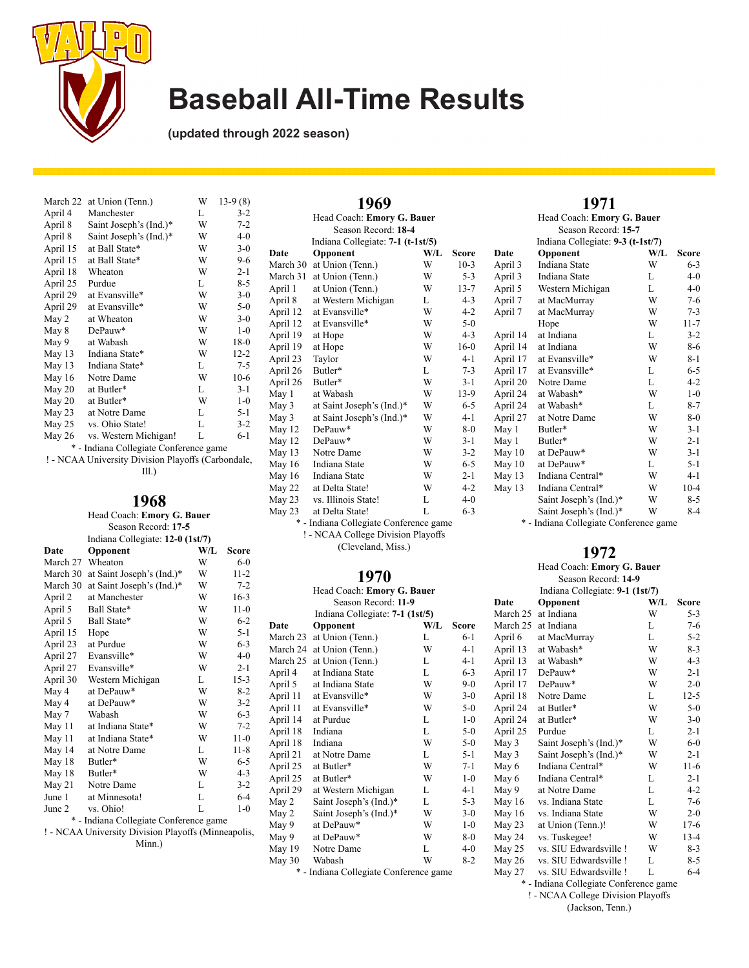

**(updated through 2022 season)**

| March 22                               | at Union (Tenn.)       | W | $13-9(8)$ |  |
|----------------------------------------|------------------------|---|-----------|--|
| April 4                                | Manchester             | L | $3-2$     |  |
| April 8                                | Saint Joseph's (Ind.)* | W | $7 - 2$   |  |
| April 8                                | Saint Joseph's (Ind.)* | W | $4 - 0$   |  |
| April 15                               | at Ball State*         | W | $3-0$     |  |
| April 15                               | at Ball State*         | W | $9-6$     |  |
| April 18                               | Wheaton                | W | $2 - 1$   |  |
| April 25                               | Purdue                 | L | $8 - 5$   |  |
| April 29                               | at Evansville*         | W | $3-0$     |  |
| April 29                               | at Evansville*         | W | $5-0$     |  |
| May 2                                  | at Wheaton             | W | $3-0$     |  |
| May 8                                  | DePauw*                | W | $1 - 0$   |  |
| May 9                                  | at Wabash              | W | $18-0$    |  |
| May 13                                 | Indiana State*         | W | $12 - 2$  |  |
| May $13$                               | Indiana State*         | L | $7 - 5$   |  |
| May 16                                 | Notre Dame             | W | $10-6$    |  |
| May 20                                 | at Butler*             | L | $3 - 1$   |  |
| May 20                                 | at Butler*             | W | $1 - 0$   |  |
| May 23                                 | at Notre Dame          | L | $5 - 1$   |  |
| May 25                                 | vs. Ohio State!        | L | $3-2$     |  |
| May 26                                 | vs. Western Michigan!  | L | $6 - 1$   |  |
| * - Indiana Collegiate Conference game |                        |   |           |  |

! - NCAA University Division Playoffs (Carbondale,

Ill.)

#### **1968**

#### Head Coach: **Emory G. Bauer** Season Record: **17-5** Indiana Collegiate: **12-0 (1st/7) Date Opponent W/L** Score

| March 27                                       | Wheaton                   | W | $6 - 0$  |  |
|------------------------------------------------|---------------------------|---|----------|--|
| March 30                                       | at Saint Joseph's (Ind.)* | W | $11 - 2$ |  |
| March 30                                       | at Saint Joseph's (Ind.)* | W | $7 - 2$  |  |
| April 2                                        | at Manchester             | W | $16-3$   |  |
| April 5                                        | Ball State*               | W | $11-0$   |  |
| April 5                                        | Ball State*               | W | $6 - 2$  |  |
| April 15                                       | Hope                      | W | $5 - 1$  |  |
| April 23                                       | at Purdue                 | W | $6 - 3$  |  |
| April 27                                       | Evansville*               | W | $4-0$    |  |
| April 27                                       | Evansville*               | W | $2 - 1$  |  |
| April 30                                       | Western Michigan          | L | $15 - 3$ |  |
| May 4                                          | at DePauw*                | W | $8-2$    |  |
| May 4                                          | at DePauw*                | W | $3-2$    |  |
| May 7                                          | Wabash                    | W | $6 - 3$  |  |
| May 11                                         | at Indiana State*         | W | $7 - 2$  |  |
| May 11                                         | at Indiana State*         | W | $11-0$   |  |
| May 14                                         | at Notre Dame             | L | $11 - 8$ |  |
| May 18                                         | Butler*                   | W | $6 - 5$  |  |
| May 18                                         | Butler*                   | W | $4 - 3$  |  |
| May 21                                         | Notre Dame                | L | $3-2$    |  |
| June 1                                         | at Minnesota!             | L | 6-4      |  |
| June 2                                         | vs. Ohio!                 | L | $1-0$    |  |
| $\ast$<br>- Indiana Collegiate Conference game |                           |   |          |  |

! - NCAA University Division Playoffs (Minneapolis,

Minn.)

| Head Coach: Emory G. Bauer         |                                        |     |          |  |  |
|------------------------------------|----------------------------------------|-----|----------|--|--|
| Season Record: 18-4                |                                        |     |          |  |  |
|                                    | Indiana Collegiate: 7-1 (t-1st/5)      |     |          |  |  |
| Date                               | Opponent                               | W/L | Score    |  |  |
| March 30                           | at Union (Tenn.)                       | W   | $10-3$   |  |  |
| March 31                           | at Union (Tenn.)                       | W   | $5 - 3$  |  |  |
| April 1                            | at Union (Tenn.)                       | W   | $13 - 7$ |  |  |
| April 8                            | at Western Michigan                    | L   | $4 - 3$  |  |  |
| April 12                           | at Evansville*                         | W   | $4 - 2$  |  |  |
| April 12                           | at Evansville*                         | W   | $5-0$    |  |  |
| April 19                           | at Hope                                | W   | $4 - 3$  |  |  |
| April 19                           | at Hope                                | W   | $16-0$   |  |  |
| April 23                           | Taylor                                 | W   | $4 - 1$  |  |  |
| April 26                           | Butler*                                | L   | $7 - 3$  |  |  |
| April 26                           | Butler*                                | W   | $3-1$    |  |  |
| May 1                              | at Wabash                              | W   | $13-9$   |  |  |
| May 3                              | at Saint Joseph's (Ind.)*              | W   | $6 - 5$  |  |  |
| May 3                              | at Saint Joseph's (Ind.)*              | W   | $4 - 1$  |  |  |
| May 12                             | DePauw*                                | W   | $8 - 0$  |  |  |
| May 12                             | $DePauw*$                              | W   | $3 - 1$  |  |  |
| May 13                             | Notre Dame                             | W   | $3 - 2$  |  |  |
| May 16                             | Indiana State                          | W   | $6 - 5$  |  |  |
| May 16                             | Indiana State                          | W   | $2 - 1$  |  |  |
| <b>May 22</b>                      | at Delta State!                        | W   | 4-2      |  |  |
| May 23                             | vs. Illinois State!                    | L   | $4 - 0$  |  |  |
| May 23                             | at Delta State!                        | L   | $6 - 3$  |  |  |
|                                    | * - Indiana Collegiate Conference game |     |          |  |  |
| ! - NCAA College Division Playoffs |                                        |     |          |  |  |

**1969**

(Cleveland, Miss.)

### **1970**

| Head Coach: Emory G. Bauer<br>Season Record: 11-9 |                                        |     |         |
|---------------------------------------------------|----------------------------------------|-----|---------|
|                                                   | Indiana Collegiate: 7-1 (1st/5)        |     |         |
| Date                                              | Opponent                               | W/L | Score   |
| March 23                                          | at Union (Tenn.)                       | L   | $6-1$   |
| March 24                                          | at Union (Tenn.)                       | W   | $4 - 1$ |
| March 25                                          | at Union (Tenn.)                       | L   | $4-1$   |
| April 4                                           | at Indiana State                       | L   | $6 - 3$ |
| April 5                                           | at Indiana State                       | W   | $9 - 0$ |
| April 11                                          | at Evansville*                         | W   | $3 - 0$ |
| April 11                                          | at Evansville*                         | W   | $5 - 0$ |
| April 14                                          | at Purdue                              | L   | $1 - 0$ |
| April 18                                          | Indiana                                | L   | $5-0$   |
| April 18                                          | Indiana                                | W   | $5 - 0$ |
| April 21                                          | at Notre Dame                          | L   | $5 - 1$ |
| April 25                                          | at Butler*                             | W   | $7 - 1$ |
| April 25                                          | at Butler*                             | W   | $1 - 0$ |
| April 29                                          | at Western Michigan                    | L   | 4-1     |
| May 2                                             | Saint Joseph's (Ind.)*                 | L   | $5 - 3$ |
| May 2                                             | Saint Joseph's (Ind.)*                 | W   | $3-0$   |
| May 9                                             | at DePauw*                             | W   | $1 - 0$ |
| May 9                                             | at DePauw*                             | W   | $8-0$   |
| May 19                                            | Notre Dame                             | L   | 4-0     |
| May 30                                            | Wabash                                 | W   | 8-2     |
|                                                   | * - Indiana Collegiate Conference game |     |         |

|                                   | 1971                       |     |          |  |
|-----------------------------------|----------------------------|-----|----------|--|
|                                   | Head Coach: Emory G. Bauer |     |          |  |
|                                   | Season Record: 15-7        |     |          |  |
| Indiana Collegiate: 9-3 (t-1st/7) |                            |     |          |  |
| Date                              | Opponent                   | W/L | Score    |  |
| April 3                           | Indiana State              | W   | $6 - 3$  |  |
| April 3                           | Indiana State              | L   | $4-0$    |  |
| April 5                           | Western Michigan           | L   | $4 - 0$  |  |
| April 7                           | at MacMurray               | W   | $7 - 6$  |  |
| April 7                           | at MacMurray               | W   | $7 - 3$  |  |
|                                   | Hope                       | W   | $11 - 7$ |  |
| April 14                          | at Indiana                 | L   | $3 - 2$  |  |
| April 14                          | at Indiana                 | W   | 8-6      |  |
| April 17                          | at Evansville*             | W   | 8-1      |  |
| April 17                          | at Evansville*             | L   | $6 - 5$  |  |
| April 20                          | Notre Dame                 | L   | 4-2      |  |
| April 24                          | at Wabash*                 | W   | $1 - 0$  |  |
| April 24                          | at Wabash*                 | L   | $8-7$    |  |
| April 27                          | at Notre Dame              | W   | $8-0$    |  |
| May 1                             | Butler*                    | W   | $3-1$    |  |

Butler\* May 1 Butler\* W 2-1<br>May 10 at DePauw\* W 3-1 at DePauw\* May 10 at DePauw\* L 5-1<br>May 13 Indiana Central\* W 4-1 May 13 Indiana Central\* W 4-1 Indiana Central\* Saint Joseph's (Ind.)\* W 8-5<br>Saint Joseph's (Ind.)\* W 8-4 Saint Joseph's (Ind.)\*

\* - Indiana Collegiate Conference game

#### **1972**

| Head Coach: Emory G. Bauer |                                 |     |              |
|----------------------------|---------------------------------|-----|--------------|
|                            | Season Record: 14-9             |     |              |
|                            | Indiana Collegiate: 9-1 (1st/7) |     |              |
| Date                       | Opponent                        | W/L | <b>Score</b> |
| March 25                   | at Indiana                      | W   | $5 - 3$      |
| March 25                   | at Indiana                      | L   | 7-6          |
| April 6                    | at MacMurray                    | L   | $5 - 2$      |
| April 13                   | at Wabash*                      | W   | $8-3$        |
| April 13                   | at Wabash*                      | W   | $4 - 3$      |
| April 17                   | DePauw*                         | W   | $2 - 1$      |
| April 17                   | DePauw*                         | W   | $2 - 0$      |
| April 18                   | Notre Dame                      | L   | $12 - 5$     |
| April 24                   | at Butler*                      | W   | $5-0$        |
| April 24                   | at Butler*                      | W   | $3-0$        |
| April 25                   | Purdue                          | L   | $2 - 1$      |
| May 3                      | Saint Joseph's (Ind.)*          | W   | $6 - 0$      |
| May 3                      | Saint Joseph's (Ind.)*          | W   | $2 - 1$      |
| May 6                      | Indiana Central*                | W   | $11-6$       |
| May 6                      | Indiana Central*                | L   | $2 - 1$      |
| May 9                      | at Notre Dame                   | L   | 4-2          |
| May 16                     | vs. Indiana State               | L   | $7-6$        |
| May 16                     | vs. Indiana State               | W   | $2 - 0$      |
| May 23                     | at Union (Tenn.)!               | W   | $17-6$       |
| May 24                     | vs. Tuskegee!                   | W   | $13 - 4$     |
| May 25                     | vs. SIU Edwardsville !          | W   | 8-3          |
| May 26                     | vs. SIU Edwardsville!           | L   | 8-5          |
| May 27                     | vs. SIU Edwardsville!           | L   | 6-4          |
|                            | $\sim$ $\sim$ $\sim$ $\sim$     |     |              |

\* - Indiana Collegiate Conference game

! - NCAA College Division Playoffs

(Jackson, Tenn.)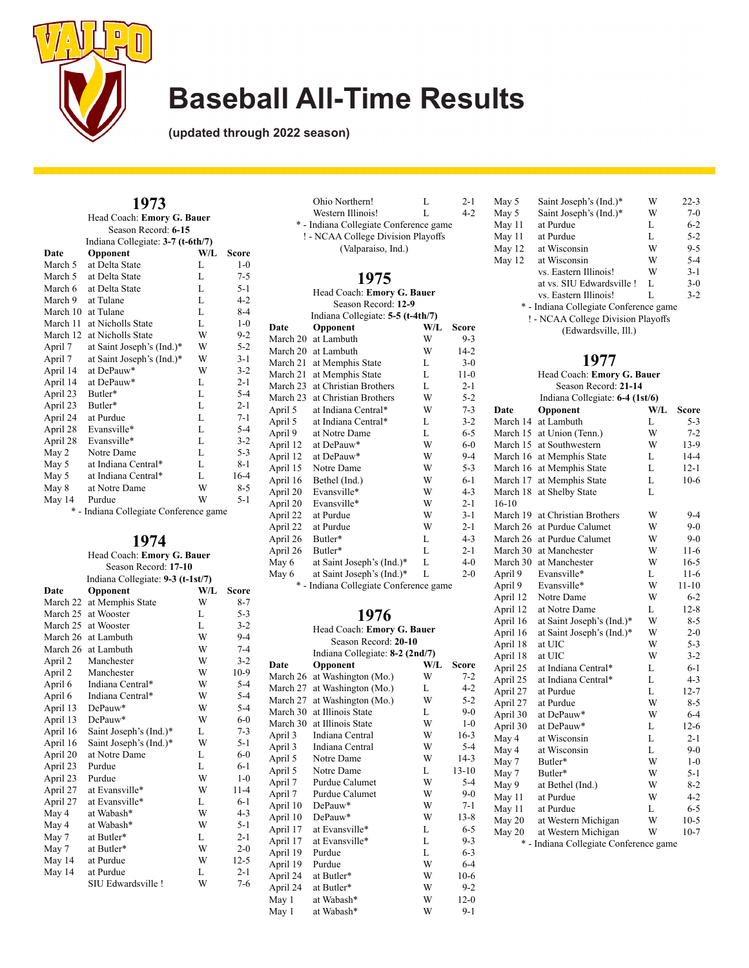

**(updated through 2022 season)**

### **1973**

|          | Head Coach: Emory G. Bauer        |     |         |
|----------|-----------------------------------|-----|---------|
|          | Season Record: 6-15               |     |         |
|          | Indiana Collegiate: 3-7 (t-6th/7) |     |         |
| Date     | Opponent                          | W/L | Score   |
| March 5  | at Delta State                    | L   | $1 - 0$ |
| March 5  | at Delta State                    | L   | $7 - 5$ |
| March 6  | at Delta State                    | L   | $5 - 1$ |
| March 9  | at Tulane                         | L   | $4 - 2$ |
| March 10 | at Tulane                         | L   | $8 - 4$ |
| March 11 | at Nicholls State                 | L   | $1 - 0$ |
| March 12 | at Nicholls State                 | W   | $9-2$   |
| April 7  | at Saint Joseph's (Ind.)*         | W   | $5 - 2$ |
| April 7  | at Saint Joseph's (Ind.)*         | W   | $3 - 1$ |
| April 14 | at DePauw*                        | W   | $3 - 2$ |
| April 14 | at DePauw*                        | L   | $2 - 1$ |
| April 23 | Butler*                           | L   | $5 - 4$ |
| April 23 | Butler*                           | L   | $2 - 1$ |
| April 24 | at Purdue                         | L   | $7 - 1$ |
| April 28 | Evansville*                       | L   | $5 - 4$ |
| April 28 | Evansville*                       | L   | $3 - 2$ |
| May 2    | Notre Dame                        | L   | $5 - 3$ |
| May 5    | at Indiana Central*               | L   | $8 - 1$ |
| May 5    | at Indiana Central*               | L   | $16-4$  |
| May 8    | at Notre Dame                     | W   | $8 - 5$ |
| May 14   | Purdue                            | W   | $5 - 1$ |
|          |                                   |     |         |

\* - Indiana Collegiate Conference game

## **1974**

| Head Coach: Emory G. Bauer        |
|-----------------------------------|
| Season Record: 17-10              |
| Indiana Collegiate: 9-3 (t-1st/7) |

| Date     | Opponent               | W/L | Score    |
|----------|------------------------|-----|----------|
| March 22 | at Memphis State       | W   | $8 - 7$  |
| March 25 | at Wooster             | L   | $5 - 3$  |
| March 25 | at Wooster             | L   | $3 - 2$  |
| March 26 | at Lambuth             | W   | $9 - 4$  |
| March 26 | at Lambuth             | W   | $7 - 4$  |
| April 2  | Manchester             | W   | $3 - 2$  |
| April 2  | Manchester             | W   | $10-9$   |
| April 6  | Indiana Central*       | W   | $5 - 4$  |
| April 6  | Indiana Central*       | W   | $5 - 4$  |
| April 13 | DePauw*                | W   | $5 - 4$  |
| April 13 | DePauw*                | W   | $6 - 0$  |
| April 16 | Saint Joseph's (Ind.)* | L   | $7 - 3$  |
| April 16 | Saint Joseph's (Ind.)* | W   | $5 - 1$  |
| April 20 | at Notre Dame          | L   | $6-0$    |
| April 23 | Purdue                 | L   | $6-1$    |
| April 23 | Purdue                 | W   | $1 - 0$  |
| April 27 | at Evansville*         | W   | $11 - 4$ |
| April 27 | at Evansville*         | L   | $6 - 1$  |
| May 4    | at Wabash*             | W   | $4 - 3$  |
| May 4    | at Wabash*             | W   | $5 - 1$  |
| May 7    | at Butler*             | L   | $2 - 1$  |
| May 7    | at Butler*             | W   | $2 - 0$  |
| May 14   | at Purdue              | W   | $12-5$   |
| May 14   | at Purdue              | L   | $2 - 1$  |
|          | SIU Edwardsville !     | W   | 7-6      |
|          |                        |     |          |

|          | Ohio Northern!                         | L   | $2 - 1$      |
|----------|----------------------------------------|-----|--------------|
|          | Western Illinois!                      | L   | $4 - 2$      |
|          | * - Indiana Collegiate Conference game |     |              |
|          | ! - NCAA College Division Playoffs     |     |              |
|          | (Valparaiso, Ind.)                     |     |              |
|          |                                        |     |              |
|          | 1975                                   |     |              |
|          | Head Coach: Emory G. Bauer             |     |              |
|          | Season Record: 12-9                    |     |              |
|          | Indiana Collegiate: 5-5 (t-4th/7)      |     |              |
| Date     | Opponent                               | W/L | <b>Score</b> |
| March 20 | at Lambuth                             | W   | $9 - 3$      |
| March 20 | at Lambuth                             | W   | $14-2$       |
| March 21 | at Memphis State                       | L   | $3-0$        |
| March 21 | at Memphis State                       | L   | $11-0$       |
| March 23 | at Christian Brothers                  | L   | $2 - 1$      |
| March 23 | at Christian Brothers                  | W   | $5 - 2$      |
| April 5  | at Indiana Central*                    | W   | $7 - 3$      |
| April 5  | at Indiana Central*                    | L   | $3 - 2$      |
| April 9  | at Notre Dame                          | L   | $6 - 5$      |
| April 12 | at DePauw*                             | W   | $6 - 0$      |
| April 12 | at DePauw*                             | W   | $9 - 4$      |
| April 15 | Notre Dame                             | W   | $5 - 3$      |
| April 16 | Bethel (Ind.)                          | W   | $6 - 1$      |
| April 20 | Evansville*                            | W   | $4 - 3$      |
| April 20 | Evansville*                            | W   | $2 - 1$      |
| April 22 | at Purdue                              | W   | $3 - 1$      |
| April 22 | at Purdue                              | W   | $2 - 1$      |
| April 26 | Butler*                                | L   | $4 - 3$      |
| April 26 | Butler*                                | L   | $2 - 1$      |
| May 6    | at Saint Joseph's (Ind.)*              | L   | 4-0          |
| May 6    | at Saint Joseph's (Ind.)*              | L   | $2 - 0$      |
|          | * - Indiana Collegiate Conference game |     |              |
|          |                                        |     |              |

### **1976**

| Head Coach: Emory G. Bauer |                                 |     |           |
|----------------------------|---------------------------------|-----|-----------|
|                            | Season Record: 20-10            |     |           |
|                            | Indiana Collegiate: 8-2 (2nd/7) |     |           |
| Date                       | Opponent                        | W/L | Score     |
| March 26                   | at Washington (Mo.)             | W   | $7 - 2$   |
| March 27                   | at Washington (Mo.)             | L   | $4 - 2$   |
| March 27                   | at Washington (Mo.)             | W   | $5 - 2$   |
| March 30                   | at Illinois State               | L   | $9-0$     |
| March 30                   | at Illinois State               | W   | $1 - 0$   |
| April 3                    | Indiana Central                 | W   | $16-3$    |
| April 3                    | Indiana Central                 | W   | $5 - 4$   |
| April 5                    | Notre Dame                      | W   | $14-3$    |
| April 5                    | Notre Dame                      | L   | $13 - 10$ |
| April 7                    | Purdue Calumet                  | W   | $5 - 4$   |
| April 7                    | Purdue Calumet                  | W   | $9-0$     |
| April 10                   | $DePauw*$                       | W   | $7 - 1$   |
| April 10                   | DePauw*                         | W   | $13 - 8$  |
| April 17                   | at Evansville*                  | L   | 6-5       |
| April 17                   | at Evansville*                  | L   | $9 - 3$   |
| April 19                   | Purdue                          | L   | $6 - 3$   |
| April 19                   | Purdue                          | W   | $6 - 4$   |
| April 24                   | at Butler*                      | W   | $10-6$    |
| April 24                   | at Butler*                      | W   | $9 - 2$   |
| May 1                      | at Wabash*                      | W   | $12-0$    |
| May 1                      | at Wabash*                      | W   | $9-1$     |

| May 5  | Saint Joseph's (Ind.)*                 | W | $22 - 3$ |
|--------|----------------------------------------|---|----------|
| May 5  | Saint Joseph's (Ind.)*                 | W | $7-0$    |
| May 11 | at Purdue                              | L | $6 - 2$  |
| May 11 | at Purdue                              | L | $5 - 2$  |
| May 12 | at Wisconsin                           | W | $9 - 5$  |
| May 12 | at Wisconsin                           | W | $5 - 4$  |
|        | vs. Eastern Illinois!                  | W | $3-1$    |
|        | at vs. SIU Edwardsville!               | L | $3-0$    |
|        | vs. Eastern Illinois!                  | L | $3-2$    |
|        | * - Indiana Collegiate Conference game |   |          |
|        | ! - NCAA College Division Playoffs     |   |          |
|        | (Edwardsville, Ill.)                   |   |          |

| Head Coach: Emory G. Bauer |                                        |     |           |  |
|----------------------------|----------------------------------------|-----|-----------|--|
|                            | Season Record: 21-14                   |     |           |  |
|                            | Indiana Collegiate: 6-4 (1st/6)        |     |           |  |
| Date                       | Opponent                               | W/L | Score     |  |
| March 14                   | at Lambuth                             | L   | $5 - 3$   |  |
| March 15                   | at Union (Tenn.)                       | W   | $7 - 2$   |  |
| March 15                   | at Southwestern                        | W   | 13-9      |  |
| March 16                   | at Memphis State                       | L   | $14 - 4$  |  |
| March 16                   | at Memphis State                       | L   | $12 - 1$  |  |
| March 17                   | at Memphis State                       | L   | $10-6$    |  |
| March 18                   | at Shelby State                        | L   |           |  |
| $16-10$                    |                                        |     |           |  |
| March 19                   | at Christian Brothers                  | W   | $9 - 4$   |  |
| March 26                   | at Purdue Calumet                      | W   | $9 - 0$   |  |
| March 26                   | at Purdue Calumet                      | W   | $9 - 0$   |  |
| March 30                   | at Manchester                          | W   | $11-6$    |  |
| March 30                   | at Manchester                          | W   | 16-5      |  |
| April 9                    | Evansville*                            | L   | 11-6      |  |
| April 9                    | Evansville*                            | W   | $11 - 10$ |  |
| April 12                   | Notre Dame                             | W   | $6 - 2$   |  |
| April 12                   | at Notre Dame                          | L   | $12 - 8$  |  |
| April 16                   | at Saint Joseph's (Ind.)*              | W   | $8 - 5$   |  |
| April 16                   | at Saint Joseph's (Ind.)*              | W   | $2 - 0$   |  |
| April 18                   | at UIC                                 | W   | $5 - 3$   |  |
| April 18                   | at UIC                                 | W   | $3 - 2$   |  |
| April 25                   | at Indiana Central*                    | L   | 6-1       |  |
| April 25                   | at Indiana Central*                    | L   | $4 - 3$   |  |
| April 27                   | at Purdue                              | L   | $12 - 7$  |  |
| April 27                   | at Purdue                              | W   | $8 - 5$   |  |
| April 30                   | at DePauw*                             | W   | $6-4$     |  |
| April 30                   | at DePauw*                             | L   | $12 - 6$  |  |
| May 4                      | at Wisconsin                           | L   | $2 - 1$   |  |
| May 4                      | at Wisconsin                           | L   | $9 - 0$   |  |
| May 7                      | Butler*                                | W   | $1-0$     |  |
| May 7                      | Butler*                                | W   | $5 - 1$   |  |
| May 9                      | at Bethel (Ind.)                       | W   | $8 - 2$   |  |
| May 11                     | at Purdue                              | W   | $4 - 2$   |  |
| May 11                     | at Purdue                              | L   | $6 - 5$   |  |
| May 20                     | at Western Michigan                    | W   | $10-5$    |  |
| May 20                     | at Western Michigan                    | W   | $10-7$    |  |
|                            | * - Indiana Collegiate Conference game |     |           |  |
|                            |                                        |     |           |  |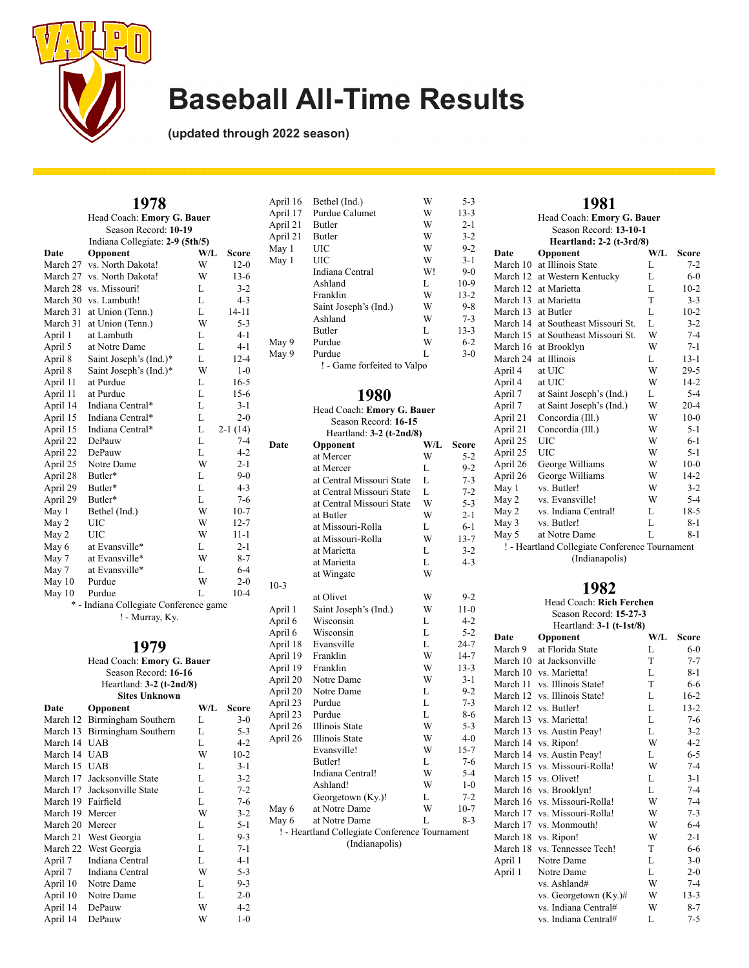

**(updated through 2022 season)**

| 1978                                   |                                 |     |           |  |
|----------------------------------------|---------------------------------|-----|-----------|--|
|                                        | Head Coach: Emory G. Bauer      |     |           |  |
|                                        | Season Record: 10-19            |     |           |  |
|                                        | Indiana Collegiate: 2-9 (5th/5) |     |           |  |
| Date                                   | Opponent                        | W/L | Score     |  |
| March 27                               | vs. North Dakota!               | W   | $12-0$    |  |
| March 27                               | vs. North Dakota!               | W   | $13-6$    |  |
| March 28                               | vs. Missouri!                   | L   | $3 - 2$   |  |
| March 30                               | vs. Lambuth!                    | L   | $4 - 3$   |  |
| March 31                               | at Union (Tenn.)                | L   | $14 - 11$ |  |
| March 31                               | at Union (Tenn.)                | W   | $5 - 3$   |  |
| April 1                                | at Lambuth                      | L   | $4 - 1$   |  |
| April 5                                | at Notre Dame                   | L   | $4 - 1$   |  |
| April 8                                | Saint Joseph's (Ind.)*          | L   | $12 - 4$  |  |
| April 8                                | Saint Joseph's (Ind.)*          | W   | $1 - 0$   |  |
| April 11                               | at Purdue                       | L   | $16 - 5$  |  |
| April 11                               | at Purdue                       | L   | $15-6$    |  |
| April 14                               | Indiana Central*                | L   | $3 - 1$   |  |
| April 15                               | Indiana Central*                | L   | $2 - 0$   |  |
| April 15                               | Indiana Central*                | L   | $2-1(14)$ |  |
| April 22                               | DePauw                          | L   | $7 - 4$   |  |
| April 22                               | DePauw                          | L   | $4 - 2$   |  |
| April 25                               | Notre Dame                      | W   | $2 - 1$   |  |
| April 28                               | Butler*                         | L   | $9-0$     |  |
| April 29                               | Butler*                         | L   | $4 - 3$   |  |
| April 29                               | Butler*                         | L   | $7 - 6$   |  |
| May 1                                  | Bethel (Ind.)                   | W   | $10-7$    |  |
| May 2                                  | <b>UIC</b>                      | W   | $12 - 7$  |  |
| May 2                                  | UIC                             | W   | $11 - 1$  |  |
| May 6                                  | at Evansville*                  | L   | $2 - 1$   |  |
| May 7                                  | at Evansville*                  | W   | $8 - 7$   |  |
| May 7                                  | at Evansville*                  | L   | $6 - 4$   |  |
| May 10                                 | Purdue                          | W   | $2 - 0$   |  |
| May $10$                               | Purdue                          | L   | $10 - 4$  |  |
| * - Indiana Collegiate Conference game |                                 |     |           |  |
| ! - Murray, Ky.                        |                                 |     |           |  |

#### **1979**

Head Coach: **Emory G. Bauer** Season Record: **16-16** Heartland: **3-2 (t-2nd/8) Sites Unknown**

| Opponent                     | W/L | Score   |
|------------------------------|-----|---------|
| March 12 Birmingham Southern | L   | $3-0$   |
| March 13 Birmingham Southern | L   | $5 - 3$ |
| <b>UAB</b>                   | L   | $4 - 2$ |
| <b>UAB</b>                   | W   | $10-2$  |
| March 15 UAB                 | L   | $3 - 1$ |
| March 17 Jacksonville State  | L   | $3 - 2$ |
| March 17 Jacksonville State  | L   | $7 - 2$ |
| March 19 Fairfield           | L   | $7-6$   |
| March 19<br>Mercer           | W   | $3 - 2$ |
| March 20<br>Mercer           | L   | $5 - 1$ |
| March 21 West Georgia        | L   | $9 - 3$ |
| March 22 West Georgia        | L   | $7 - 1$ |
| Indiana Central              | L   | $4 - 1$ |
| Indiana Central              | W   | $5 - 3$ |
| Notre Dame                   | L   | $9 - 3$ |
| Notre Dame                   | L   | $2 - 0$ |
| DePauw                       | W   | $4 - 2$ |
| DePauw                       | W   | $1 - 0$ |
|                              |     |         |

| April 16 | Bethel (Ind.)               | W  | $5 - 3$  |
|----------|-----------------------------|----|----------|
| April 17 | Purdue Calumet              | W  | $13 - 3$ |
| April 21 | <b>Butler</b>               | W  | $2 - 1$  |
| April 21 | <b>Butler</b>               | W  | $3-2$    |
| May 1    | UIC                         | W  | $9 - 2$  |
| May 1    | UІС                         | W  | $3 - 1$  |
|          | Indiana Central             | W! | $9-0$    |
|          | Ashland                     | L  | $10-9$   |
|          | Franklin                    | W  | $13 - 2$ |
|          | Saint Joseph's (Ind.)       | W  | $9 - 8$  |
|          | Ashland                     | W  | $7 - 3$  |
|          | <b>Butler</b>               | L  | $13 - 3$ |
| May 9    | Purdue                      | W  | $6 - 2$  |
| May 9    | Purdue                      | L  | $3-0$    |
|          | ! - Game forfeited to Valpo |    |          |

## **1980**

| Head Coach: Emory G. Bauer |                                                |     |          |
|----------------------------|------------------------------------------------|-----|----------|
| Season Record: 16-15       |                                                |     |          |
| Heartland: 3-2 (t-2nd/8)   |                                                |     |          |
| Date                       | Opponent                                       | W/L | Score    |
|                            | at Mercer                                      | W   | $5 - 2$  |
|                            | at Mercer                                      | L   | $9-2$    |
|                            | at Central Missouri State                      | L   | $7 - 3$  |
|                            | at Central Missouri State                      | L   | $7 - 2$  |
|                            | at Central Missouri State                      | W   | $5 - 3$  |
|                            | at Butler                                      | W   | 2-1      |
|                            | at Missouri-Rolla                              | L   | 6-1      |
|                            | at Missouri-Rolla                              | W   | $13 - 7$ |
|                            | at Marietta                                    | L   | $3 - 2$  |
|                            | at Marietta                                    | L   | $4 - 3$  |
|                            | at Wingate                                     | W   |          |
| $10-3$                     |                                                |     |          |
|                            | at Olivet                                      | W   | $9 - 2$  |
| April 1                    | Saint Joseph's (Ind.)                          | W   | $11-0$   |
| April 6                    | Wisconsin                                      | L   | $4 - 2$  |
| April 6                    | Wisconsin                                      | L   | $5 - 2$  |
| April 18                   | Evansville                                     | L   | $24 - 7$ |
| April 19                   | Franklin                                       | W   | 14-7     |
| April 19                   | Franklin                                       | W   | $13 - 3$ |
| April 20                   | Notre Dame                                     | W   | $3 - 1$  |
| April 20                   | Notre Dame                                     | L   | $9 - 2$  |
| April 23                   | Purdue                                         | L   | $7 - 3$  |
| April 23                   | Purdue                                         | L   | $8 - 6$  |
| April 26                   | <b>Illinois State</b>                          | W   | $5 - 3$  |
| April 26                   | Illinois State                                 | W   | 4-0      |
|                            | Evansville!                                    | W   | $15 - 7$ |
|                            | Butler!                                        | L   | 7-6      |
|                            | Indiana Central!                               | W   | $5 - 4$  |
|                            | Ashland!                                       | W   | $1-0$    |
|                            | Georgetown (Ky.)!                              | L   | $7 - 2$  |
| May 6                      | at Notre Dame                                  | W   | $10-7$   |
| May 6                      | at Notre Dame                                  | L   | $8-3$    |
|                            | ! - Heartland Collegiate Conference Tournament |     |          |
|                            | (Indianapolis)                                 |     |          |
|                            |                                                |     |          |
|                            |                                                |     |          |
|                            |                                                |     |          |

| 1981           |                                                |     |          |  |
|----------------|------------------------------------------------|-----|----------|--|
|                | Head Coach: Emory G. Bauer                     |     |          |  |
|                | Season Record: 13-10-1                         |     |          |  |
|                | Heartland: 2-2 (t-3rd/8)                       |     |          |  |
| Date           | Opponent                                       | W/L | Score    |  |
| March 10       | at Illinois State                              | L   | $7 - 2$  |  |
| March 12       | at Western Kentucky                            | L   | $6-0$    |  |
| March 12       | at Marietta                                    | L.  | $10-2$   |  |
| March 13       | at Marietta                                    | T   | $3 - 3$  |  |
| March 13       | at Butler                                      | L   | $10-2$   |  |
| March 14       | at Southeast Missouri St.                      | L   | $3 - 2$  |  |
| March 15       | at Southeast Missouri St.                      | W   | $7 - 4$  |  |
| March 16       | at Brooklyn                                    | W   | $7 - 1$  |  |
| March 24       | at Illinois                                    | L   | $13 - 1$ |  |
| April 4        | at UIC                                         | W   | $29-5$   |  |
| April 4        | at UIC                                         | W   | $14-2$   |  |
| April 7        | at Saint Joseph's (Ind.)                       | L   | $5 - 4$  |  |
| April 7        | at Saint Joseph's (Ind.)                       | W   | $20 - 4$ |  |
| April 21       | Concordia (Ill.)                               | W   | $10-0$   |  |
| April 21       | Concordia (Ill.)                               | W   | $5 - 1$  |  |
| April 25       | UIC                                            | W   | $6 - 1$  |  |
| April 25       | UІС                                            | W   | $5 - 1$  |  |
| April 26       | George Williams                                | W   | $10-0$   |  |
| April 26       | George Williams                                | W   | $14-2$   |  |
| May 1          | vs. Butler!                                    | W   | $3 - 2$  |  |
| May 2          | vs. Evansville!                                | W   | $5 - 4$  |  |
| May 2          | vs. Indiana Central!                           | L   | $18-5$   |  |
| May 3          | vs. Butler!                                    | L   | $8 - 1$  |  |
| May 5          | at Notre Dame                                  | L   | 8-1      |  |
|                | ! - Heartland Collegiate Conference Tournament |     |          |  |
| (Indianapolis) |                                                |     |          |  |

| Head Coach: Rich Ferchen |                              |     |          |  |
|--------------------------|------------------------------|-----|----------|--|
| Season Record: 15-27-3   |                              |     |          |  |
|                          | Heartland: $3-1$ (t-1st/8)   |     |          |  |
| Date                     | Opponent                     | W/L | Score    |  |
| March 9                  | at Florida State             | L   | $6-0$    |  |
|                          | March 10 at Jacksonville     | T   | $7 - 7$  |  |
|                          | March 10 vs. Marietta!       | L   | 8-1      |  |
|                          | March 11 vs. Illinois State! | T   | 6-6      |  |
| March 12                 | vs. Illinois State!          | L   | $16-2$   |  |
|                          | March 12 vs. Butler!         | L   | $13 - 2$ |  |
|                          | March 13 vs. Marietta!       | L   | $7-6$    |  |
|                          | March 13 vs. Austin Peay!    | L   | $3 - 2$  |  |
|                          | March 14 vs. Ripon!          | W   | 4-2      |  |
|                          | March 14 vs. Austin Peay!    | L   | $6 - 5$  |  |
| March 15                 | vs. Missouri-Rolla!          | W   | $7 - 4$  |  |
|                          | March 15 vs. Olivet!         | L   | $3-1$    |  |
|                          | March 16 vs. Brooklyn!       | L   | $7 - 4$  |  |
|                          | March 16 vs. Missouri-Rolla! | W   | 7-4      |  |
|                          | March 17 vs. Missouri-Rolla! | W   | $7 - 3$  |  |
|                          | March 17 vs. Monmouth!       | W   | $6-4$    |  |
|                          | March 18 vs. Ripon!          | W   | $2 - 1$  |  |
|                          | March 18 vs. Tennessee Tech! | T   | $6 - 6$  |  |
| April 1                  | Notre Dame                   | L   | $3-0$    |  |
| April 1                  | Notre Dame                   | L   | $2 - 0$  |  |
|                          | vs. Ashland#                 | W   | 7-4      |  |
|                          | vs. Georgetown (Ky.)#        | W   | $13 - 3$ |  |
|                          | vs. Indiana Central#         | W   | 8-7      |  |
|                          | vs. Indiana Central#         | L   | 7-5      |  |
|                          |                              |     |          |  |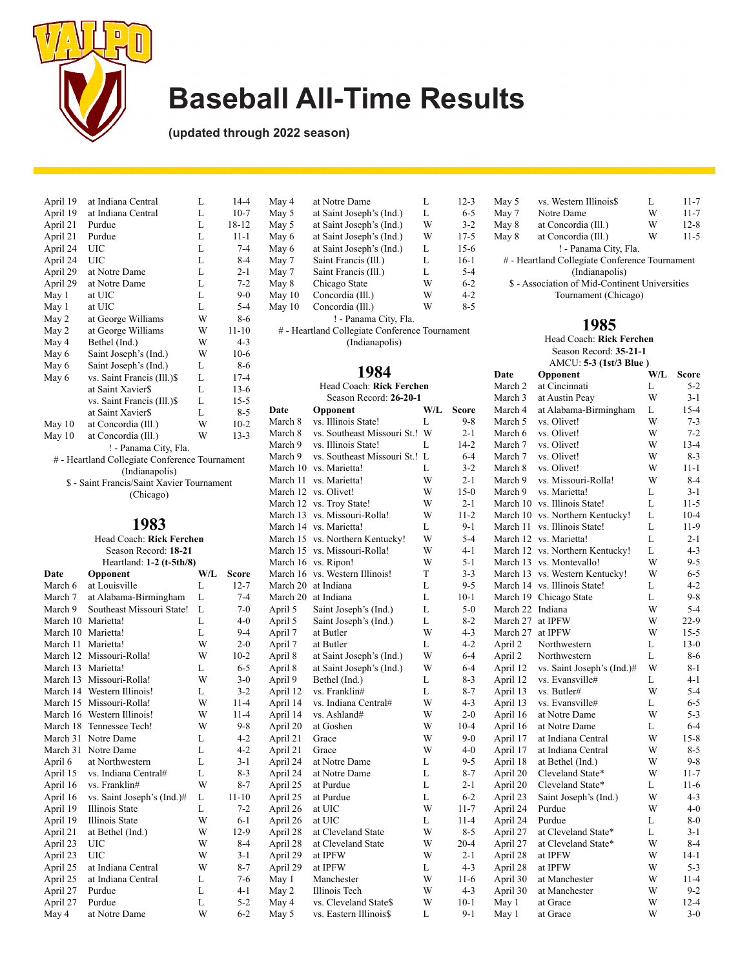

**(updated through 2022 season)**

| April 19 | at Indiana Central                             | L | $14 - 4$  |
|----------|------------------------------------------------|---|-----------|
| April 19 | at Indiana Central                             | L | $10-7$    |
| April 21 | Purdue                                         | L | $18 - 12$ |
| April 21 | Purdue                                         | L | $11 - 1$  |
| April 24 | UIC                                            | L | $7 - 4$   |
| April 24 | UIC                                            | L | $8 - 4$   |
| April 29 | at Notre Dame                                  | L | $2 - 1$   |
| April 29 | at Notre Dame                                  | L | $7 - 2$   |
| May 1    | at UIC                                         | L | $9-0$     |
| May 1    | at UIC                                         | L | $5 - 4$   |
| May 2    | at George Williams                             | W | $8-6$     |
| May 2    | at George Williams                             | W | $11 - 10$ |
| May 4    | Bethel (Ind.)                                  | W | $4 - 3$   |
| May 6    | Saint Joseph's (Ind.)                          | W | $10-6$    |
| May 6    | Saint Joseph's (Ind.)                          | L | $8-6$     |
| May 6    | vs. Saint Francis (Ill.)\$                     | L | $17 - 4$  |
|          | at Saint Xavier\$                              | L | $13-6$    |
|          | vs. Saint Francis (Ill.)\$                     | L | $15 - 5$  |
|          | at Saint Xavier\$                              | L | $8 - 5$   |
| May $10$ | at Concordia (Ill.)                            | W | $10-2$    |
| May $10$ | at Concordia (Ill.)                            | W | $13 - 3$  |
|          | ! - Panama City, Fla.                          |   |           |
|          | # - Heartland Collegiate Conference Tournament |   |           |
|          |                                                |   |           |

(Indianapolis) \$ - Saint Francis/Saint Xavier Tournament (Chicago)

### **1983**

|                          |                    | Head Coach: Rick Ferchen   |     |              | March 15 |
|--------------------------|--------------------|----------------------------|-----|--------------|----------|
| Season Record: 18-21     |                    |                            |     |              | March 15 |
| Heartland: 1-2 (t-5th/8) |                    |                            |     |              | March 16 |
|                          | Date               | Opponent                   | W/L | <b>Score</b> | March 16 |
|                          | March 6            | at Louisville              | L   | $12 - 7$     | March 20 |
|                          | March 7            | at Alabama-Birmingham      | L   | $7 - 4$      | March 20 |
|                          | March 9            | Southeast Missouri State!  | L   | $7-0$        | April 5  |
|                          | March 10           | Marietta!                  | L   | $4 - 0$      | April 5  |
|                          | March 10           | Marietta!                  | L   | $9 - 4$      | April 7  |
|                          | March 11           | Marietta!                  | W   | $2 - 0$      | April 7  |
|                          |                    | March 12 Missouri-Rolla!   | W   | $10-2$       | April 8  |
|                          | March 13 Marietta! |                            | L   | $6 - 5$      | April 8  |
|                          | March 13           | Missouri-Rolla!            | W   | $3 - 0$      | April 9  |
|                          | March 14           | Western Illinois!          | L   | $3 - 2$      | April 12 |
|                          | March 15           | Missouri-Rolla!            | W   | $11 - 4$     | April 14 |
|                          | March 16           | Western Illinois!          | W   | $11 - 4$     | April 14 |
|                          | March 18           | Tennessee Tech!            | W   | $9 - 8$      | April 20 |
|                          | March 31           | Notre Dame                 | L   | $4 - 2$      | April 21 |
|                          | March 31           | Notre Dame                 | L   | $4 - 2$      | April 21 |
|                          | April 6            | at Northwestern            | L   | $3 - 1$      | April 24 |
|                          | April 15           | vs. Indiana Central#       | L   | $8-3$        | April 24 |
|                          | April 16           | vs. Franklin#              | W   | $8 - 7$      | April 25 |
|                          | April 16           | vs. Saint Joseph's (Ind.)# | L   | $11 - 10$    | April 25 |
|                          | April 19           | <b>Illinois State</b>      | L   | $7 - 2$      | April 26 |
|                          | April 19           | Illinois State             | W   | $6 - 1$      | April 26 |
|                          | April 21           | at Bethel (Ind.)           | W   | $12-9$       | April 28 |
|                          | April 23           | <b>UIC</b>                 | W   | $8-4$        | April 28 |
|                          | April 23           | UIC                        | W   | $3 - 1$      | April 29 |
|                          | April 25           | at Indiana Central         | W   | $8 - 7$      | April 29 |
|                          | April 25           | at Indiana Central         | L   | $7-6$        | May 1    |
|                          | April 27           | Purdue                     | L   | $4 - 1$      | May 2    |
|                          | April 27           | Purdue                     | L   | $5 - 2$      | May 4    |
|                          | May 4              | at Notre Dame              | W   | $6 - 2$      | May 5    |
|                          |                    |                            |     |              |          |

| at Notre Dame            | L | $12 - 3$                                                                |
|--------------------------|---|-------------------------------------------------------------------------|
| at Saint Joseph's (Ind.) | L | 6-5                                                                     |
| at Saint Joseph's (Ind.) | W | $3 - 2$                                                                 |
| at Saint Joseph's (Ind.) | W | $17 - 5$                                                                |
| at Saint Joseph's (Ind.) | L | $15-6$                                                                  |
| Saint Francis (Ill.)     | L | $16-1$                                                                  |
| Saint Francis (Ill.)     | L | $5 - 4$                                                                 |
| Chicago State            | W | $6 - 2$                                                                 |
| Concordia (Ill.)         | W | $4 - 2$                                                                 |
| Concordia (Ill.)         | W | $8 - 5$                                                                 |
|                          |   |                                                                         |
|                          |   |                                                                         |
|                          |   | ! - Panama City, Fla.<br># - Heartland Collegiate Conference Tournament |

(Indianapolis)

## **1984**

|          | Season Record: 26-20-1      |     |          |  |  |  |
|----------|-----------------------------|-----|----------|--|--|--|
| Date     | Opponent                    | W/L | Score    |  |  |  |
| March 8  | vs. Illinois State!         | L   | 9-8      |  |  |  |
| March 8  | vs. Southeast Missouri St.! | W   | $2 - 1$  |  |  |  |
| March 9  | vs. Illinois State!         | L   | $14 - 2$ |  |  |  |
| March 9  | vs. Southeast Missouri St.! | L   | $6 - 4$  |  |  |  |
| March 10 | vs. Marietta!               | L   | $3 - 2$  |  |  |  |
| March 11 | vs. Marietta!               | W   | $2 - 1$  |  |  |  |
| March 12 | vs. Olivet!                 | W   | $15-0$   |  |  |  |
| March 12 | vs. Troy State!             | W   | $2 - 1$  |  |  |  |
| March 13 | vs. Missouri-Rolla!         | W   | $11 - 2$ |  |  |  |
| March 14 | vs. Marietta!               | L   | $9-1$    |  |  |  |
| March 15 | vs. Northern Kentucky!      | W   | $5 - 4$  |  |  |  |
| March 15 | vs. Missouri-Rolla!         | W   | $4-1$    |  |  |  |
| March 16 | vs. Ripon!                  | W   | $5 - 1$  |  |  |  |
| March 16 | vs. Western Illinois!       | T   | $3 - 3$  |  |  |  |
| March 20 | at Indiana                  | L   | 9-5      |  |  |  |
| March 20 | at Indiana                  | L   | $10-1$   |  |  |  |
| April 5  | Saint Joseph's (Ind.)       | L   | $5-0$    |  |  |  |
| April 5  | Saint Joseph's (Ind.)       | L   | $8 - 2$  |  |  |  |
| April 7  | at Butler                   | W   | $4 - 3$  |  |  |  |
| April 7  | at Butler                   | L   | $4 - 2$  |  |  |  |
| April 8  | at Saint Joseph's (Ind.)    | W   | $6 - 4$  |  |  |  |
| April 8  | at Saint Joseph's (Ind.)    | W   | 6-4      |  |  |  |
| April 9  | Bethel (Ind.)               | L   | $8 - 3$  |  |  |  |
| April 12 | vs. Franklin#               | L   | $8-7$    |  |  |  |
| April 14 | vs. Indiana Central#        | W   | $4 - 3$  |  |  |  |
| April 14 | vs. Ashland#                | W   | $2 - 0$  |  |  |  |
| April 20 | at Goshen                   | W   | $10-4$   |  |  |  |
| April 21 | Grace                       | W   | $9-0$    |  |  |  |
| April 21 | Grace                       | W   | $4 - 0$  |  |  |  |
| April 24 | at Notre Dame               | L   | 9-5      |  |  |  |
| April 24 | at Notre Dame               | L   | $8 - 7$  |  |  |  |
| April 25 | at Purdue                   | L   | 2-1      |  |  |  |
| April 25 | at Purdue                   | L   | $6 - 2$  |  |  |  |
| April 26 | at UIC                      | W   | $11 - 7$ |  |  |  |
| April 26 | at UIC                      | L   | $11 - 4$ |  |  |  |
| April 28 | at Cleveland State          | W   | $8-5$    |  |  |  |
| April 28 | at Cleveland State          | W   | $20 - 4$ |  |  |  |
| April 29 | at IPFW                     | W   | 2-1      |  |  |  |
| April 29 | at IPFW                     | L   | $4 - 3$  |  |  |  |
| May 1    | Manchester                  | W   | $11-6$   |  |  |  |
| May 2    | Illinois Tech               | W   | $4 - 3$  |  |  |  |
| May 4    | vs. Cleveland State\$       | W   | $10-1$   |  |  |  |
| May 5    | vs. Eastern Illinois\$      | L   | $9 - 1$  |  |  |  |
|          |                             |     |          |  |  |  |

| May 5                 | vs. Western Illinois\$                         | L | $11 - 7$ |  |  |
|-----------------------|------------------------------------------------|---|----------|--|--|
| May 7                 | Notre Dame                                     | W | $11 - 7$ |  |  |
| May 8                 | at Concordia (Ill.)                            | W | $12 - 8$ |  |  |
| May 8                 | at Concordia (Ill.)                            | W | $11 - 5$ |  |  |
| ! - Panama City, Fla. |                                                |   |          |  |  |
|                       | # - Heartland Collegiate Conference Tournament |   |          |  |  |
|                       | (Indianapolis)                                 |   |          |  |  |
|                       | \$ - Association of Mid-Continent Universities |   |          |  |  |
| Tournament (Chicago)  |                                                |   |          |  |  |
|                       |                                                |   |          |  |  |

### **1985**

Head Coach: **Rick Ferchen** Season Record: **35-21-1** AMCU: **5-3 (1st/3 Blue )**

|           | Date     | Opponent                   | W/L | Score    |
|-----------|----------|----------------------------|-----|----------|
|           | March 2  | at Cincinnati              | L   | $5-2$    |
|           | March 3  | at Austin Peay             | W   | $3-1$    |
| e.        | March 4  | at Alabama-Birmingham      | L   | 15-4     |
| -8        | March 5  | vs. Olivet!                | W   | $7 - 3$  |
| $\cdot 1$ | March 6  | vs. Olivet!                | W   | 7-2      |
| $\cdot$ 2 | March 7  | vs. Olivet!                | W   | $13 - 4$ |
| $\cdot$ 4 | March 7  | vs. Olivet!                | W   | $8-3$    |
| .2        | March 8  | vs. Olivet!                | W   | 11-1     |
| $\cdot 1$ | March 9  | vs. Missouri-Rolla!        | W   | $8 - 4$  |
| -0        | March 9  | vs. Marietta!              | L   | $3-1$    |
| -1        | March 10 | vs. Illinois State!        | L   | 11-5     |
| $\cdot$   | March 10 | vs. Northern Kentucky!     | L   | $10 - 4$ |
| -1        | March 11 | vs. Illinois State!        | L   | 11-9     |
| .4        | March 12 | vs. Marietta!              | L   | $2 - 1$  |
| -1        | March 12 | vs. Northern Kentucky!     | L   | $4 - 3$  |
| -1        | March 13 | vs. Montevallo!            | W   | $9 - 5$  |
| .3        | March 13 | vs. Western Kentucky!      | W   | $6 - 5$  |
| .5        | March 14 | vs. Illinois State!        | L   | $4 - 2$  |
| $\cdot 1$ | March 19 | Chicago State              | L   | $9 - 8$  |
| -0        | March 22 | Indiana                    | W   | $5 - 4$  |
| .2        | March 27 | at IPFW                    | W   | $22-9$   |
| $\cdot$ 3 | March 27 | at IPFW                    | W   | $15 - 5$ |
| $\cdot$ 2 | April 2  | Northwestern               | L   | $13-0$   |
| -4        | April 2  | Northwestern               | L   | 8-6      |
| $\cdot$ 4 | April 12 | vs. Saint Joseph's (Ind.)# | W   | $8 - 1$  |
| 3         | April 12 | vs. Evansville#            | L   | $4 - 1$  |
| -7        | April 13 | vs. Butler#                | W   | $5 - 4$  |
| $\cdot$ 3 | April 13 | vs. Evansville#            | L   | $6 - 5$  |
| $\cdot 0$ | April 16 | at Notre Dame              | W   | $5 - 3$  |
| $\cdot$ 4 | April 16 | at Notre Dame              | L   | $6 - 4$  |
| $\cdot 0$ | April 17 | at Indiana Central         | W   | $15-8$   |
| $\cdot 0$ | April 17 | at Indiana Central         | W   | $8 - 5$  |
| .5        | April 18 | at Bethel (Ind.)           | W   | $9-8$    |
| -7        | April 20 | Cleveland State*           | W   | $11 - 7$ |
| -1        | April 20 | Cleveland State*           | L   | 11-6     |
| .2        | April 23 | Saint Joseph's (Ind.)      | W   | $4 - 3$  |
| -7        | April 24 | Purdue                     | W   | $4 - 0$  |
| .4        | April 24 | Purdue                     | L   | $8-0$    |
| $\cdot$ 5 | April 27 | at Cleveland State*        | L   | $3 - 1$  |
| .4        | April 27 | at Cleveland State*        | W   | $8 - 4$  |
| -1        | April 28 | at IPFW                    | W   | $14-1$   |
| $\cdot$ 3 | April 28 | at IPFW                    | W   | $5 - 3$  |
| -6        | April 30 | at Manchester              | W   | $11 - 4$ |
| $\cdot$ 3 | April 30 | at Manchester              | W   | $9 - 2$  |
| $\cdot 1$ | May 1    | at Grace                   | W   | $12 - 4$ |
| $\cdot$ 1 | May 1    | at Grace                   | W   | $3 - 0$  |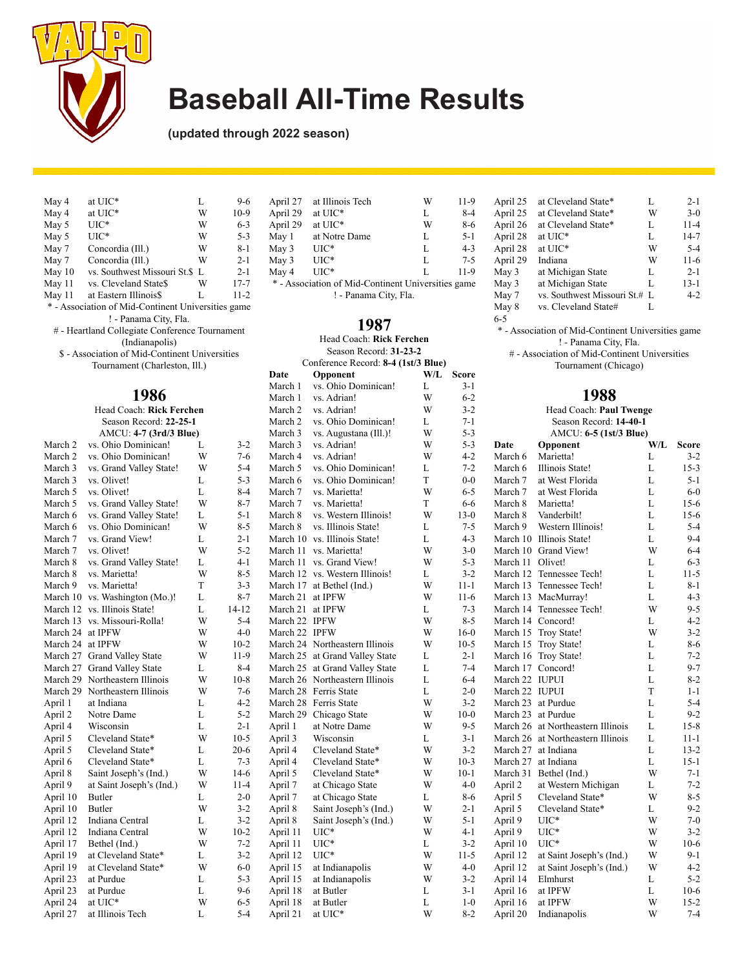

**(updated through 2022 season)**

| May 4                                              | at UIC*                      | L | $9-6$    |
|----------------------------------------------------|------------------------------|---|----------|
| May 4                                              | at UIC*                      | W | $10-9$   |
| May 5                                              | $_{\mathrm{UIC}^*}$          | W | $6 - 3$  |
| May 5                                              | UIC*                         | W | $5 - 3$  |
| May 7                                              | Concordia (Ill.)             | W | $8 - 1$  |
| May 7                                              | Concordia (Ill.)             | W | $2 - 1$  |
| May $10$                                           | vs. Southwest Missouri St.\$ | L | $2 - 1$  |
| May 11                                             | vs. Cleveland State\$        | W | $17 - 7$ |
| May 11                                             | at Eastern Illinois\$        | L | $11 - 2$ |
| * - Association of Mid-Continent Universities game |                              |   |          |
|                                                    |                              |   |          |

! - Panama City, Fla. # - Heartland Collegiate Conference Tournament

(Indianapolis)

\$ - Association of Mid-Continent Universities Tournament (Charleston, Ill.)

## **1986**

|                    | Head Coach: Rick Ferchen  |   |          | March |
|--------------------|---------------------------|---|----------|-------|
|                    | Season Record: 22-25-1    |   |          | March |
|                    | AMCU: 4-7 (3rd/3 Blue)    |   |          | March |
| March 2            | vs. Ohio Dominican!       | L | $3 - 2$  | March |
| March <sub>2</sub> | vs. Ohio Dominican!       | W | $7-6$    | March |
| March 3            | vs. Grand Valley State!   | W | $5 - 4$  | March |
| March 3            | vs. Olivet!               | L | $5 - 3$  | March |
| March 5            | vs. Olivet!               | L | $8-4$    | March |
| March 5            | vs. Grand Valley State!   | W | $8 - 7$  | March |
| March 6            | vs. Grand Valley State!   | L | $5 - 1$  | March |
| March 6            | vs. Ohio Dominican!       | W | $8 - 5$  | March |
| March 7            | vs. Grand View!           | L | $2 - 1$  | March |
| March 7            | vs. Olivet!               | W | $5 - 2$  | March |
| March 8            | vs. Grand Valley State!   | L | $4 - 1$  | March |
| March 8            | vs. Marietta!             | W | $8 - 5$  | March |
| March 9            | vs. Marietta!             | T | $3 - 3$  | Marcl |
| March 10           | vs. Washington (Mo.)!     | L | $8 - 7$  | March |
| March 12           | vs. Illinois State!       | L | 14-12    | March |
| March 13           | vs. Missouri-Rolla!       | W | 5-4      | March |
| March 24           | at IPFW                   | W | $4 - 0$  | March |
| March 24           | at IPFW                   | W | $10-2$   | March |
| March 27           | <b>Grand Valley State</b> | W | $11-9$   | March |
| March 27           | <b>Grand Valley State</b> | L | $8-4$    | March |
| March 29           | Northeastern Illinois     | W | $10-8$   | March |
| March 29           | Northeastern Illinois     | W | $7-6$    | March |
| April 1            | at Indiana                | L | $4 - 2$  | March |
| April 2            | Notre Dame                | L | $5-2$    | March |
| April 4            | Wisconsin                 | L | $2 - 1$  | April |
| April 5            | Cleveland State*          | W | $10-5$   | April |
| April 5            | Cleveland State*          | L | $20-6$   | April |
| April 6            | Cleveland State*          | L | $7 - 3$  | April |
| April 8            | Saint Joseph's (Ind.)     | W | $14-6$   | April |
| April 9            | at Saint Joseph's (Ind.)  | W | $11 - 4$ | April |
| April 10           | Butler                    | L | $2 - 0$  | April |
| April 10           | <b>Butler</b>             | W | $3 - 2$  | April |
| April 12           | Indiana Central           | L | $3 - 2$  | April |
| April 12           | Indiana Central           | W | $10-2$   | April |
| April 17           | Bethel (Ind.)             | W | $7 - 2$  | April |
| April 19           | at Cleveland State*       | L | $3 - 2$  | April |
| April 19           | at Cleveland State*       | W | $6-0$    | April |
| April 23           | at Purdue                 | L | $5 - 3$  | April |
| April 23           | at Purdue                 | L | $9-6$    | April |
| April 24           | at UIC*                   | W | $6 - 5$  | April |
| April 27           | at Illinois Tech          | L | $5 - 4$  | April |

| April 27                                           | at Illinois Tech | W | $11-9$  |  |
|----------------------------------------------------|------------------|---|---------|--|
| April 29                                           | at UIC*          | L | $8-4$   |  |
| April 29                                           | at UIC*          | W | $8 - 6$ |  |
| May 1                                              | at Notre Dame    | L | $5-1$   |  |
| May 3                                              | $_{\rm UIC^*}$   | L | $4 - 3$ |  |
| May 3                                              | $UIC^*$          | L | $7 - 5$ |  |
| May 4                                              | $_{\rm UIC^*}$   | L | $11-9$  |  |
| * - Association of Mid-Continent Universities game |                  |   |         |  |
| ! - Panama City, Fla.                              |                  |   |         |  |

#### **1987**

#### Head Coach: **Rick Ferchen** Season Record: **31-23-2**

| Conference Record: 8-4 (1st/3 Blue) |                       |     |          |
|-------------------------------------|-----------------------|-----|----------|
| Date                                | Opponent              | W/L | Score    |
| March 1                             | vs. Ohio Dominican!   | L   | $3 - 1$  |
| March 1                             | vs. Adrian!           | W   | $6 - 2$  |
| March 2                             | vs. Adrian!           | W   | $3 - 2$  |
| March <sub>2</sub>                  | vs. Ohio Dominican!   | L   | $7 - 1$  |
| March 3                             | vs. Augustana (Ill.)! | W   | $5 - 3$  |
| March 3                             | vs. Adrian!           | W   | $5 - 3$  |
| March 4                             | vs. Adrian!           | W   | $4 - 2$  |
| March 5                             | vs. Ohio Dominican!   | L   | $7 - 2$  |
| March 6                             | vs. Ohio Dominican!   | T   | $0 - 0$  |
| March 7                             | vs. Marietta!         | W   | $6 - 5$  |
| March 7                             | vs. Marietta!         | T   | $6 - 6$  |
| March 8                             | vs. Western Illinois! | W   | $13-0$   |
| March 8                             | vs. Illinois State!   | L   | $7 - 5$  |
| March 10                            | vs. Illinois State!   | L   | $4 - 3$  |
| March 11                            | vs. Marietta!         | W   | $3 - 0$  |
| March 11                            | vs. Grand View!       | W   | $5 - 3$  |
| March 12                            | vs. Western Illinois! | L   | $3 - 2$  |
| March 17                            | at Bethel (Ind.)      | W   | $11 - 1$ |
| March 21                            | at IPFW               | W   | $11-6$   |
| March 21                            | at IPFW               | L   | $7 - 3$  |
| March 22                            | <b>IPFW</b>           | W   | $8 - 5$  |
| March 22                            | <b>IPFW</b>           | W   | $16-0$   |
| March 24                            | Northeastern Illinois | W   | $10-5$   |
| March 25                            | at Grand Valley State | L   | $2 - 1$  |
| March 25                            | at Grand Valley State | L   | $7 - 4$  |
| March 26                            | Northeastern Illinois | L   | $6 - 4$  |
| March 28                            | Ferris State          | L   | $2 - 0$  |
| March 28                            | Ferris State          | W   | $3 - 2$  |
| March 29                            | Chicago State         | W   | $10-0$   |
| April 1                             | at Notre Dame         | W   | $9 - 5$  |
| April 3                             | Wisconsin             | L   | $3 - 1$  |
| April 4                             | Cleveland State*      | W   | $3 - 2$  |
| April 4                             | Cleveland State*      | W   | $10-3$   |
| April 5                             | Cleveland State*      | W   | $10-1$   |
| April 7                             | at Chicago State      | W   | $4 - 0$  |
| April 7                             | at Chicago State      | L   | $8 - 6$  |
| April 8                             | Saint Joseph's (Ind.) | W   | $2 - 1$  |
| April 8                             | Saint Joseph's (Ind.) | W   | $5 - 1$  |
| April 11                            | $_{\mathrm{UIC}^*}$   | W   | $4 - 1$  |
| April 11                            | UIC*                  | L   | $3 - 2$  |
| April 12                            | $_{\mathrm{UIC}^*}$   | W   | $11-5$   |
| April 15                            | at Indianapolis       | W   | $4 - 0$  |
| April 15                            | at Indianapolis       | W   | $3 - 2$  |
| April 18                            | at Butler             | L   | $3 - 1$  |
| April 18                            | at Butler             | L   | $1-0$    |
| April 21                            | at UIC*               | W   | $8 - 2$  |

| April 25 | at Cleveland State*           | L | $2 - 1$  |
|----------|-------------------------------|---|----------|
| April 25 | at Cleveland State*           | W | $3-0$    |
| April 26 | at Cleveland State*           | L | $11 - 4$ |
| April 28 | at UIC*                       | L | $14-7$   |
| April 28 | at UIC*                       | W | $5 - 4$  |
| April 29 | Indiana                       | W | $11-6$   |
| May 3    | at Michigan State             | L | $2 - 1$  |
| May 3    | at Michigan State             | L | 13-1     |
| May 7    | vs. Southwest Missouri St.# L |   | $4-2$    |
| May 8    | vs. Cleveland State#          | L |          |
| $6 - 5$  |                               |   |          |

\* - Association of Mid-Continent Universities game ! - Panama City, Fla.

# - Association of Mid-Continent Universities Tournament (Chicago)

| $3-2$    | Head Coach: Paul Twenge |                          |     |          |
|----------|-------------------------|--------------------------|-----|----------|
| $7 - 1$  |                         | Season Record: 14-40-1   |     |          |
| $5 - 3$  |                         | AMCU: 6-5 (1st/3 Blue)   |     |          |
| $5 - 3$  | Date                    | Opponent                 | W/L | Score    |
| $4 - 2$  | March 6                 | Marietta!                | L   | $3 - 2$  |
| $7 - 2$  | March 6                 | Illinois State!          | L   | $15-3$   |
| $0 - 0$  | March 7                 | at West Florida          | L   | $5 - 1$  |
| $6 - 5$  | March 7                 | at West Florida          | L   | $6-0$    |
| 6-6      | March 8                 | Marietta!                | L   | $15-6$   |
| $13-0$   | March 8                 | Vanderbilt!              | L   | $15-6$   |
| $7 - 5$  | March 9                 | Western Illinois!        | L   | $5 - 4$  |
| $4 - 3$  | March 10                | Illinois State!          | L   | $9 - 4$  |
| $3 - 0$  | March 10                | Grand View!              | W   | $6 - 4$  |
| $5 - 3$  | March 11                | Olivet!                  | L   | $6 - 3$  |
| $3 - 2$  | March 12                | Tennessee Tech!          | L   | $11 - 5$ |
| $11 - 1$ | March 13                | Tennessee Tech!          | L   | $8 - 1$  |
| $11-6$   | March 13                | MacMurray!               | L   | $4 - 3$  |
| $7 - 3$  | March 14                | Tennessee Tech!          | W   | $9 - 5$  |
| $8 - 5$  | March 14                | Concord!                 | L   | $4 - 2$  |
| $16-0$   | March 15                | Troy State!              | W   | $3 - 2$  |
| $10-5$   | March 15                | Troy State!              | L   | $8-6$    |
| $2 - 1$  | March 16                | Troy State!              | L   | $7 - 2$  |
| $7 - 4$  | March 17                | Concord!                 | L   | $9 - 7$  |
| $6 - 4$  | March 22                | <b>IUPUI</b>             | L   | $8-2$    |
| $2 - 0$  | March 22                | <b>IUPUI</b>             | T   | $1 - 1$  |
| $3 - 2$  | March 23                | at Purdue                | L   | $5 - 4$  |
| $10-0$   | March 23                | at Purdue                | L   | $9 - 2$  |
| 9-5      | March 26                | at Northeastern Illinois | L   | $15-8$   |
| $3 - 1$  | March 26                | at Northeastern Illinois | L   | $11 - 1$ |
| $3 - 2$  | March 27                | at Indiana               | L   | $13 - 2$ |
| $10-3$   | March 27                | at Indiana               | L   | $15-1$   |
| $10-1$   | March 31                | Bethel (Ind.)            | W   | $7 - 1$  |
| $4 - 0$  | April 2                 | at Western Michigan      | L   | $7 - 2$  |
| $8-6$    | April 5                 | Cleveland State*         | W   | $8 - 5$  |
| $2 - 1$  | April 5                 | Cleveland State*         | L   | $9 - 2$  |
| $5 - 1$  | April 9                 | $UIC*$                   | W   | $7-0$    |
| $4 - 1$  | April 9                 | $_{\mathrm{UIC}^*}$      | W   | $3 - 2$  |
| $3 - 2$  | April 10                | $_{\mathrm{UIC}^*}$      | W   | $10-6$   |
| $11-5$   | April 12                | at Saint Joseph's (Ind.) | W   | 9-1      |
| $4 - 0$  | April 12                | at Saint Joseph's (Ind.) | W   | $4 - 2$  |
| $3 - 2$  | April 14                | Elmhurst                 | L   | $5 - 2$  |
| $3 - 1$  | April 16                | at IPFW                  | L   | $10-6$   |
| $1 - 0$  | April 16                | at IPFW                  | W   | $15-2$   |
| $8 - 2$  | April 20                | Indianapolis             | W   | $7 - 4$  |
|          |                         |                          |     |          |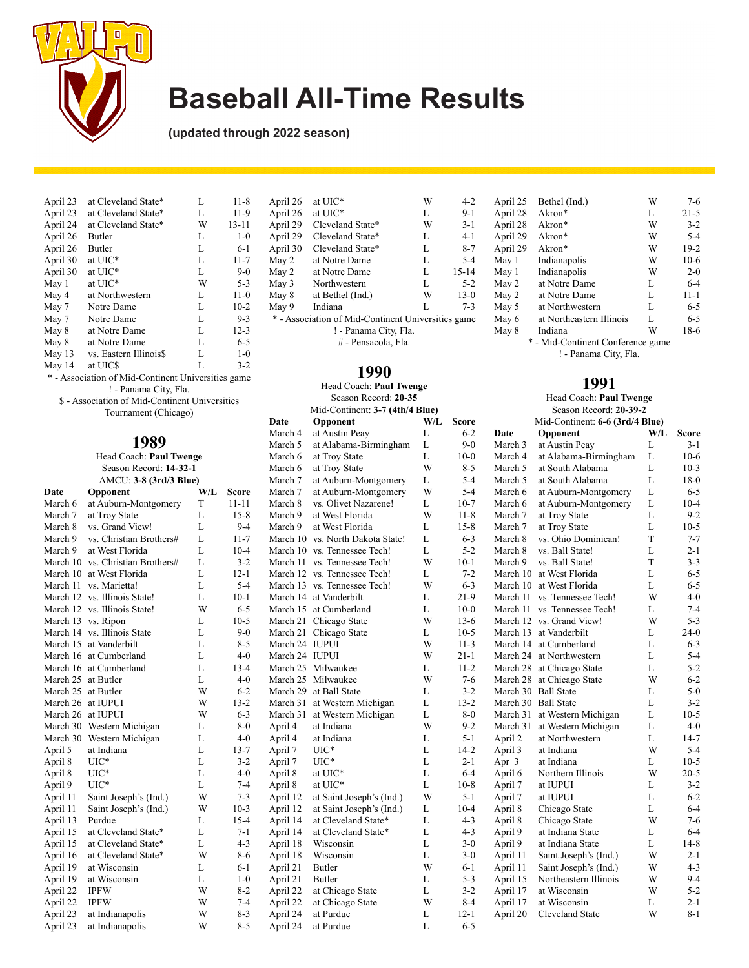

**(updated through 2022 season)**

| April 23 | at Cleveland State*    | L | $11 - 8$  |
|----------|------------------------|---|-----------|
| April 23 | at Cleveland State*    | L | $11-9$    |
| April 24 | at Cleveland State*    | W | $13 - 11$ |
| April 26 | <b>Butler</b>          | L | $1 - 0$   |
| April 26 | Butler                 | L | $6-1$     |
| April 30 | at UIC*                | L | $11 - 7$  |
| April 30 | at UIC*                | L | $9-0$     |
| May 1    | at UIC*                | W | $5 - 3$   |
| May 4    | at Northwestern        | L | $11-0$    |
| May 7    | Notre Dame             | L | $10-2$    |
| May 7    | Notre Dame             | L | $9 - 3$   |
| May 8    | at Notre Dame          | L | $12 - 3$  |
| May 8    | at Notre Dame          | L | $6 - 5$   |
| May 13   | vs. Eastern Illinois\$ | L | $1 - 0$   |
| May 14   | at UIC\$               | L | $3 - 2$   |

\* - Association of Mid-Continent Universities game ! - Panama City, Fla.

\$ - Association of Mid-Continent Universities Tournament (Chicago)

## **1989**

#### Head Coach: **Paul Twenge** Season Record: **14-32-1** AMCU: **3-8 (3rd/3 Blue)**

| Date     | Opponent                | W/L | Score     |
|----------|-------------------------|-----|-----------|
| March 6  | at Auburn-Montgomery    | T   | $11 - 11$ |
| March 7  | at Troy State           | L   | $15-8$    |
| March 8  | vs. Grand View!         | L   | $9 - 4$   |
| March 9  | vs. Christian Brothers# | L   | $11 - 7$  |
| March 9  | at West Florida         | L   | $10 - 4$  |
| March 10 | vs. Christian Brothers# | L   | $3 - 2$   |
| March 10 | at West Florida         | L   | $12 - 1$  |
| March 11 | vs. Marietta!           | L   | $5 - 4$   |
| March 12 | vs. Illinois State!     | L   | $10 - 1$  |
| March 12 | vs. Illinois State!     | W   | $6 - 5$   |
| March 13 | vs. Ripon               | L   | $10-5$    |
| March 14 | vs. Illinois State      | L   | $9 - 0$   |
| March 15 | at Vanderbilt           | L   | $8 - 5$   |
| March 16 | at Cumberland           | L   | $4 - 0$   |
| March 16 | at Cumberland           | L   | $13 - 4$  |
| March 25 | at Butler               | L   | $4 - 0$   |
| March 25 | at Butler               | W   | $6 - 2$   |
| March 26 | at IUPUI                | W   | $13 - 2$  |
| March 26 | at IUPUI                | W   | $6 - 3$   |
| March 30 | Western Michigan        | L   | $8-0$     |
| March 30 | Western Michigan        | L   | $4 - 0$   |
| April 5  | at Indiana              | L   | $13 - 7$  |
| April 8  | $_{\mathrm{UIC}^*}$     | L   | $3 - 2$   |
| April 8  | $_{\mathrm{UIC}^*}$     | L   | $4 - 0$   |
| April 9  | $_{\mathrm{UIC}^*}$     | L   | $7 - 4$   |
| April 11 | Saint Joseph's (Ind.)   | W   | $7 - 3$   |
| April 11 | Saint Joseph's (Ind.)   | W   | $10-3$    |
| April 13 | Purdue                  | L   | $15 - 4$  |
| April 15 | at Cleveland State*     | L   | $7 - 1$   |
| April 15 | at Cleveland State*     | L   | $4 - 3$   |
| April 16 | at Cleveland State*     | W   | $8 - 6$   |
| April 19 | at Wisconsin            | L   | $6 - 1$   |
| April 19 | at Wisconsin            | L   | $1-0$     |
| April 22 | <b>IPFW</b>             | W   | $8 - 2$   |
| April 22 | <b>IPFW</b>             | W   | $7 - 4$   |
| April 23 | at Indianapolis         | W   | $8-3$     |
| April 23 | at Indianapolis         | W   | $8 - 5$   |

| April 26                                           | at UIC*          | W | $4 - 2$   |  |  |
|----------------------------------------------------|------------------|---|-----------|--|--|
| April 26                                           | at UIC*          | L | $9 - 1$   |  |  |
| April 29                                           | Cleveland State* | W | $3-1$     |  |  |
| April 29                                           | Cleveland State* | L | $4 - 1$   |  |  |
| April 30                                           | Cleveland State* | L | $8 - 7$   |  |  |
| May 2                                              | at Notre Dame    | L | $5 - 4$   |  |  |
| May 2                                              | at Notre Dame    | L | $15 - 14$ |  |  |
| May 3                                              | Northwestern     | L | $5 - 2$   |  |  |
| May 8                                              | at Bethel (Ind.) | W | $13-0$    |  |  |
| May 9                                              | Indiana          | L | $7 - 3$   |  |  |
| * - Association of Mid-Continent Universities game |                  |   |           |  |  |
| ! - Panama City, Fla.                              |                  |   |           |  |  |
| # - Pensacola, Fla.                                |                  |   |           |  |  |

## **1990**

|          | Head Coach: Paul Twenge         |     |          |
|----------|---------------------------------|-----|----------|
|          | Season Record: 20-35            |     |          |
|          | Mid-Continent: 3-7 (4th/4 Blue) |     |          |
| Date     | Opponent                        | W/L | Score    |
| March 4  | at Austin Peay                  | L   | $6 - 2$  |
| March 5  | at Alabama-Birmingham           | L   | $9-0$    |
| March 6  | at Troy State                   | L   | $10-0$   |
| March 6  | at Troy State                   | W   | $8 - 5$  |
| March 7  | at Auburn-Montgomery            | L   | $5 - 4$  |
| March 7  | at Auburn-Montgomery            | W   | $5 - 4$  |
| March 8  | vs. Olivet Nazarene!            | L   | $10-7$   |
| March 9  | at West Florida                 | W   | $11 - 8$ |
| March 9  | at West Florida                 | L   | $15 - 8$ |
| March 10 | vs. North Dakota State!         | L   | $6 - 3$  |
| March 10 | vs. Tennessee Tech!             | L   | $5 - 2$  |
| March 11 | vs. Tennessee Tech!             | W   | $10-1$   |
| March 12 | vs. Tennessee Tech!             | L   | $7 - 2$  |
| March 13 | vs. Tennessee Tech!             | W   | $6 - 3$  |
| March 14 | at Vanderbilt                   | L   | $21-9$   |
| March 15 | at Cumberland                   | L   | $10-0$   |
| March 21 | Chicago State                   | W   | $13-6$   |
| March 21 | Chicago State                   | L   | $10-5$   |
| March 24 | <b>IUPUI</b>                    | W   | $11 - 3$ |
| March 24 | <b>IUPUI</b>                    | W   | $21 - 1$ |
| March 25 | Milwaukee                       | L   | $11 - 2$ |
| March 25 | Milwaukee                       | W   | $7 - 6$  |
| March 29 | at Ball State                   | L   | $3 - 2$  |
| March 31 | at Western Michigan             | L   | $13 - 2$ |
| March 31 | at Western Michigan             | L   | $8 - 0$  |
| April 4  | at Indiana                      | W   | $9-2$    |
| April 4  | at Indiana                      | L   | $5 - 1$  |
| April 7  | $_{\mathrm{UIC}^*}$             | L   | $14-2$   |
| April 7  | $_{\mathrm{UIC}^*}$             | L   | $2 - 1$  |
| April 8  | at UIC*                         | L   | $6 - 4$  |
| April 8  | at UIC*                         | L   | $10-8$   |
| April 12 | at Saint Joseph's (Ind.)        | W   | $5 - 1$  |
| April 12 | at Saint Joseph's (Ind.)        | L   | $10 - 4$ |
| April 14 | at Cleveland State*             | L   | $4 - 3$  |
| April 14 | at Cleveland State*             | L   | $4 - 3$  |
| April 18 | Wisconsin                       | L   | $3-0$    |
| April 18 | Wisconsin                       | L   | $3 - 0$  |
| April 21 | Butler                          | W   | $6-1$    |
| April 21 | Butler                          | L   | $5 - 3$  |
| April 22 | at Chicago State                | L   | $3 - 2$  |
| April 22 | at Chicago State                | W   | $8 - 4$  |
| April 24 | at Purdue                       | L   | $12 - 1$ |
| April 24 | at Purdue                       | L   | $6 - 5$  |

| April 25 | Bethel (Ind.)                     | W | 7-6      |
|----------|-----------------------------------|---|----------|
| April 28 | Akron*                            | L | $21 - 5$ |
| April 28 | Akron*                            | W | $3-2$    |
| April 29 | $A$ kron $*$                      | W | $5 - 4$  |
| April 29 | $A$ kron $*$                      | W | $19-2$   |
| May 1    | Indianapolis                      | W | $10-6$   |
| May 1    | Indianapolis                      | W | $2-0$    |
| May 2    | at Notre Dame                     | L | $6 - 4$  |
| May 2    | at Notre Dame                     | L | $11 - 1$ |
| May 5    | at Northwestern                   | L | $6 - 5$  |
| May 6    | at Northeastern Illinois          | L | $6 - 5$  |
| May 8    | Indiana                           | W | $18-6$   |
|          | * - Mid-Continent Conference game |   |          |
|          |                                   |   |          |

! - Panama City, Fla.

### **1991**

#### Head Coach: **Paul Twenge** Season Record: **20-39-2** Mid-Continent: **6-6 (3rd/4 Blue) Date Opponent W/L** Score

| $\circ$ $\sim$ | vau      | ⇔թթուռու              |   | nan      |
|----------------|----------|-----------------------|---|----------|
| $9-0$          | March 3  | at Austin Peay        | L | $3 - 1$  |
| $0-0$          | March 4  | at Alabama-Birmingham | L | $10-6$   |
| $8 - 5$        | March 5  | at South Alabama      | L | $10-3$   |
| $5 - 4$        | March 5  | at South Alabama      | L | $18-0$   |
| $5 - 4$        | March 6  | at Auburn-Montgomery  | L | $6 - 5$  |
| $0 - 7$        | March 6  | at Auburn-Montgomery  | L | $10 - 4$ |
| $1 - 8$        | March 7  | at Troy State         | L | $9 - 2$  |
| $5 - 8$        | March 7  | at Troy State         | L | $10-5$   |
| $6 - 3$        | March 8  | vs. Ohio Dominican!   | T | $7 - 7$  |
| $5 - 2$        | March 8  | vs. Ball State!       | L | $2 - 1$  |
| $0 - 1$        | March 9  | vs. Ball State!       | T | $3 - 3$  |
| $7 - 2$        | March 10 | at West Florida       | L | $6 - 5$  |
| $6 - 3$        | March 10 | at West Florida       | L | $6 - 5$  |
| $1-9$          | March 11 | vs. Tennessee Tech!   | W | $4 - 0$  |
| $0-0$          | March 11 | vs. Tennessee Tech!   | L | $7 - 4$  |
| $3-6$          | March 12 | vs. Grand View!       | W | $5 - 3$  |
| $0 - 5$        | March 13 | at Vanderbilt         | L | $24-0$   |
| $1 - 3$        | March 14 | at Cumberland         | L | $6 - 3$  |
| $1 - 1$        | March 24 | at Northwestern       | L | $5 - 4$  |
| $1 - 2$        | March 28 | at Chicago State      | L | $5 - 2$  |
| $7 - 6$        | March 28 | at Chicago State      | W | $6 - 2$  |
| $3 - 2$        | March 30 | <b>Ball State</b>     | L | $5 - 0$  |
| $3 - 2$        | March 30 | <b>Ball State</b>     | L | $3 - 2$  |
| $8-0$          | March 31 | at Western Michigan   | L | $10-5$   |
| $9 - 2$        | March 31 | at Western Michigan   | L | $4 - 0$  |
| $5 - 1$        | April 2  | at Northwestern       | L | 14-7     |
| $4 - 2$        | April 3  | at Indiana            | W | $5 - 4$  |
| $2 - 1$        | Apr 3    | at Indiana            | L | $10-5$   |
| $6 - 4$        | April 6  | Northern Illinois     | W | $20-5$   |
| $0 - 8$        | April 7  | at IUPUI              | L | $3 - 2$  |
| $5 - 1$        | April 7  | at IUPUI              | L | $6 - 2$  |
| $0 - 4$        | April 8  | Chicago State         | L | $6 - 4$  |
| $4 - 3$        | April 8  | Chicago State         | W | $7-6$    |
| $4 - 3$        | April 9  | at Indiana State      | L | $6 - 4$  |
| $3-0$          | April 9  | at Indiana State      | L | 14-8     |
| $3 - 0$        | April 11 | Saint Joseph's (Ind.) | W | $2 - 1$  |
| $6 - 1$        | April 11 | Saint Joseph's (Ind.) | W | $4 - 3$  |
| $5 - 3$        | April 15 | Northeastern Illinois | W | 9-4      |
| $3 - 2$        | April 17 | at Wisconsin          | W | $5 - 2$  |
| $8 - 4$        | April 17 | at Wisconsin          | L | $2 - 1$  |
| $2 - 1$        | April 20 | Cleveland State       | W | $8 - 1$  |
| $6 - 5$        |          |                       |   |          |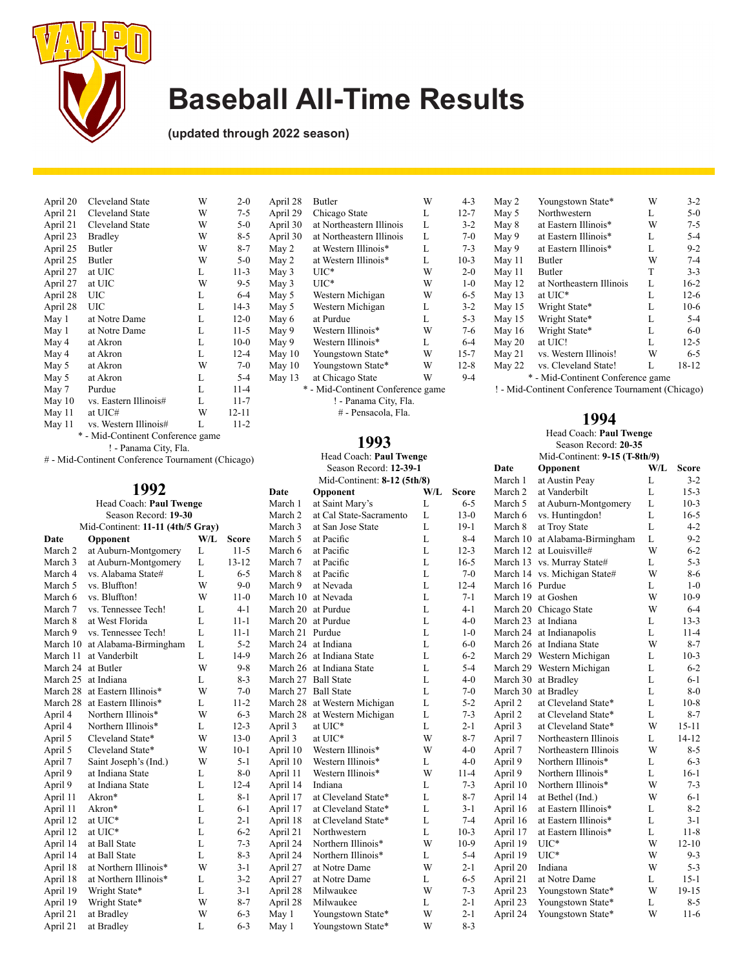

**(updated through 2022 season)**

| April 20<br>Cleveland State     | W | $2 - 0$                           |
|---------------------------------|---|-----------------------------------|
| April 21<br>Cleveland State     | W | $7 - 5$                           |
| Cleveland State                 | W | $5-0$                             |
| April 23<br><b>Bradley</b>      | W | $8 - 5$                           |
| April 25<br>Butler              | W | $8 - 7$                           |
| April 25<br>Butler              | W | $5-0$                             |
| at UIC<br>April 27              | L | $11-3$                            |
| April 27<br>at UIC              | W | $9 - 5$                           |
| April 28<br>UIC                 | L | $6 - 4$                           |
| April 28<br>UIC                 | L | $14-3$                            |
| at Notre Dame                   | L | $12-0$                            |
| at Notre Dame                   | L | 11-5                              |
| at Akron                        | L | $10-0$                            |
| at Akron                        | L | $12 - 4$                          |
| at Akron                        | W | $7-0$                             |
| at Akron                        | L | $5 - 4$                           |
| Purdue                          | L | $11 - 4$                          |
| vs. Eastern Illinois#<br>May 10 | L | $11 - 7$                          |
| at UIC#                         | W | $12 - 11$                         |
| vs. Western Illinois#           | L | 11-2                              |
|                                 |   |                                   |
|                                 |   | * - Mid-Continent Conference game |

! - Panama City, Fla.

# - Mid-Continent Conference Tournament (Chicago)

| 1992               |                                   |     |           |  |
|--------------------|-----------------------------------|-----|-----------|--|
|                    | Head Coach: Paul Twenge           |     |           |  |
|                    | Season Record: 19-30              |     |           |  |
|                    | Mid-Continent: 11-11 (4th/5 Gray) |     |           |  |
| Date               | Opponent                          | W/L | Score     |  |
| March <sub>2</sub> | at Auburn-Montgomery              | L   | $11 - 5$  |  |
| March <sub>3</sub> | at Auburn-Montgomery              | L   | $13 - 12$ |  |
| March 4            | vs. Alabama State#                | L   | $6 - 5$   |  |
| March 5            | vs. Bluffton!                     | W   | $9-0$     |  |
| March 6            | vs. Bluffton!                     | W   | $11-0$    |  |
| March 7            | vs. Tennessee Tech!               | L   | $4 - 1$   |  |
| March 8            | at West Florida                   | L   | $11 - 1$  |  |
| March 9            | vs. Tennessee Tech!               | L   | $11 - 1$  |  |
| March 10           | at Alabama-Birmingham             | L   | $5 - 2$   |  |
| March 11           | at Vanderbilt                     | L   | $14-9$    |  |
| March 24           | at Butler                         | W   | $9 - 8$   |  |
| March 25           | at Indiana                        | L   | $8 - 3$   |  |
| March 28           | at Eastern Illinois*              | W   | $7 - 0$   |  |
| March 28           | at Eastern Illinois*              | L   | $11 - 2$  |  |
| April 4            | Northern Illinois*                | W   | $6 - 3$   |  |
| April 4            | Northern Illinois*                | L   | $12 - 3$  |  |
| April 5            | Cleveland State*                  | W   | $13-0$    |  |
| April 5            | Cleveland State*                  | W   | $10-1$    |  |
| April 7            | Saint Joseph's (Ind.)             | W   | $5 - 1$   |  |
| April 9            | at Indiana State                  | L   | $8 - 0$   |  |
| April 9            | at Indiana State                  | L   | $12 - 4$  |  |
| April 11           | Akron*                            | L   | $8 - 1$   |  |
| April 11           | Akron*                            | L   | $6 - 1$   |  |
| April 12           | at UIC*                           | L   | $2 - 1$   |  |
| April 12           | at UIC*                           | L   | $6 - 2$   |  |
| April 14           | at Ball State                     | L   | $7 - 3$   |  |
| April 14           | at Ball State                     | L   | $8 - 3$   |  |
| April 18           | at Northern Illinois*             | W   | $3 - 1$   |  |
| April 18           | at Northern Illinois*             | L   | $3 - 2$   |  |
| April 19           | Wright State*                     | L   | $3 - 1$   |  |
| April 19           | Wright State*                     | W   | $8 - 7$   |  |

April 19 Wright State\* W 8-7<br>April 21 at Bradley W 6-3 April 21 at Bradley W 6-3<br>
April 21 at Bradley L 6-3

April 21 at Bradley

| April 28 | Butler                            | W | $4 - 3$  |
|----------|-----------------------------------|---|----------|
| April 29 | Chicago State                     | L | $12 - 7$ |
| April 30 | at Northeastern Illinois          | L | $3 - 2$  |
| April 30 | at Northeastern Illinois          | L | $7 - 0$  |
| May 2    | at Western Illinois*              | L | $7 - 3$  |
| May 2    | at Western Illinois*              | L | $10-3$   |
| May 3    | UIC*                              | W | $2 - 0$  |
| May 3    | $UIC^*$                           | W | $1-0$    |
| May 5    | Western Michigan                  | W | $6 - 5$  |
| May 5    | Western Michigan                  | L | $3 - 2$  |
| May 6    | at Purdue                         | L | $5 - 3$  |
| May 9    | Western Illinois*                 | W | $7-6$    |
| May 9    | Western Illinois*                 | L | $6 - 4$  |
| May 10   | Youngstown State*                 | W | $15 - 7$ |
| May 10   | Youngstown State*                 | W | $12 - 8$ |
| May 13   | at Chicago State                  | W | $9-4$    |
|          | * - Mid-Continent Conference game |   |          |
|          | ! - Panama City, Fla.             |   |          |

# - Pensacola, Fla.

#### **1993**

Head Coach: **Paul Twenge** Season Record: **12-39-1**

|                    | Mid-Continent: 8-12 (5th/8) |     |          |
|--------------------|-----------------------------|-----|----------|
| Date               | Opponent                    | W/L | Score    |
| March 1            | at Saint Mary's             | L   | $6 - 5$  |
| March <sub>2</sub> | at Cal State-Sacramento     | L   | $13-0$   |
| March 3            | at San Jose State           | L   | $19-1$   |
| March 5            | at Pacific                  | L   | $8-4$    |
| March 6            | at Pacific                  | L   | $12 - 3$ |
| March 7            | at Pacific                  | L   | $16-5$   |
| March 8            | at Pacific                  | L   | $7 - 0$  |
| March 9            | at Nevada                   | L   | $12 - 4$ |
| March 10           | at Nevada                   | L   | $7 - 1$  |
| March 20           | at Purdue                   | L   | $4 - 1$  |
| March 20           | at Purdue                   | L   | $4 - 0$  |
| March 21           | Purdue                      | L   | $1 - 0$  |
| March 24           | at Indiana                  | L   | $6 - 0$  |
| March 26           | at Indiana State            | L   | $6 - 2$  |
| March 26           | at Indiana State            | L   | $5 - 4$  |
| March 27           | <b>Ball State</b>           | L   | $4 - 0$  |
| March 27           | <b>Ball State</b>           | L   | $7 - 0$  |
| March 28           | at Western Michigan         | L   | $5 - 2$  |
| March 28           | at Western Michigan         | L   | $7 - 3$  |
| April 3            | at UIC*                     | L   | 2-1      |
| April 3            | at UIC*                     | W   | $8 - 7$  |
| April 10           | Western Illinois*           | W   | $4 - 0$  |
| April 10           | Western Illinois*           | L   | $4 - 0$  |
| April 11           | Western Illinois*           | W   | $11 - 4$ |
| April 14           | Indiana                     | L   | $7 - 3$  |
| April 17           | at Cleveland State*         | L   | $8 - 7$  |
| April 17           | at Cleveland State*         | L   | $3-1$    |
| April 18           | at Cleveland State*         | L   | $7 - 4$  |
| April 21           | Northwestern                | L   | $10-3$   |
| April 24           | Northern Illinois*          | W   | $10-9$   |
| April 24           | Northern Illinois*          | L   | $5 - 4$  |
| April 27           | at Notre Dame               | W   | 2-1      |
| April 27           | at Notre Dame               | L   | $6 - 5$  |
| April 28           | Milwaukee                   | W   | $7 - 3$  |
| April 28           | Milwaukee                   | L   | 2-1      |
| May 1              | Youngstown State*           | W   | $2 - 1$  |
| May 1              | Youngstown State*           | W   | $8 - 3$  |
|                    |                             |     |          |

| May 2    | Youngstown State*                 | W | $3-2$    |
|----------|-----------------------------------|---|----------|
| May 5    | Northwestern                      | L | $5 - 0$  |
| May 8    | at Eastern Illinois*              | W | $7 - 5$  |
| May 9    | at Eastern Illinois*              | L | $5 - 4$  |
| May 9    | at Eastern Illinois*              | L | $9 - 2$  |
| May 11   | <b>Butler</b>                     | W | $7 - 4$  |
| May 11   | <b>Butler</b>                     | T | $3 - 3$  |
| May 12   | at Northeastern Illinois          | L | $16-2$   |
| May 13   | at UIC*                           | L | $12-6$   |
| May $15$ | Wright State*                     | L | $10-6$   |
| May $15$ | Wright State*                     | L | $5 - 4$  |
| May $16$ | Wright State*                     | L | $6-0$    |
| May 20   | at UIC!                           | L | $12 - 5$ |
| May 21   | vs. Western Illinois!             | W | $6 - 5$  |
| May 22   | vs. Cleveland State!              | L | 18-12    |
|          | * - Mid-Continent Conference game |   |          |

! - Mid-Continent Conference Tournament (Chicago)

#### **1994**

#### Head Coach: **Paul Twenge** Season Record: **20-35** Mid-Continent: **9-15 (T-8th/9)**

|                | MIG-COMMENT: 9-15 (1-601/9) |                       |     |              |
|----------------|-----------------------------|-----------------------|-----|--------------|
|                | Date                        | Opponent              | W/L | <b>Score</b> |
|                | March 1                     | at Austin Peay        | L   | $3 - 2$      |
| e              | March 2                     | at Vanderbilt         | L   | $15 - 3$     |
| 5              | March 5                     | at Auburn-Montgomery  | L   | $10-3$       |
| 0              | March 6                     | vs. Huntingdon!       | L   | $16 - 5$     |
| 1              | March 8                     | at Troy State         | L   | $4 - 2$      |
| 4              | March 10                    | at Alabama-Birmingham | L   | $9 - 2$      |
| 3              | March 12                    | at Louisville#        | W   | $6 - 2$      |
| 5              | March 13                    | vs. Murray State#     | L   | $5 - 3$      |
| 0              | March 14                    | vs. Michigan State#   | W   | $8-6$        |
| 4              | March 16                    | Purdue                | L   | $1-0$        |
| 1              | March 19                    | at Goshen             | W   | $10-9$       |
| $\mathbf{1}$   | March 20                    | Chicago State         | W   | $6 - 4$      |
| $\overline{0}$ | March 23                    | at Indiana            | L   | $13 - 3$     |
| 0              | March 24                    | at Indianapolis       | L   | $11 - 4$     |
| 0              | March 26                    | at Indiana State      | W   | $8 - 7$      |
| $\overline{c}$ | March 29                    | Western Michigan      | L   | $10-3$       |
| 4              | March 29                    | Western Michigan      | L   | $6 - 2$      |
| 0              | March 30                    | at Bradley            | L   | $6 - 1$      |
| 0              | March 30                    | at Bradley            | L   | $8 - 0$      |
| $\overline{c}$ | April 2                     | at Cleveland State*   | L   | $10-8$       |
| 3              | April 2                     | at Cleveland State*   | L   | $8 - 7$      |
| 1              | April 3                     | at Cleveland State*   | W   | 15-11        |
| 7              | April 7                     | Northeastern Illinois | L   | $14 - 12$    |
| 0              | April 7                     | Northeastern Illinois | W   | $8 - 5$      |
| 0              | April 9                     | Northern Illinois*    | L   | $6 - 3$      |
| 4              | April 9                     | Northern Illinois*    | L   | $16-1$       |
| 3              | April 10                    | Northern Illinois*    | W   | $7 - 3$      |
| 7              | April 14                    | at Bethel (Ind.)      | W   | $6 - 1$      |
| 1              | April 16                    | at Eastern Illinois*  | L   | $8 - 2$      |
| 4              | April 16                    | at Eastern Illinois*  | L   | $3 - 1$      |
| 3              | April 17                    | at Eastern Illinois*  | L   | $11 - 8$     |
| 9              | April 19                    | $UIC*$                | W   | $12 - 10$    |
| 4              | April 19                    | UIC*                  | W   | $9 - 3$      |
| 1              | April 20                    | Indiana               | W   | $5 - 3$      |
| 5              | April 21                    | at Notre Dame         | L   | $15 - 1$     |
| 3              | April 23                    | Youngstown State*     | W   | 19-15        |
| 1              | April 23                    | Youngstown State*     | L   | $8 - 5$      |
| 1              | April 24                    | Youngstown State*     | W   | $11-6$       |
| 3              |                             |                       |     |              |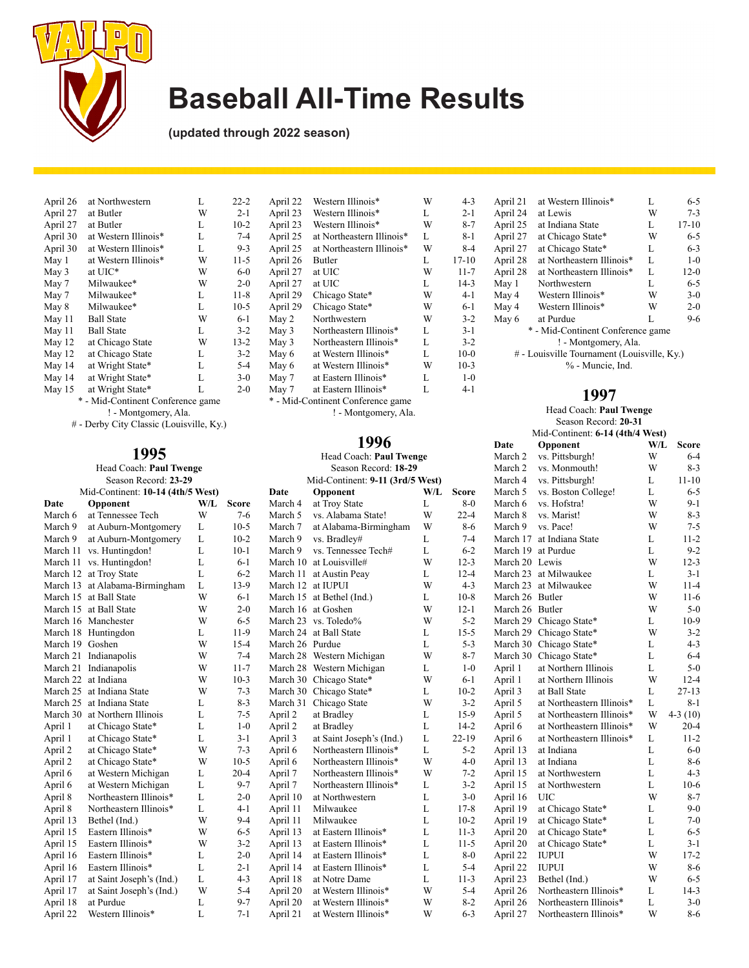

**(updated through 2022 season)**

| W<br>$2 - 1$  |
|---------------|
| $10-2$<br>L   |
| $7 - 4$<br>L  |
| L<br>$9 - 3$  |
| $11-5$<br>W   |
| W<br>$6 - 0$  |
| $2 - 0$<br>W  |
| $11 - 8$<br>L |
| $10-5$<br>L   |
| $6-1$<br>W    |
| L<br>$3 - 2$  |
| W<br>$13 - 2$ |
| L<br>$3 - 2$  |
| L<br>$5 - 4$  |
| L<br>$3-0$    |
| L<br>$2 - 0$  |
|               |

\* - Mid-Continent Conference game ! - Montgomery, Ala.

# - Derby City Classic (Louisville, Ky.)

### **1995**

#### Head Coach: **Paul Twenge** Season Record: **23-29**

| SCASOII RECOIU. 23-29 |          |                                   |     |              |                 | MIU-COMMICIII. I-II   |
|-----------------------|----------|-----------------------------------|-----|--------------|-----------------|-----------------------|
|                       |          | Mid-Continent: 10-14 (4th/5 West) |     |              | Date            | Opponent              |
|                       | Date     | Opponent                          | W/L | <b>Score</b> | March 4         | at Troy State         |
|                       | March 6  | at Tennessee Tech                 | W   | $7-6$        | March 5         | vs. Alabama State!    |
|                       | March 9  | at Auburn-Montgomery              | L   | $10-5$       | March 7         | at Alabama-Birming    |
|                       | March 9  | at Auburn-Montgomery              | L   | $10-2$       | March 9         | vs. Bradley#          |
|                       | March 11 | vs. Huntingdon!                   | L   | $10-1$       | March 9         | vs. Tennessee Tech#   |
|                       | March 11 | vs. Huntingdon!                   | L   | $6 - 1$      | March 10        | at Louisville#        |
|                       | March 12 | at Troy State                     | L   | $6 - 2$      | March 11        | at Austin Peay        |
|                       | March 13 | at Alabama-Birmingham             | L   | $13-9$       | March 12        | at IUPUI              |
|                       | March 15 | at Ball State                     | W   | $6 - 1$      | March 15        | at Bethel (Ind.)      |
|                       | March 15 | at Ball State                     | W   | $2 - 0$      | March 16        | at Goshen             |
|                       |          | March 16 Manchester               | W   | $6 - 5$      | March 23        | vs. Toledo%           |
|                       | March 18 | Huntingdon                        | L   | $11-9$       | March 24        | at Ball State         |
|                       | March 19 | Goshen                            | W   | $15 - 4$     | March 26 Purdue |                       |
|                       | March 21 | Indianapolis                      | W   | $7 - 4$      | March 28        | Western Michigan      |
|                       | March 21 | Indianapolis                      | W   | $11 - 7$     | March 28        | Western Michigan      |
|                       | March 22 | at Indiana                        | W   | $10-3$       | March 30        | Chicago State*        |
|                       | March 25 | at Indiana State                  | W   | $7 - 3$      | March 30        | Chicago State*        |
|                       | March 25 | at Indiana State                  | L   | $8 - 3$      | March 31        | Chicago State         |
|                       | March 30 | at Northern Illinois              | L   | $7 - 5$      | April 2         | at Bradley            |
|                       | April 1  | at Chicago State*                 | L   | $1-0$        | April 2         | at Bradley            |
|                       | April 1  | at Chicago State*                 | L   | $3 - 1$      | April 3         | at Saint Joseph's (In |
|                       | April 2  | at Chicago State*                 | W   | $7 - 3$      | April 6         | Northeastern Illinoi  |
|                       | April 2  | at Chicago State*                 | W   | $10-5$       | April 6         | Northeastern Illinoi  |
|                       | April 6  | at Western Michigan               | L   | $20 - 4$     | April 7         | Northeastern Illinoi  |
|                       | April 6  | at Western Michigan               | L   | $9 - 7$      | April 7         | Northeastern Illinoi  |
|                       | April 8  | Northeastern Illinois*            | L   | $2 - 0$      | April 10        | at Northwestern       |
|                       | April 8  | Northeastern Illinois*            | L   | $4 - 1$      | April 11        | Milwaukee             |
|                       | April 13 | Bethel (Ind.)                     | W   | $9 - 4$      | April 11        | Milwaukee             |
|                       | April 15 | Eastern Illinois*                 | W   | $6 - 5$      | April 13        | at Eastern Illinois*  |
|                       | April 15 | Eastern Illinois*                 | W   | $3 - 2$      | April 13        | at Eastern Illinois*  |
|                       | April 16 | Eastern Illinois*                 | L   | $2 - 0$      | April 14        | at Eastern Illinois*  |
|                       | April 16 | Eastern Illinois*                 | L   | $2 - 1$      | April 14        | at Eastern Illinois*  |
|                       | April 17 | at Saint Joseph's (Ind.)          | L   | $4 - 3$      | April 18        | at Notre Dame         |
|                       | April 17 | at Saint Joseph's (Ind.)          | W   | $5 - 4$      | April 20        | at Western Illinois*  |
|                       | April 18 | at Purdue                         | L   | $9 - 7$      | April 20        | at Western Illinois*  |
|                       | April 22 | Western Illinois*                 | L   | $7 - 1$      | April 21        | at Western Illinois*  |
|                       |          |                                   |     |              |                 |                       |

| April 23                          | Western Illinois*         | L | $2 - 1$   |  |  |
|-----------------------------------|---------------------------|---|-----------|--|--|
| April 23                          | Western Illinois*         | W | $8 - 7$   |  |  |
| April 25                          | at Northeastern Illinois* | L | $8 - 1$   |  |  |
| April 25                          | at Northeastern Illinois* | W | $8-4$     |  |  |
| April 26                          | Butler                    | L | $17 - 10$ |  |  |
| April 27                          | at UIC                    | W | $11 - 7$  |  |  |
| April 27                          | at UIC                    | L | $14-3$    |  |  |
| April 29                          | Chicago State*            | W | $4 - 1$   |  |  |
| April 29                          | Chicago State*            | W | $6-1$     |  |  |
| May 2                             | Northwestern              | W | $3 - 2$   |  |  |
| May 3                             | Northeastern Illinois*    | L | $3 - 1$   |  |  |
| May 3                             | Northeastern Illinois*    | L | $3 - 2$   |  |  |
| May 6                             | at Western Illinois*      | L | $10-0$    |  |  |
| May 6                             | at Western Illinois*      | W | $10-3$    |  |  |
| May 7                             | at Eastern Illinois*      | L | $1 - 0$   |  |  |
| May 7                             | at Eastern Illinois*      | L | $4 - 1$   |  |  |
| * - Mid-Continent Conference game |                           |   |           |  |  |

April 22 Western Illinois\* W 4-3

 $\frac{17-10}{11-7}$ 

#### **1996**

| Head Coach: Paul Twenge<br>Season Record: 18-29 |                                  |     |           |  |  |
|-------------------------------------------------|----------------------------------|-----|-----------|--|--|
|                                                 | Mid-Continent: 9-11 (3rd/5 West) |     |           |  |  |
| Date                                            | Opponent                         | W/L | Score     |  |  |
| March 4                                         | at Troy State                    | L   | $8-0$     |  |  |
| March 5                                         | vs. Alabama State!               | W   | $22 - 4$  |  |  |
| March 7                                         | at Alabama-Birmingham            | W   | 8-6       |  |  |
| March 9                                         | vs. Bradley#                     | L   | $7 - 4$   |  |  |
| March 9                                         | vs. Tennessee Tech#              | L   | $6 - 2$   |  |  |
| March 10                                        | at Louisville#                   | W   | $12 - 3$  |  |  |
| March 11                                        | at Austin Peay                   | L   | $12 - 4$  |  |  |
| March 12                                        | at IUPUI                         | W   | $4 - 3$   |  |  |
| March 15                                        | at Bethel (Ind.)                 | L   | $10-8$    |  |  |
| March 16                                        | at Goshen                        | W   | $12 - 1$  |  |  |
| March 23                                        | vs. Toledo%                      | W   | $5 - 2$   |  |  |
| March 24                                        | at Ball State                    | L   | $15 - 5$  |  |  |
| March 26                                        | Purdue                           | L   | $5 - 3$   |  |  |
| March 28                                        | Western Michigan                 | W   | $8 - 7$   |  |  |
| March 28                                        | Western Michigan                 | L   | $1 - 0$   |  |  |
| March 30                                        | Chicago State*                   | W   | $6 - 1$   |  |  |
| March 30                                        | Chicago State*                   | L   | $10-2$    |  |  |
| March 31                                        | Chicago State                    | W   | $3 - 2$   |  |  |
| April 2                                         | at Bradley                       | L   | 15-9      |  |  |
| April 2                                         | at Bradley                       | L   | $14 - 2$  |  |  |
| April 3                                         | at Saint Joseph's (Ind.)         | L   | $22 - 19$ |  |  |
| April 6                                         | Northeastern Illinois*           | L   | $5 - 2$   |  |  |
| April 6                                         | Northeastern Illinois*           | W   | $4 - 0$   |  |  |
| April 7                                         | Northeastern Illinois*           | W   | $7 - 2$   |  |  |
| April 7                                         | Northeastern Illinois*           | L   | $3 - 2$   |  |  |
| April 10                                        | at Northwestern                  | L   | $3 - 0$   |  |  |
| April 11                                        | Milwaukee                        | L   | $17 - 8$  |  |  |
| April 11                                        | Milwaukee                        | L   | $10-2$    |  |  |
| April 13                                        | at Eastern Illinois*             | L   | $11 - 3$  |  |  |
| April 13                                        | at Eastern Illinois*             | L   | $11-5$    |  |  |
| April 14                                        | at Eastern Illinois*             | L   | $8 - 0$   |  |  |
| April 14                                        | at Eastern Illinois*             | L   | $5 - 4$   |  |  |
| April 18                                        | at Notre Dame                    | L   | $11 - 3$  |  |  |

|                      | April 21                                    | at Western Illinois*              | L | $6 - 5$   |  |
|----------------------|---------------------------------------------|-----------------------------------|---|-----------|--|
|                      | April 24<br>at Lewis                        |                                   |   | $7 - 3$   |  |
|                      | April 25                                    | at Indiana State                  | L | $17 - 10$ |  |
|                      | April 27                                    | at Chicago State*                 | W | $6 - 5$   |  |
|                      | April 27                                    | at Chicago State*                 | L | $6 - 3$   |  |
|                      | April 28                                    | at Northeastern Illinois*         | L | $1 - 0$   |  |
|                      | April 28                                    | at Northeastern Illinois*         | L | $12-0$    |  |
|                      | May 1                                       | Northwestern                      | L | $6 - 5$   |  |
|                      | May 4                                       | Western Illinois*                 | W | $3-0$     |  |
|                      | May 4                                       | Western Illinois*                 | W | $2 - 0$   |  |
|                      | May 6                                       | at Purdue                         | L | $9-6$     |  |
|                      |                                             | * - Mid-Continent Conference game |   |           |  |
| ! - Montgomery, Ala. |                                             |                                   |   |           |  |
|                      | # - Louisville Tournament (Louisville, Ky.) |                                   |   |           |  |
|                      | % - Muncie, Ind.                            |                                   |   |           |  |

| ! - Montgomery, Ala. |                                  |     | Head Coach: Paul Twenge |                                  |                           |     |           |
|----------------------|----------------------------------|-----|-------------------------|----------------------------------|---------------------------|-----|-----------|
|                      |                                  |     |                         | Season Record: 20-31             |                           |     |           |
|                      |                                  |     |                         | Mid-Continent: 6-14 (4th/4 West) |                           |     |           |
|                      | 1996                             |     |                         | Date                             | Opponent                  | W/L | Score     |
|                      | Head Coach: Paul Twenge          |     |                         | March 2                          | vs. Pittsburgh!           | W   | $6 - 4$   |
|                      | Season Record: 18-29             |     |                         | March 2                          | vs. Monmouth!             | W   | $8 - 3$   |
|                      | Mid-Continent: 9-11 (3rd/5 West) |     |                         | March 4                          | vs. Pittsburgh!           | L   | $11 - 10$ |
| Date                 | Opponent                         | W/L | <b>Score</b>            | March 5                          | vs. Boston College!       | L   | $6 - 5$   |
| March 4              | at Troy State                    | L   | $8-0$                   | March 6                          | vs. Hofstra!              | W   | 9-1       |
| March 5              | vs. Alabama State!               | W   | $22 - 4$                | March 8                          | vs. Marist!               | W   | $8-3$     |
| March 7              | at Alabama-Birmingham            | W   | 8-6                     | March 9                          | vs. Pace!                 | W   | $7 - 5$   |
| March 9              | vs. Bradley#                     | L   | $7 - 4$                 |                                  | March 17 at Indiana State | L   | $11 - 2$  |
| March 9              | vs. Tennessee Tech#              | L   | $6 - 2$                 |                                  | March 19 at Purdue        | L   | $9 - 2$   |
| March 10             | at Louisville#                   | W   | $12 - 3$                | March 20 Lewis                   |                           | W   | $12 - 3$  |
| March 11             | at Austin Peay                   | L   | $12 - 4$                |                                  | March 23 at Milwaukee     | L   | $3 - 1$   |
| March 12 at IUPUI    |                                  | W   | $4 - 3$                 |                                  | March 23 at Milwaukee     | W   | $11 - 4$  |
|                      | March 15 at Bethel (Ind.)        | L   | $10-8$                  | March 26 Butler                  |                           | W   | $11-6$    |
|                      | March 16 at Goshen               | W   | $12 - 1$                | March 26 Butler                  |                           | W   | $5 - 0$   |
|                      | March 23 vs. Toledo%             | W   | $5-2$                   |                                  | March 29 Chicago State*   | L   | $10-9$    |
|                      | March 24 at Ball State           | L   | $15 - 5$                |                                  | March 29 Chicago State*   | W   | $3 - 2$   |
| March 26 Purdue      |                                  | L   | $5 - 3$                 |                                  | March 30 Chicago State*   | L   | $4 - 3$   |
|                      | March 28 Western Michigan        | W   | $8 - 7$                 |                                  | March 30 Chicago State*   | L   | $6 - 4$   |
|                      | March 28 Western Michigan        | L   | $1-0$                   | April 1                          | at Northern Illinois      | L   | $5 - 0$   |
|                      | March 30 Chicago State*          | W   | 6-1                     | April 1                          | at Northern Illinois      | W   | $12 - 4$  |
|                      | March 30 Chicago State*          | L   | $10-2$                  | April 3                          | at Ball State             | L   | $27 - 13$ |
|                      | March 31 Chicago State           | W   | $3 - 2$                 | April 5                          | at Northeastern Illinois* | L   | $8 - 1$   |
| April 2              | at Bradley                       | L   | $15-9$                  | April 5                          | at Northeastern Illinois* | W   | $4-3(10)$ |
| April 2              | at Bradley                       | L   | $14 - 2$                | April 6                          | at Northeastern Illinois* | W   | $20 - 4$  |
| April 3              | at Saint Joseph's (Ind.)         | L   | $22 - 19$               | April 6                          | at Northeastern Illinois* | L   | $11 - 2$  |
| April 6              | Northeastern Illinois*           | L   | $5 - 2$                 | April 13                         | at Indiana                | L   | $6 - 0$   |
| April 6              | Northeastern Illinois*           | W   | $4 - 0$                 | April 13                         | at Indiana                | L   | $8 - 6$   |
| April 7              | Northeastern Illinois*           | W   | $7-2$                   | April 15                         | at Northwestern           | L   | $4 - 3$   |
| April 7              | Northeastern Illinois*           | L   | $3 - 2$                 | April 15                         | at Northwestern           | L   | $10-6$    |
| April 10             | at Northwestern                  | L   | $3-0$                   | April 16                         | UIC                       | W   | $8 - 7$   |
| April 11             | Milwaukee                        | L   | $17-8$                  | April 19                         | at Chicago State*         | L   | $9-0$     |
| April 11             | Milwaukee                        | L   | $10-2$                  | April 19                         | at Chicago State*         | L   | $7-0$     |
| April 13             | at Eastern Illinois*             | L   | $11 - 3$                | April 20                         | at Chicago State*         | L   | $6 - 5$   |
| April 13             | at Eastern Illinois*             | L   | $11 - 5$                | April 20                         | at Chicago State*         | L   | $3 - 1$   |
| April 14             | at Eastern Illinois*             | L   | $8-0$                   | April 22                         | IUPUI                     | W   | $17 - 2$  |
| April 14             | at Eastern Illinois*             | L   | $5 - 4$                 | April 22                         | <b>IUPUI</b>              | W   | $8 - 6$   |
| April 18             | at Notre Dame                    | L   | $11-3$                  | April 23                         | Bethel (Ind.)             | W   | $6 - 5$   |
| April 20             | at Western Illinois*             | W   | $5 - 4$                 | April 26                         | Northeastern Illinois*    | L   | $14-3$    |
| April 20             | at Western Illinois*             | W   | $8-2$                   | April 26                         | Northeastern Illinois*    | L   | $3-0$     |
| April 21             | at Western Illinois*             | W   | $6 - 3$                 | April 27                         | Northeastern Illinois*    | W   | $8 - 6$   |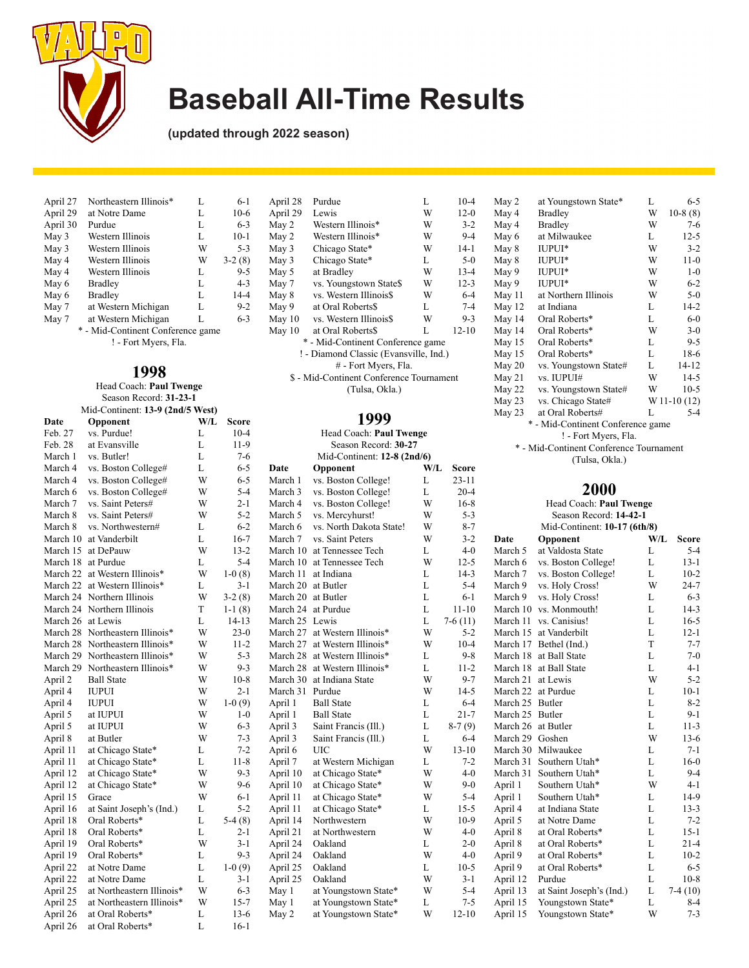

**(updated through 2022 season)**

| April 27 | Northeastern Illinois*            | L | $6-1$    |
|----------|-----------------------------------|---|----------|
| April 29 | at Notre Dame                     | L | $10-6$   |
| April 30 | Purdue                            | L | $6 - 3$  |
| May 3    | Western Illinois                  | L | $10-1$   |
| May 3    | Western Illinois                  | W | $5 - 3$  |
| May 4    | Western Illinois                  | W | $3-2(8)$ |
| May 4    | Western Illinois                  | L | $9 - 5$  |
| May 6    | Bradley                           | L | $4 - 3$  |
| May 6    | <b>Bradley</b>                    | L | $14 - 4$ |
| May 7    | at Western Michigan               | L | $9 - 2$  |
| May 7    | at Western Michigan               | L | $6 - 3$  |
|          | * - Mid-Continent Conference game |   |          |

! - Fort Myers, Fla.

### **1998**

| Head Coach: Paul Twenge                                |
|--------------------------------------------------------|
| Season Record: 31-23-1                                 |
| Mid-Continent: 13-9 (2nd/5 West)                       |
| <b>WITH</b><br>$\mathbf{\Omega}$ and $\mathbf{\Omega}$ |

| Date     | Opponent                  | W/L | Score    |         |
|----------|---------------------------|-----|----------|---------|
| Feb. 27  | vs. Purdue!               | L   | $10-4$   |         |
| Feb. 28  | at Evansville             | L   | $11-9$   |         |
| March 1  | vs. Butler!               | L   | $7 - 6$  |         |
| March 4  | vs. Boston College#       | L   | $6 - 5$  | Date    |
| March 4  | vs. Boston College#       | W   | $6 - 5$  | March   |
| March 6  | vs. Boston College#       | W   | $5 - 4$  | March   |
| March 7  | vs. Saint Peters#         | W   | $2 - 1$  | March   |
| March 8  | vs. Saint Peters#         | W   | $5 - 2$  | March   |
| March 8  | vs. Northwestern#         | L   | $6 - 2$  | March   |
| March 10 | at Vanderbilt             | L   | $16-7$   | March   |
| March 15 | at DePauw                 | W   | $13 - 2$ | March   |
| March 18 | at Purdue                 | L   | $5 - 4$  | March   |
| March 22 | at Western Illinois*      | W   | $1-0(8)$ | March   |
| March 22 | at Western Illinois*      | L   | $3 - 1$  | March   |
| March 24 | Northern Illinois         | W   | $3-2(8)$ | March   |
| March 24 | Northern Illinois         | T   | $1-1(8)$ | March   |
| March 26 | at Lewis                  | L   | 14-13    | March   |
| March 28 | Northeastern Illinois*    | W   | $23-0$   | March   |
| March 28 | Northeastern Illinois*    | W   | $11 - 2$ | March   |
| March 29 | Northeastern Illinois*    | W   | $5 - 3$  | March   |
| March 29 | Northeastern Illinois*    | W   | $9-3$    | March   |
| April 2  | <b>Ball State</b>         | W   | $10-8$   | March   |
| April 4  | <b>IUPUI</b>              | W   | $2 - 1$  | March   |
| April 4  | IUPUI                     | W   | $1-0(9)$ | April 1 |
| April 5  | at IUPUI                  | W   | $1 - 0$  | April 1 |
| April 5  | at IUPUI                  | W   | $6 - 3$  | April 3 |
| April 8  | at Butler                 | W   | $7 - 3$  | April 3 |
| April 11 | at Chicago State*         | L   | $7 - 2$  | April 6 |
| April 11 | at Chicago State*         | L   | $11 - 8$ | April 7 |
| April 12 | at Chicago State*         | W   | $9 - 3$  | April 1 |
| April 12 | at Chicago State*         | W   | $9-6$    | April 1 |
| April 15 | Grace                     | W   | $6-1$    | April 1 |
| April 16 | at Saint Joseph's (Ind.)  | L   | $5 - 2$  | April 1 |
| April 18 | Oral Roberts*             | L   | $5-4(8)$ | April 1 |
| April 18 | Oral Roberts*             | L   | $2 - 1$  | April 2 |
| April 19 | Oral Roberts*             | W   | $3 - 1$  | April 2 |
| April 19 | Oral Roberts*             | L   | $9 - 3$  | April 2 |
| April 22 | at Notre Dame             | L   | $1-0(9)$ | April 2 |
| April 22 | at Notre Dame             | L   | $3 - 1$  | April 2 |
| April 25 | at Northeastern Illinois* | W   | $6 - 3$  | May 1   |
| April 25 | at Northeastern Illinois* | W   | $15 - 7$ | May 1   |
| April 26 | at Oral Roberts*          | L   | $13-6$   | May 2   |
| April 26 | at Oral Roberts*          | L   | $16-1$   |         |
|          |                           |     |          |         |

| April 28                                 | Purdue                            | L | $10-4$    |  |  |  |
|------------------------------------------|-----------------------------------|---|-----------|--|--|--|
| April 29                                 | Lewis                             | W | $12-0$    |  |  |  |
| May 2                                    | Western Illinois*                 | W | $3 - 2$   |  |  |  |
| May 2                                    | Western Illinois*                 | W | $9 - 4$   |  |  |  |
| May 3                                    | Chicago State*                    | W | $14-1$    |  |  |  |
| May 3                                    | Chicago State*                    | L | $5 - 0$   |  |  |  |
| May 5                                    | at Bradley                        | W | $13 - 4$  |  |  |  |
| May 7                                    | vs. Youngstown State\$            | W | $12 - 3$  |  |  |  |
| May 8                                    | vs. Western Illinois\$            | W | $6 - 4$   |  |  |  |
| May 9                                    | at Oral Roberts\$                 | L | $7 - 4$   |  |  |  |
| May 10                                   | vs. Western Illinois\$            | W | $9 - 3$   |  |  |  |
| May 10                                   | at Oral Roberts\$                 | L | $12 - 10$ |  |  |  |
|                                          | * - Mid-Continent Conference game |   |           |  |  |  |
| ! - Diamond Classic (Evansville, Ind.)   |                                   |   |           |  |  |  |
| # - Fort Myers, Fla.                     |                                   |   |           |  |  |  |
| \$ - Mid-Continent Conference Tournament |                                   |   |           |  |  |  |
|                                          | (Tulsa, Okla.)                    |   |           |  |  |  |

#### **1999**

Head Coach: **Paul Twenge** Season Record: **30-27** Mid-Continent: **12-8 (2nd/6)**

| IVIIU-COIRIIIEIR. 12-0 (211U/0) |          |                         |     |           |
|---------------------------------|----------|-------------------------|-----|-----------|
|                                 | Date     | Opponent                | W/L | Score     |
|                                 | March 1  | vs. Boston College!     | L   | $23 - 11$ |
|                                 | March 3  | vs. Boston College!     | L   | $20 - 4$  |
|                                 | March 4  | vs. Boston College!     | W   | $16-8$    |
|                                 | March 5  | vs. Mercyhurst!         | W   | $5 - 3$   |
|                                 | March 6  | vs. North Dakota State! | W   | $8 - 7$   |
|                                 | March 7  | vs. Saint Peters        | W   | $3 - 2$   |
|                                 | March 10 | at Tennessee Tech       | L   | $4 - 0$   |
|                                 | March 10 | at Tennessee Tech       | W   | $12 - 5$  |
|                                 | March 11 | at Indiana              | L   | $14-3$    |
|                                 | March 20 | at Butler               | L   | $5 - 4$   |
|                                 | March 20 | at Butler               | L   | $6 - 1$   |
|                                 | March 24 | at Purdue               | L   | $11 - 10$ |
|                                 | March 25 | Lewis                   | L   | $7-6(11)$ |
|                                 | March 27 | at Western Illinois*    | W   | $5 - 2$   |
|                                 | March 27 | at Western Illinois*    | W   | $10 - 4$  |
|                                 | March 28 | at Western Illinois*    | L   | 9-8       |
|                                 | March 28 | at Western Illinois*    | L   | $11 - 2$  |
|                                 | March 30 | at Indiana State        | W   | $9 - 7$   |
|                                 | March 31 | Purdue                  | W   | $14 - 5$  |
|                                 | April 1  | <b>Ball State</b>       | L   | $6 - 4$   |
|                                 | April 1  | <b>Ball State</b>       | L   | $21 - 7$  |
|                                 | April 3  | Saint Francis (Ill.)    | L   | $8-7(9)$  |
|                                 | April 3  | Saint Francis (Ill.)    | L   | $6 - 4$   |
|                                 | April 6  | UIC                     | W   | $13 - 10$ |
|                                 | April 7  | at Western Michigan     | L   | $7 - 2$   |
|                                 | April 10 | at Chicago State*       | W   | $4 - 0$   |
|                                 | April 10 | at Chicago State*       | W   | $9 - 0$   |
|                                 | April 11 | at Chicago State*       | W   | $5 - 4$   |
|                                 | April 11 | at Chicago State*       | L   | $15 - 5$  |
|                                 | April 14 | Northwestern            | W   | $10-9$    |
|                                 | April 21 | at Northwestern         | W   | $4 - 0$   |
|                                 | April 24 | Oakland                 | L   | $2 - 0$   |
|                                 | April 24 | Oakland                 | W   | $4 - 0$   |
|                                 | April 25 | Oakland                 | L   | $10-5$    |
|                                 | April 25 | Oakland                 | W   | $3 - 1$   |
|                                 | May 1    | at Youngstown State*    | W   | $5 - 4$   |
|                                 | May 1    | at Youngstown State*    | L   | $7 - 5$   |
|                                 | May 2    | at Youngstown State*    | W   | $12 - 10$ |

| May 2                                    | at Youngstown State*  | L | $6 - 5$      |  |  |
|------------------------------------------|-----------------------|---|--------------|--|--|
| May 4                                    | Bradley               | W | $10-8(8)$    |  |  |
| May 4                                    | <b>Bradley</b>        | W | $7-6$        |  |  |
| May 6                                    | at Milwaukee          | L | $12-5$       |  |  |
| May 8                                    | IUPUI*                | W | $3 - 2$      |  |  |
| May 8                                    | IUPUI*                | W | $11 - 0$     |  |  |
| May 9                                    | IUPUI*                | W | $1 - 0$      |  |  |
| May 9                                    | IUPUI*                | W | $6 - 2$      |  |  |
| May 11                                   | at Northern Illinois  | W | $5 - 0$      |  |  |
| May 12                                   | at Indiana            | L | 14-2         |  |  |
| May 14                                   | Oral Roberts*         | L | $6 - 0$      |  |  |
| May 14                                   | Oral Roberts*         | W | $3-0$        |  |  |
| May 15                                   | Oral Roberts*         | L | $9 - 5$      |  |  |
| May 15                                   | Oral Roberts*         | L | 18-6         |  |  |
| May 20                                   | vs. Youngstown State# | L | $14 - 12$    |  |  |
| May 21                                   | vs. IUPUI#            | W | $14-5$       |  |  |
| May 22                                   | vs. Youngstown State# | W | $10-5$       |  |  |
| May 23                                   | vs. Chicago State#    |   | W 11-10 (12) |  |  |
| May 23                                   | at Oral Roberts#      | L | 5-4          |  |  |
| * - Mid-Continent Conference game        |                       |   |              |  |  |
| ! - Fort Myers, Fla.                     |                       |   |              |  |  |
| *<br>Mid Continent Conforance Tournament |                       |   |              |  |  |

Mid-Continent Conference Tournament (Tulsa, Okla.)

| -8   | Head Coach: Paul Twenge      |                          |     |              |  |  |
|------|------------------------------|--------------------------|-----|--------------|--|--|
| $-3$ | Season Record: 14-42-1       |                          |     |              |  |  |
| $-7$ | Mid-Continent: 10-17 (6th/8) |                          |     |              |  |  |
| $-2$ | Date                         | Opponent                 | W/L | <b>Score</b> |  |  |
| $-0$ | March 5                      | at Valdosta State        | L   | $5 - 4$      |  |  |
| -5   | March 6                      | vs. Boston College!      | L   | $13 - 1$     |  |  |
| $-3$ | March 7                      | vs. Boston College!      | L   | $10 - 2$     |  |  |
| $-4$ | March 9                      | vs. Holy Cross!          | W   | $24 - 7$     |  |  |
| $-1$ | March 9                      | vs. Holy Cross!          | L   | $6 - 3$      |  |  |
| 10   | March 10                     | vs. Monmouth!            | L   | $14-3$       |  |  |
| 1)   | March 11                     | vs. Canisius!            | L   | $16-5$       |  |  |
| $-2$ | March 15                     | at Vanderbilt            | L   | $12 - 1$     |  |  |
| $-4$ | March 17                     | Bethel (Ind.)            | T   | $7 - 7$      |  |  |
| $-8$ | March 18                     | at Ball State            | L   | $7 - 0$      |  |  |
| $-2$ | March 18                     | at Ball State            | L   | $4 - 1$      |  |  |
| $-7$ | March 21                     | at Lewis                 | W   | $5 - 2$      |  |  |
| -5   | March 22                     | at Purdue                | L   | $10 - 1$     |  |  |
| $-4$ | March 25 Butler              |                          | L   | $8 - 2$      |  |  |
| -7   | March 25                     | Butler                   | L   | $9 - 1$      |  |  |
| 9)   | March 26                     | at Butler                | L   | $11-3$       |  |  |
| $-4$ | March 29                     | Goshen                   | W   | $13-6$       |  |  |
| 10   | March 30                     | Milwaukee                | L   | $7 - 1$      |  |  |
| $-2$ | March 31                     | Southern Utah*           | L   | $16-0$       |  |  |
| $-0$ | March 31                     | Southern Utah*           | L   | $9-4$        |  |  |
| $-0$ | April 1                      | Southern Utah*           | W   | $4-1$        |  |  |
| $-4$ | April 1                      | Southern Utah*           | L   | 14-9         |  |  |
| $-5$ | April 4                      | at Indiana State         | L   | $13 - 3$     |  |  |
| -9   | April 5                      | at Notre Dame            | L   | $7 - 2$      |  |  |
| $-0$ | April 8                      | at Oral Roberts*         | L   | $15 - 1$     |  |  |
| $-0$ | April 8                      | at Oral Roberts*         | L   | $21 - 4$     |  |  |
| $-0$ | April 9                      | at Oral Roberts*         | L   | $10-2$       |  |  |
| $-5$ | April 9                      | at Oral Roberts*         | L   | $6 - 5$      |  |  |
| $-1$ | April 12                     | Purdue                   | L   | $10-8$       |  |  |
| $-4$ | April 13                     | at Saint Joseph's (Ind.) | L   | $7-4(10)$    |  |  |
| $-5$ | April 15                     | Youngstown State*        | L   | 8-4          |  |  |
| 10   | April 15                     | Youngstown State*        | W   | $7 - 3$      |  |  |
|      |                              |                          |     |              |  |  |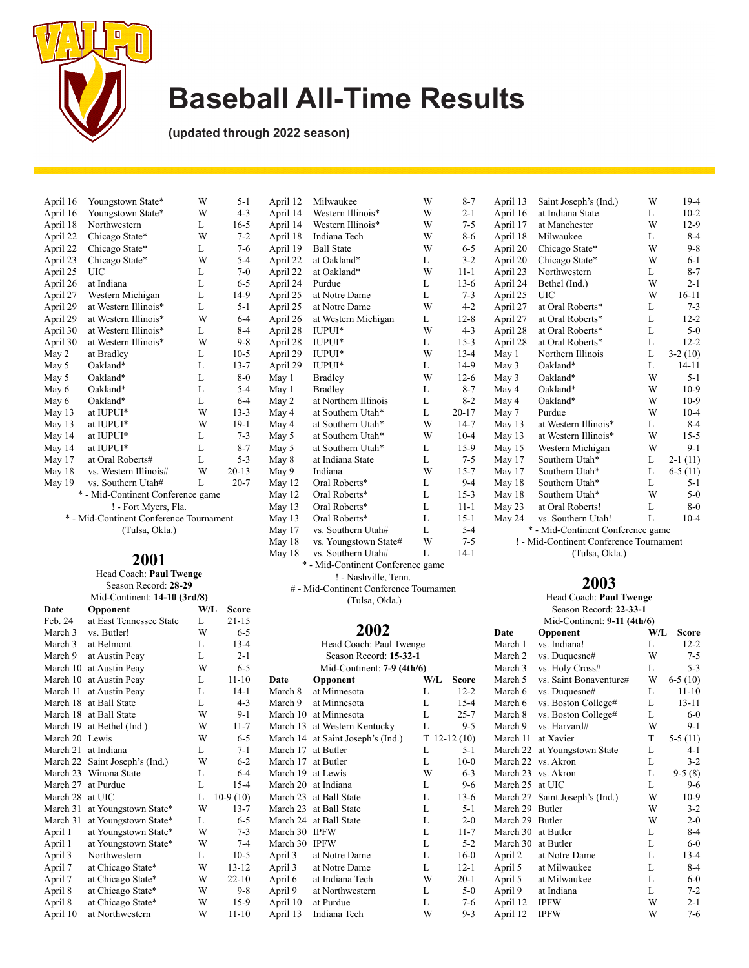

**(updated through 2022 season)**

| April 16 | Youngstown State*                       | W | $5 - 1$   |
|----------|-----------------------------------------|---|-----------|
| April 16 | Youngstown State*                       | W | $4 - 3$   |
| April 18 | Northwestern                            | L | $16-5$    |
| April 22 | Chicago State*                          | W | $7 - 2$   |
| April 22 | Chicago State*                          | L | $7 - 6$   |
| April 23 | Chicago State*                          | W | $5 - 4$   |
| April 25 | UIC                                     | L | $7 - 0$   |
| April 26 | at Indiana                              | L | $6 - 5$   |
| April 27 | Western Michigan                        | L | 14-9      |
| April 29 | at Western Illinois*                    | L | $5 - 1$   |
| April 29 | at Western Illinois*                    | W | $6 - 4$   |
| April 30 | at Western Illinois*                    | L | $8 - 4$   |
| April 30 | at Western Illinois*                    | W | $9 - 8$   |
| May 2    | at Bradley                              | L | $10-5$    |
| May 5    | Oakland*                                | L | $13 - 7$  |
| May 5    | Oakland*                                | L | $8 - 0$   |
| May 6    | Oakland*                                | L | $5 - 4$   |
| May 6    | Oakland*                                | L | $6 - 4$   |
| May 13   | at IUPUI*                               | W | $13 - 3$  |
| May 13   | at IUPUI*                               | W | $19-1$    |
| May 14   | at IUPUI*                               | L | $7 - 3$   |
| May 14   | at IUPUI*                               | L | $8 - 7$   |
| May 17   | at Oral Roberts#                        | L | $5 - 3$   |
| May 18   | vs. Western Illinois#                   | W | $20 - 13$ |
| May 19   | vs. Southern Utah#                      | L | $20 - 7$  |
|          | * - Mid-Continent Conference game       |   |           |
|          | ! - Fort Myers, Fla.                    |   |           |
|          | * - Mid-Continent Conference Tournament |   |           |
|          | (Tulsa, Okla.)                          |   |           |

### **2001**

Head Coach: **Paul Twenge** Season Record: **28-29** Mid-Continent: **14-10 (3rd/8)**

| Date     | Opponent                | W/L | Score      |
|----------|-------------------------|-----|------------|
| Feb. 24  | at East Tennessee State | L   | $21 - 15$  |
| March 3  | vs. Butler!             | W   | $6 - 5$    |
| March 3  | at Belmont              | L   | $13 - 4$   |
| March 9  | at Austin Peay          | L   | $2 - 1$    |
| March 10 | at Austin Peay          | W   | $6 - 5$    |
| March 10 | at Austin Peay          | L   | $11 - 10$  |
| March 11 | at Austin Peay          | L   | $14-1$     |
| March 18 | at Ball State           | L   | $4 - 3$    |
| March 18 | at Ball State           | W   | $9-1$      |
| March 19 | at Bethel (Ind.)        | W   | $11 - 7$   |
| March 20 | Lewis                   | W   | $6 - 5$    |
| March 21 | at Indiana              | L   | $7 - 1$    |
| March 22 | Saint Joseph's (Ind.)   | W   | 6-2        |
|          | March 23 Winona State   | L   | $6 - 4$    |
| March 27 | at Purdue               | L   | $15 - 4$   |
| March 28 | at UIC                  | L   | $10-9(10)$ |
| March 31 | at Youngstown State*    | W   | $13 - 7$   |
| March 31 | at Youngstown State*    | L   | $6 - 5$    |
| April 1  | at Youngstown State*    | W   | $7 - 3$    |
| April 1  | at Youngstown State*    | W   | $7 - 4$    |
| April 3  | Northwestern            | L   | $10-5$     |
| April 7  | at Chicago State*       | W   | $13 - 12$  |
| April 7  | at Chicago State*       | W   | $22 - 10$  |
| April 8  | at Chicago State*       | W   | $9-8$      |
| April 8  | at Chicago State*       | W   | 15-9       |
| April 10 | at Northwestern         | W   | $11 - 10$  |
|          |                         |     |            |

| April 12 | Milwaukee                         | W | $8-7$     |  |  |  |  |
|----------|-----------------------------------|---|-----------|--|--|--|--|
| April 14 | Western Illinois*                 | W | $2 - 1$   |  |  |  |  |
| April 14 | Western Illinois*                 | W | $7 - 5$   |  |  |  |  |
| April 18 | Indiana Tech                      | W | 8-6       |  |  |  |  |
| April 19 | <b>Ball State</b>                 | W | $6 - 5$   |  |  |  |  |
| April 22 | at Oakland*                       | L | $3 - 2$   |  |  |  |  |
| April 22 | at Oakland*                       | W | $11 - 1$  |  |  |  |  |
| April 24 | Purdue                            | L | $13-6$    |  |  |  |  |
| April 25 | at Notre Dame                     | L | $7 - 3$   |  |  |  |  |
| April 25 | at Notre Dame                     | W | $4 - 2$   |  |  |  |  |
| April 26 | at Western Michigan               | L | $12 - 8$  |  |  |  |  |
| April 28 | IUPUI*                            | W | $4 - 3$   |  |  |  |  |
| April 28 | IUPUI*                            | L | $15 - 3$  |  |  |  |  |
| April 29 | IUPUI*                            | W | $13 - 4$  |  |  |  |  |
| April 29 | IUPUI*                            | L | 14-9      |  |  |  |  |
| May 1    | <b>Bradley</b>                    | W | $12-6$    |  |  |  |  |
| May 1    | <b>Bradley</b>                    | L | $8 - 7$   |  |  |  |  |
| May 2    | at Northern Illinois              | L | $8 - 2$   |  |  |  |  |
| May 4    | at Southern Utah*                 | L | $20 - 17$ |  |  |  |  |
| May 4    | at Southern Utah*                 | W | $14 - 7$  |  |  |  |  |
| May 5    | at Southern Utah*                 | W | $10-4$    |  |  |  |  |
| May 5    | at Southern Utah*                 | L | $15-9$    |  |  |  |  |
| May 8    | at Indiana State                  | L | $7 - 5$   |  |  |  |  |
| May 9    | Indiana                           | W | $15 - 7$  |  |  |  |  |
| May 12   | Oral Roberts*                     | L | $9 - 4$   |  |  |  |  |
| May 12   | Oral Roberts*                     | L | $15 - 3$  |  |  |  |  |
| May 13   | Oral Roberts*                     | L | $11 - 1$  |  |  |  |  |
| May 13   | Oral Roberts*                     | L | $15-1$    |  |  |  |  |
| May 17   | vs. Southern Utah#                | L | $5 - 4$   |  |  |  |  |
| May 18   | vs. Youngstown State#             | W | $7 - 5$   |  |  |  |  |
| May 18   | vs. Southern Utah#                | L | $14-1$    |  |  |  |  |
|          | * - Mid-Continent Conference game |   |           |  |  |  |  |

! - Nashville, Tenn. # - Mid-Continent Conference Tournamen (Tulsa, Okla.)

#### **2002**

| Head Coach: Paul Twenge |                            |     |                |  |
|-------------------------|----------------------------|-----|----------------|--|
|                         | Season Record: 15-32-1     |     |                |  |
|                         | Mid-Continent: 7-9 (4th/6) |     |                |  |
| Date                    | Opponent                   | W/L | Score          |  |
| March 8                 | at Minnesota               | L   | $12 - 2$       |  |
| March 9                 | at Minnesota               | L   | $15 - 4$       |  |
|                         | March 10 at Minnesota      | L   | $25 - 7$       |  |
| March 13                | at Western Kentucky        | L   | $9 - 5$        |  |
| March 14                | at Saint Joseph's (Ind.)   |     | $T$ 12-12 (10) |  |
| March 17                | at Butler                  | L   | $5 - 1$        |  |
| March 17                | at Butler                  | L   | $10-0$         |  |
| March 19                | at Lewis                   | W   | $6 - 3$        |  |
| March 20                | at Indiana                 | L   | 9-6            |  |
| March 23                | at Ball State              | L   | $13-6$         |  |
| March 23                | at Ball State              | L   | 5-1            |  |
|                         | March 24 at Ball State     | L   | $2 - 0$        |  |
| March 30 IPFW           |                            | L   | $11 - 7$       |  |
| March 30                | <b>IPFW</b>                | L   | $5 - 2$        |  |
| April 3                 | at Notre Dame              | L   | $16-0$         |  |
| April 3                 | at Notre Dame              | L   | $12 - 1$       |  |
| April 6                 | at Indiana Tech            | W   | $20-1$         |  |
| April 9                 | at Northwestern            | L   | $5-0$          |  |
| April 10                | at Purdue                  | L   | 7-6            |  |
| April 13                | Indiana Tech               | W   | 9-3            |  |

| -7   | April 13 | Saint Joseph's (Ind.)             | W | $19-4$    |
|------|----------|-----------------------------------|---|-----------|
| -1   | April 16 | at Indiana State                  | L | $10-2$    |
| -5   | April 17 | at Manchester                     | W | $12-9$    |
| -6   | April 18 | Milwaukee                         | L | $8 - 4$   |
| -5   | April 20 | Chicago State*                    | W | $9 - 8$   |
| -2   | April 20 | Chicago State*                    | W | $6 - 1$   |
| -1   | April 23 | Northwestern                      | L | $8 - 7$   |
| -6   | April 24 | Bethel (Ind.)                     | W | $2 - 1$   |
| -3   | April 25 | UIC                               | W | 16-11     |
| -2   | April 27 | at Oral Roberts*                  | L | $7 - 3$   |
| -8   | April 27 | at Oral Roberts*                  | L | $12 - 2$  |
| -3   | April 28 | at Oral Roberts*                  | L | $5-0$     |
| $-3$ | April 28 | at Oral Roberts*                  | L | $12 - 2$  |
| -4   | May 1    | Northern Illinois                 | L | $3-2(10)$ |
| -9   | May 3    | Oakland*                          | L | $14 - 11$ |
| -6   | May 3    | Oakland*                          | W | $5 - 1$   |
| -7   | May 4    | Oakland*                          | W | $10-9$    |
| $-2$ | May 4    | Oakland*                          | W | $10-9$    |
| 17   | May 7    | Purdue                            | W | $10 - 4$  |
| -7   | May 13   | at Western Illinois*              | L | $8-4$     |
| -4   | May 13   | at Western Illinois*              | W | $15-5$    |
| -9   | May 15   | Western Michigan                  | W | 9-1       |
| -5   | May 17   | Southern Utah*                    | L | $2-1(11)$ |
| -7   | May 17   | Southern Utah*                    | L | $6-5(11)$ |
| -4   | May 18   | Southern Utah*                    | L | $5 - 1$   |
| -3   | May 18   | Southern Utah*                    | W | $5-0$     |
| -1   | May 23   | at Oral Roberts!                  | L | 8-0       |
| -1   | May 24   | vs. Southern Utah!                | L | $10-4$    |
| $-4$ |          | * - Mid-Continent Conference game |   |           |
|      |          |                                   |   |           |

! - Mid-Continent Conference Tournament (Tulsa, Okla.)

#### **2003**

Head Coach: **Paul Twenge** Season Record: **22-33-1** Mid-Continent: **9-11 (4th/6)**

| мна-Сопинсти. 7-11 (400/0) |                        |     |              |
|----------------------------|------------------------|-----|--------------|
| Date                       | Opponent               | W/L | <b>Score</b> |
| March 1                    | vs. Indiana!           | L   | $12 - 2$     |
| March <sub>2</sub>         | vs. Duquesne#          | W   | 7-5          |
| March 3                    | vs. Holy Cross#        | L   | $5 - 3$      |
| March 5                    | vs. Saint Bonaventure# | W   | $6-5(10)$    |
| March 6                    | vs. Duquesne#          | L   | $11 - 10$    |
| March 6                    | vs. Boston College#    | L   | 13-11        |
| March 8                    | vs. Boston College#    | L   | $6-0$        |
| March 9                    | vs. Harvard#           | W   | $9-1$        |
| March 11                   | at Xavier              | T   | $5-5(11)$    |
| March 22                   | at Youngstown State    | L   | 4-1          |
| March 22                   | vs. Akron              | L   | $3 - 2$      |
| March 23                   | vs. Akron              | L   | $9-5(8)$     |
| March 25                   | at UIC                 | L   | $9-6$        |
| March 27                   | Saint Joseph's (Ind.)  | W   | $10-9$       |
| March 29                   | <b>Butler</b>          | W   | $3 - 2$      |
| March 29                   | <b>Butler</b>          | W   | $2 - 0$      |
| March 30                   | at Butler              | L   | $8 - 4$      |
| March 30                   | at Butler              | L   | $6-0$        |
| April 2                    | at Notre Dame          | L   | $13 - 4$     |
| April 5                    | at Milwaukee           | L   | $8-4$        |
| April 5                    | at Milwaukee           | L   | $6-0$        |
| April 9                    | at Indiana             | L   | $7 - 2$      |
| April 12                   | <b>IPFW</b>            | W   | $2 - 1$      |
| April 12                   | <b>IPFW</b>            | W   | $7 - 6$      |
|                            |                        |     |              |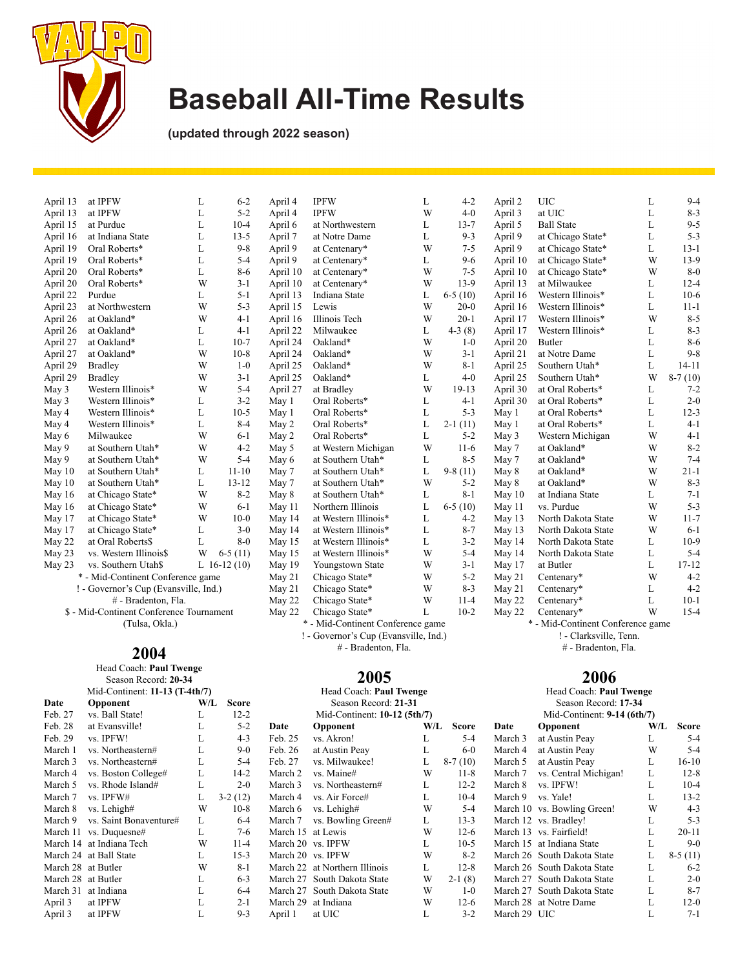

**(updated through 2022 season)**

| April 13 | at IPFW                                  | L | $6 - 2$       | April 4  | <b>IPFW</b>                           | L            | $4 - 2$   | April 2  | <b>UIC</b>                        | L | $9 - 4$   |
|----------|------------------------------------------|---|---------------|----------|---------------------------------------|--------------|-----------|----------|-----------------------------------|---|-----------|
| April 13 | at IPFW                                  | L | $5 - 2$       | April 4  | <b>IPFW</b>                           | W            | $4 - 0$   | April 3  | at UIC                            | L | $8 - 3$   |
| April 15 | at Purdue                                | L | $10-4$        | April 6  | at Northwestern                       | L            | $13 - 7$  | April 5  | <b>Ball State</b>                 | L | $9 - 5$   |
| April 16 | at Indiana State                         | L | $13 - 5$      | April 7  | at Notre Dame                         | L            | $9 - 3$   | April 9  | at Chicago State*                 | L | $5 - 3$   |
| April 19 | Oral Roberts*                            | L | $9 - 8$       | April 9  | at Centenary*                         | W            | $7 - 5$   | April 9  | at Chicago State*                 | L | $13 - 1$  |
| April 19 | Oral Roberts*                            | L | $5 - 4$       | April 9  | at Centenary*                         | L            | $9-6$     | April 10 | at Chicago State*                 | W | $13-9$    |
| April 20 | Oral Roberts*                            | L | $8 - 6$       | April 10 | at Centenary*                         | W            | $7 - 5$   | April 10 | at Chicago State*                 | W | $8 - 0$   |
| April 20 | Oral Roberts*                            | W | $3-1$         | April 10 | at Centenary*                         | W            | $13-9$    | April 13 | at Milwaukee                      | L | $12 - 4$  |
| April 22 | Purdue                                   | L | $5 - 1$       | April 13 | Indiana State                         | L            | $6-5(10)$ | April 16 | Western Illinois*                 | L | $10-6$    |
| April 23 | at Northwestern                          | W | $5 - 3$       | April 15 | Lewis                                 | W            | $20-0$    | April 16 | Western Illinois*                 | L | $11 - 1$  |
| April 26 | at Oakland*                              | W | $4 - 1$       | April 16 | Illinois Tech                         | W            | $20-1$    | April 17 | Western Illinois*                 | W | $8 - 5$   |
| April 26 | at Oakland*                              | L | $4 - 1$       | April 22 | Milwaukee                             | L            | $4-3(8)$  | April 17 | Western Illinois*                 | L | $8 - 3$   |
| April 27 | at Oakland*                              | L | $10-7$        | April 24 | Oakland*                              | W            | $1-0$     | April 20 | Butler                            | L | $8-6$     |
| April 27 | at Oakland*                              | W | $10-8$        | April 24 | Oakland*                              | W            | $3 - 1$   | April 21 | at Notre Dame                     | L | $9 - 8$   |
| April 29 | <b>Bradley</b>                           | W | $1 - 0$       | April 25 | Oakland*                              | W            | $8 - 1$   | April 25 | Southern Utah*                    | L | $14 - 11$ |
| April 29 | <b>Bradley</b>                           | W | $3 - 1$       | April 25 | Oakland*                              | L            | $4 - 0$   | April 25 | Southern Utah*                    | W | $8-7(10)$ |
| May 3    | Western Illinois*                        | W | $5 - 4$       | April 27 | at Bradley                            | W            | $19 - 13$ | April 30 | at Oral Roberts*                  | L | $7 - 2$   |
| May 3    | Western Illinois*                        | L | $3 - 2$       | May 1    | Oral Roberts*                         | L            | $4 - 1$   | April 30 | at Oral Roberts*                  | L | $2 - 0$   |
| May 4    | Western Illinois*                        | L | $10-5$        | May 1    | Oral Roberts*                         | L            | $5 - 3$   | May 1    | at Oral Roberts*                  | L | $12 - 3$  |
| May 4    | Western Illinois*                        | L | $8 - 4$       | May 2    | Oral Roberts*                         | L            | $2-1(11)$ | May 1    | at Oral Roberts*                  | L | $4 - 1$   |
| May 6    | Milwaukee                                | W | $6 - 1$       | May 2    | Oral Roberts*                         | L            | $5 - 2$   | May 3    | Western Michigan                  | W | $4 - 1$   |
| May 9    | at Southern Utah*                        | W | $4 - 2$       | May 5    | at Western Michigan                   | W            | $11-6$    | May 7    | at Oakland*                       | W | $8 - 2$   |
| May 9    | at Southern Utah*                        | W | $5 - 4$       | May 6    | at Southern Utah*                     | L            | $8 - 5$   | May 7    | at Oakland*                       | W | $7 - 4$   |
| May 10   | at Southern Utah*                        | L | $11 - 10$     | May 7    | at Southern Utah*                     | L            | $9-8(11)$ | May 8    | at Oakland*                       | W | $21 - 1$  |
| May 10   | at Southern Utah*                        | L | $13 - 12$     | May 7    | at Southern Utah*                     | W            | $5 - 2$   | May 8    | at Oakland*                       | W | $8 - 3$   |
| May 16   | at Chicago State*                        | W | $8 - 2$       | May 8    | at Southern Utah*                     | L            | $8 - 1$   | May 10   | at Indiana State                  | L | $7 - 1$   |
| May 16   | at Chicago State*                        | W | $6 - 1$       | May 11   | Northern Illinois                     | L            | $6-5(10)$ | May 11   | vs. Purdue                        | W | $5 - 3$   |
| May 17   | at Chicago State*                        | W | $10-0$        | May 14   | at Western Illinois*                  | L            | $4 - 2$   | May 13   | North Dakota State                | W | $11 - 7$  |
| May 17   | at Chicago State*                        | L | $3 - 0$       | May 14   | at Western Illinois*                  | L            | $8 - 7$   | May 13   | North Dakota State                | W | $6 - 1$   |
| May 22   | at Oral Roberts\$                        | L | $8 - 0$       | May 15   | at Western Illinois*                  | L            | $3 - 2$   | May 14   | North Dakota State                | L | $10-9$    |
| May 23   | vs. Western Illinois\$                   | W | $6-5(11)$     | May 15   | at Western Illinois*                  | W            | $5 - 4$   | May 14   | North Dakota State                | L | $5 - 4$   |
| May 23   | vs. Southern Utah\$                      |   | L $16-12(10)$ | May 19   | Youngstown State                      | W            | $3 - 1$   | May 17   | at Butler                         | L | $17 - 12$ |
|          | * - Mid-Continent Conference game        |   |               | May 21   | Chicago State*                        | W            | $5 - 2$   | May 21   | Centenary*                        | W | $4 - 2$   |
|          | ! - Governor's Cup (Evansville, Ind.)    |   |               | May 21   | Chicago State*                        | W            | $8 - 3$   | May 21   | Centenary*                        | L | $4 - 2$   |
|          | # - Bradenton, Fla.                      |   |               | May 22   | Chicago State*                        | W            | $11 - 4$  | May 22   | Centenary*                        | L | $10-1$    |
|          | \$ - Mid-Continent Conference Tournament |   |               | May 22   | Chicago State*                        | $\mathbf{L}$ | $10-2$    | May 22   | Centenary*                        | W | $15 - 4$  |
|          | (Tulsa, Okla.)                           |   |               |          | * - Mid-Continent Conference game     |              |           |          | * - Mid-Continent Conference game |   |           |
|          |                                          |   |               |          | ! - Governor's Cup (Evansville, Ind.) |              |           |          | ! - Clarksville, Tenn.            |   |           |
|          |                                          |   |               |          |                                       |              |           |          |                                   |   |           |

### **2004**

#### Head Coach: **Paul Twenge** Season Record: **20-34** Mid-Continent: **11-13 (T-4th/7) Date Opponent W/L Score**<br>Feb. 27 vs. Ball State! L 12-2 vs. Ball State! L 12-2<br>at Evansville! L 5-2

| Feb. 28  | at Evansville!         | L | $5 - 2$   |
|----------|------------------------|---|-----------|
| Feb. 29  | vs. IPFW!              | L | $4 - 3$   |
| March 1  | vs. Northeastern#      | L | $9-0$     |
| March 3  | vs. Northeastern#      | L | $5 - 4$   |
| March 4  | vs. Boston College#    | L | $14-2$    |
| March 5  | vs. Rhode Island#      | L | $2 - 0$   |
| March 7  | vs. IPFW#              | L | $3-2(12)$ |
| March 8  | vs. Lehigh#            | W | $10-8$    |
| March 9  | vs. Saint Bonaventure# | L | $6 - 4$   |
| March 11 | vs. Duquesne#          | L | $7-6$     |
| March 14 | at Indiana Tech        | W | $11 - 4$  |
| March 24 | at Ball State          | L | $15-3$    |
| March 28 | at Butler              | W | $8 - 1$   |
| March 28 | at Butler              | L | $6 - 3$   |
| March 31 | at Indiana             | L | $6 - 4$   |
| April 3  | at IPFW                | L | $2 - 1$   |
| April 3  | at IPFW                | L | $9 - 3$   |

## **2005**

# - Bradenton, Fla.

| Head Coach: Paul Twenge |                              |     |           |  |  |
|-------------------------|------------------------------|-----|-----------|--|--|
|                         | Season Record: 21-31         |     |           |  |  |
|                         | Mid-Continent: 10-12 (5th/7) |     |           |  |  |
| Date                    | Opponent                     | W/L | Score     |  |  |
| Feb. 25                 | vs. Akron!                   | L   | $5 - 4$   |  |  |
| Feb. 26                 | at Austin Peay               | L   | $6 - 0$   |  |  |
| Feb. 27                 | vs. Milwaukee!               | L   | $8-7(10)$ |  |  |
| March 2                 | vs. Maine#                   | W   | $11 - 8$  |  |  |
| March 3                 | vs. Northeastern#            | L   | $12 - 2$  |  |  |
| March 4                 | vs. Air Force#               | L   | $10 - 4$  |  |  |
| March 6                 | vs. Lehigh#                  | W   | $5 - 4$   |  |  |
| March 7                 | vs. Bowling Green#           | L   | $13 - 3$  |  |  |
| March 15                | at Lewis                     | W   | $12-6$    |  |  |
| March 20                | vs. IPFW                     | L   | $10-5$    |  |  |
| March 20                | vs. IPFW                     | W   | $8-2$     |  |  |
| March 22                | at Northern Illinois         | L   | $12 - 8$  |  |  |
| March 27                | South Dakota State           | W   | $2-1(8)$  |  |  |
|                         | March 27 South Dakota State  | W   | $1 - 0$   |  |  |
|                         | March 29 at Indiana          | W   | $12-6$    |  |  |
| April 1                 | at UIC                       | L   | $3 - 2$   |  |  |
|                         |                              |     |           |  |  |

## **2006**

# - Bradenton, Fla.

|          | Head Coach: <b>Paul Twenge</b> |     |           |  |  |  |  |  |  |
|----------|--------------------------------|-----|-----------|--|--|--|--|--|--|
|          | Season Record: 17-34           |     |           |  |  |  |  |  |  |
|          | Mid-Continent: 9-14 (6th/7)    |     |           |  |  |  |  |  |  |
| Date     | Opponent                       | W/L | Score     |  |  |  |  |  |  |
| March 3  | at Austin Peay                 | L   | $5 - 4$   |  |  |  |  |  |  |
| March 4  | at Austin Peay                 | W   | $5 - 4$   |  |  |  |  |  |  |
| March 5  | at Austin Peay                 | L   | $16 - 10$ |  |  |  |  |  |  |
| March 7  | vs. Central Michigan!          | L   | $12 - 8$  |  |  |  |  |  |  |
| March 8  | vs. IPFW!                      | L   | $10-4$    |  |  |  |  |  |  |
| March 9  | vs. Yale!                      | L   | $13 - 2$  |  |  |  |  |  |  |
| March 10 | vs. Bowling Green!             | W   | $4 - 3$   |  |  |  |  |  |  |
| March 12 | vs. Bradley!                   | L   | $5 - 3$   |  |  |  |  |  |  |
| March 13 | vs. Fairfield!                 | L   | $20 - 11$ |  |  |  |  |  |  |
| March 15 | at Indiana State               | L   | $9-0$     |  |  |  |  |  |  |
| March 26 | South Dakota State             | L   | $8-5(11)$ |  |  |  |  |  |  |
| March 26 | South Dakota State             | L   | $6-2$     |  |  |  |  |  |  |
| March 27 | South Dakota State             | L   | $2 - 0$   |  |  |  |  |  |  |
|          | March 27 South Dakota State    | L   | $8-7$     |  |  |  |  |  |  |
|          | March 28 at Notre Dame         | L   | $12-0$    |  |  |  |  |  |  |
| March 29 | UІС                            | L   | $7-1$     |  |  |  |  |  |  |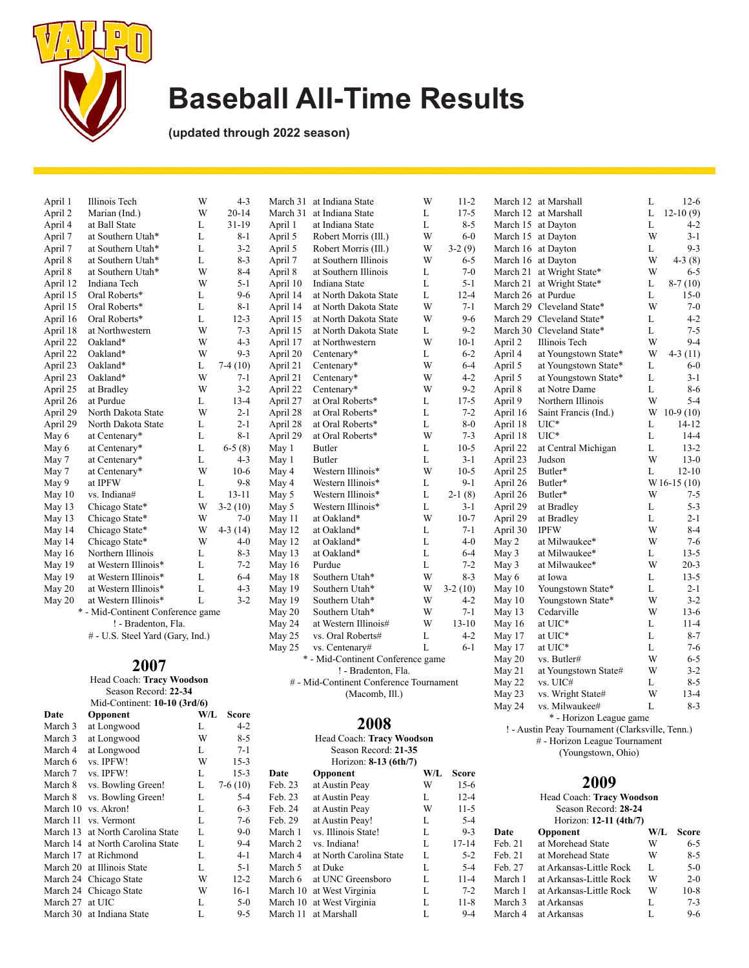

March 30 at Indiana State

March 8 vs. Bowling Green! L 5-4 March 10 vs. Akron! L 6-3<br>March 11 vs. Vermont L 7-6 March 11 vs. Vermont L 7-6<br>March 13 at North Carolina State L 9-0 March 13 at North Carolina State L<br>March 14 at North Carolina State L<br>9-4 March 14 at North Carolina State L<br>March 17 at Richmond L<br>4-1 March 17 at Richmond L

March 20 at Illinois State L<br>March 24 Chicago State W 12-2 March 24 Chicago State W 12-2<br>March 24 Chicago State W 16-1 March 24 Chicago State W 16-1<br>March 27 at UIC L 5-0 March 27 at UIC L 5-0<br>March 30 at Indiana State L 9-5

## **Baseball All-Time Results**

**(updated through 2022 season)**

| April 1  | Illinois Tech                     | W   | $4 - 3$      | March 31 | at Indiana State                        | W   | $11 - 2$     |                    | March 12 at Marshall                            | L | $12-6$       |
|----------|-----------------------------------|-----|--------------|----------|-----------------------------------------|-----|--------------|--------------------|-------------------------------------------------|---|--------------|
| April 2  | Marian (Ind.)                     | W   | $20 - 14$    | March 31 | at Indiana State                        | L   | $17 - 5$     |                    | March 12 at Marshall                            | L | $12-10(9)$   |
| April 4  | at Ball State                     | L   | $31-19$      | April 1  | at Indiana State                        | L   | $8 - 5$      |                    | March 15 at Dayton                              | L | $4 - 2$      |
| April 7  | at Southern Utah*                 | L   | 8-1          | April 5  | Robert Morris (Ill.)                    | W   | $6 - 0$      |                    | March 15 at Dayton                              | W | $3-1$        |
| April 7  | at Southern Utah*                 | L   | $3 - 2$      | April 5  | Robert Morris (Ill.)                    | W   | $3-2(9)$     | March 16 at Dayton |                                                 | L | $9 - 3$      |
| April 8  | at Southern Utah*                 | L   | $8 - 3$      | April 7  | at Southern Illinois                    | W   | $6 - 5$      | March 16 at Dayton |                                                 | W | $4-3(8)$     |
| April 8  | at Southern Utah*                 | W   | $8 - 4$      | April 8  | at Southern Illinois                    | L   | $7 - 0$      |                    | March 21 at Wright State*                       | W | $6 - 5$      |
| April 12 | Indiana Tech                      | W   | $5 - 1$      | April 10 | Indiana State                           | L   | $5 - 1$      |                    | March 21 at Wright State*                       | L | $8-7(10)$    |
| April 15 | Oral Roberts*                     | L   | $9-6$        | April 14 | at North Dakota State                   | L   | $12 - 4$     | March 26 at Purdue |                                                 | L | $15-0$       |
| April 15 | Oral Roberts*                     | L   | $8 - 1$      | April 14 | at North Dakota State                   | W   | $7 - 1$      |                    | March 29 Cleveland State*                       | W | $7 - 0$      |
| April 16 | Oral Roberts*                     | L   | $12 - 3$     | April 15 | at North Dakota State                   | W   | $9 - 6$      |                    | March 29 Cleveland State*                       | L | $4 - 2$      |
| April 18 | at Northwestern                   | W   | $7 - 3$      | April 15 | at North Dakota State                   | L   | $9 - 2$      |                    | March 30 Cleveland State*                       | L | $7 - 5$      |
| April 22 | Oakland*                          | W   | $4 - 3$      | April 17 | at Northwestern                         | W   | $10-1$       | April 2            | Illinois Tech                                   | W | $9 - 4$      |
| April 22 | Oakland*                          | W   | $9 - 3$      | April 20 | Centenary*                              | L   | $6 - 2$      | April 4            | at Youngstown State*                            | W | $4-3(11)$    |
| April 23 | Oakland*                          | L   | $7-4(10)$    | April 21 | Centenary*                              | W   | $6 - 4$      | April 5            | at Youngstown State*                            | L | $6-0$        |
| April 23 | Oakland*                          | W   | $7 - 1$      | April 21 | Centenary*                              | W   | $4 - 2$      | April 5            | at Youngstown State*                            | L | $3 - 1$      |
| April 25 | at Bradley                        | W   | $3 - 2$      | April 22 | Centenary*                              | W   | $9 - 2$      | April 8            | at Notre Dame                                   | L | $8 - 6$      |
| April 26 | at Purdue                         | L   | $13 - 4$     | April 27 | at Oral Roberts*                        | L   | $17 - 5$     | April 9            | Northern Illinois                               | W | $5 - 4$      |
| April 29 | North Dakota State                | W   | $2 - 1$      | April 28 | at Oral Roberts*                        | L   | $7 - 2$      | April 16           | Saint Francis (Ind.)                            | W | $10-9(10)$   |
| April 29 | North Dakota State                | L   | $2 - 1$      | April 28 | at Oral Roberts*                        | L   | $8 - 0$      | April 18           | $UIC^*$                                         | L | $14 - 12$    |
| May 6    | at Centenary*                     | L   | $8 - 1$      | April 29 | at Oral Roberts*                        | W   | $7 - 3$      | April 18           | $UIC^*$                                         | L | $14 - 4$     |
| May 6    | at Centenary*                     | L   | $6-5(8)$     | May 1    | Butler                                  | L   | $10-5$       | April 22           | at Central Michigan                             | L | $13 - 2$     |
| May 7    | at Centenary*                     | L   | $4 - 3$      | May 1    | Butler                                  | L   | $3 - 1$      | April 23           | Judson                                          | W | $13-0$       |
| May 7    | at Centenary*                     | W   | $10-6$       | May 4    | Western Illinois*                       | W   | $10-5$       | April 25           | Butler*                                         | L | $12 - 10$    |
| May 9    | at IPFW                           | L   | $9 - 8$      | May 4    | Western Illinois*                       | L   | $9 - 1$      | April 26           | Butler*                                         |   | $W16-15(10)$ |
| May 10   | vs. Indiana#                      | L   | $13 - 11$    | May 5    | Western Illinois*                       | L   | $2-1(8)$     | April 26           | Butler*                                         | W | $7 - 5$      |
| May 13   | Chicago State*                    | W   | $3-2(10)$    | May 5    | Western Illinois*                       | L   | $3 - 1$      | April 29           | at Bradley                                      | L | $5 - 3$      |
| May 13   | Chicago State*                    | W   | $7 - 0$      | May 11   | at Oakland*                             | W   | $10-7$       | April 29           | at Bradley                                      | L | $2 - 1$      |
| May 14   | Chicago State*                    | W   | $4-3(14)$    | May 12   | at Oakland*                             | L   | $7 - 1$      | April 30           | <b>IPFW</b>                                     | W | $8 - 4$      |
| May 14   | Chicago State*                    | W   | $4 - 0$      | May 12   | at Oakland*                             | L   | $4 - 0$      | May 2              | at Milwaukee*                                   | W | $7-6$        |
| May 16   | Northern Illinois                 | L   | $8 - 3$      | May 13   | at Oakland*                             | L   | $6 - 4$      | May 3              | at Milwaukee*                                   | L | $13 - 5$     |
| May 19   | at Western Illinois*              | L   | $7 - 2$      | May 16   | Purdue                                  | L   | $7 - 2$      | May 3              | at Milwaukee*                                   | W | $20 - 3$     |
| May 19   | at Western Illinois*              | L   | $6 - 4$      | May 18   | Southern Utah*                          | W   | $8 - 3$      | May 6              | at Iowa                                         | L | $13 - 5$     |
| May 20   | at Western Illinois*              | L   | $4 - 3$      | May 19   | Southern Utah*                          | W   | $3-2(10)$    | May $10$           | Youngstown State*                               | L | $2 - 1$      |
| May 20   | at Western Illinois*              | L   | $3 - 2$      | May 19   | Southern Utah*                          | W   | $4 - 2$      | May $10$           | Youngstown State*                               | W | $3 - 2$      |
|          | * - Mid-Continent Conference game |     |              | May 20   | Southern Utah*                          | W   | $7 - 1$      | May 13             | Cedarville                                      | W | $13-6$       |
|          | ! - Bradenton, Fla.               |     |              | May 24   | at Western Illinois#                    | W   | $13 - 10$    | May $16$           | at UIC*                                         | L | $11 - 4$     |
|          | # - U.S. Steel Yard (Gary, Ind.)  |     |              | May 25   | vs. Oral Roberts#                       | L   | $4 - 2$      | May 17             | at UIC*                                         | L | $8 - 7$      |
|          |                                   |     |              | May 25   | vs. Centenary#                          | L   | $6 - 1$      | May 17             | at UIC*                                         | L | $7 - 6$      |
|          |                                   |     |              |          | * - Mid-Continent Conference game       |     |              | May 20             | vs. Butler#                                     | W | $6 - 5$      |
|          | 2007                              |     |              |          | ! - Bradenton, Fla.                     |     |              | May 21             | at Youngstown State#                            | W | $3 - 2$      |
|          | Head Coach: Tracy Woodson         |     |              |          | # - Mid-Continent Conference Tournament |     |              | May 22             | vs. UIC#                                        | L | $8 - 5$      |
|          | Season Record: 22-34              |     |              |          | (Macomb, Ill.)                          |     |              | May 23             | vs. Wright State#                               | W | $13 - 4$     |
|          | Mid-Continent: 10-10 (3rd/6)      |     |              |          |                                         |     |              | May 24             | vs. Milwaukee#                                  | L | $8 - 3$      |
| Date     | Opponent                          | W/L | <b>Score</b> |          |                                         |     |              |                    | * - Horizon League game                         |   |              |
| March 3  | at Longwood                       | L   | $4 - 2$      |          | 2008                                    |     |              |                    | ! - Austin Peay Tournament (Clarksville, Tenn.) |   |              |
| March 3  | at Longwood                       | W   | $8 - 5$      |          | Head Coach: Tracy Woodson               |     |              |                    | # - Horizon League Tournament                   |   |              |
| March 4  | at Longwood                       | L   | $7 - 1$      |          | Season Record: 21-35                    |     |              |                    | (Youngstown, Ohio)                              |   |              |
| March 6  | vs. IPFW!                         | W   | $15-3$       |          | Horizon: 8-13 (6th/7)                   |     |              |                    |                                                 |   |              |
| March 7  | vs. IPFW!                         | L   | $15-3$       | Date     | Opponent                                | W/L | <b>Score</b> |                    |                                                 |   |              |
| March 8  | vs. Bowling Green!                | L   | $7-6(10)$    | Feb. 23  | at Austin Peay                          | W   | $15-6$       |                    | 2009                                            |   |              |

March 10 at West Virginia

March 11 at Marshall

Feb. 23 at Austin Peay L 12-4<br>Feb. 24 at Austin Peay W 11-5

March 10 at West Virginia L 11-8<br>March 11 at Marshall L 9-4

at Austin Peay W 11-5<br>at Austin Peay! L 5-4 Feb. 29 at Austin Peay! L 5-4 March 1 vs. Illinois State! L 9-3 March 2 vs. Indiana! L 17-14<br>March 4 at North Carolina State L 5-2 March 4 at North Carolina State L<br>March 5 at Duke L<br>5-4 March 5 at Duke L<br>March 6 at UNC Greensboro L<br>11-4 March 6 at UNC Greensboro L 11-4<br>March 10 at West Virginia L 7-2

| Head Coach: Tracy Woodson<br>Season Record: 28-24 |                               |     |         |  |  |  |  |
|---------------------------------------------------|-------------------------------|-----|---------|--|--|--|--|
| Date                                              | Horizon: 12-11 (4th/7)        | W/L | Score   |  |  |  |  |
| Feb. 21                                           | Opponent<br>at Morehead State | W   | $6 - 5$ |  |  |  |  |
|                                                   |                               |     |         |  |  |  |  |
| Feb. 21                                           | at Morehead State             | W   | $8-5$   |  |  |  |  |
| Feb. 27                                           | at Arkansas-Little Rock       | L   | $5-0$   |  |  |  |  |
| March 1                                           | at Arkansas-Little Rock       | W   | $2-0$   |  |  |  |  |
| March 1                                           | at Arkansas-Little Rock       | W   | $10-8$  |  |  |  |  |
| March 3                                           | at Arkansas                   | L   | $7 - 3$ |  |  |  |  |
| March 4                                           | at Arkansas                   | Τ.  | $9-6$   |  |  |  |  |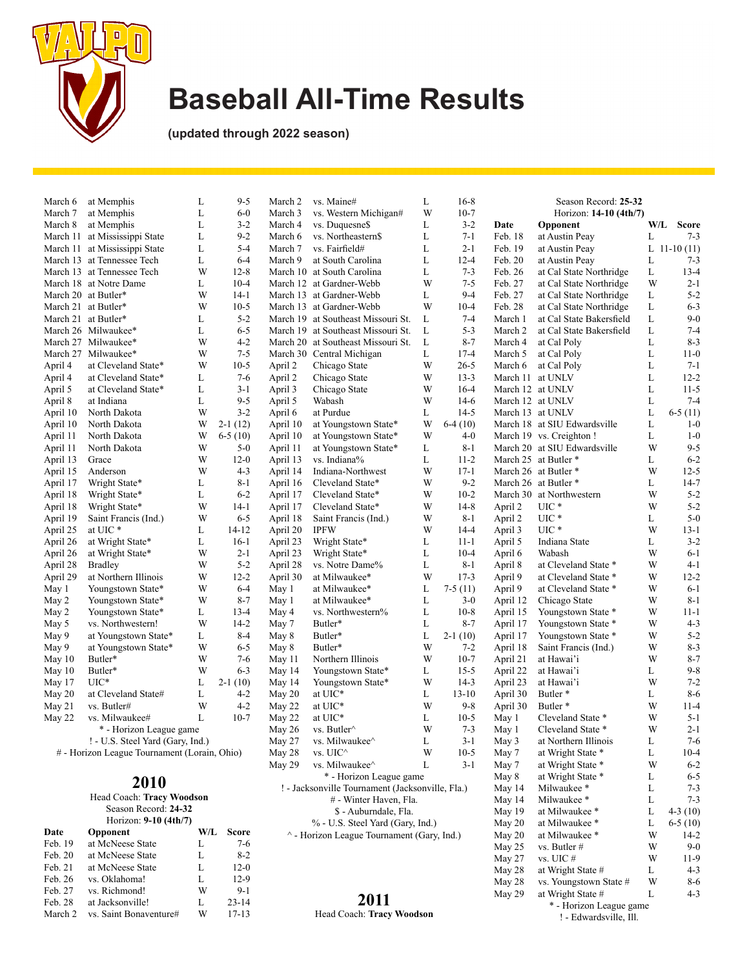

**(updated through 2022 season)**

| March 6            | at Memphis                                                     | L      | $9 - 5$            | March 2            | vs. Maine#                                       | L      | $16-8$             | Season Record: 25-32 |                                                |        |                         |
|--------------------|----------------------------------------------------------------|--------|--------------------|--------------------|--------------------------------------------------|--------|--------------------|----------------------|------------------------------------------------|--------|-------------------------|
| March 7            | at Memphis                                                     | L      | $6-0$              | March 3            | vs. Western Michigan#                            | W      | $10-7$             |                      | Horizon: 14-10 (4th/7)                         |        |                         |
| March 8            | at Memphis                                                     | L<br>L | $3 - 2$<br>$9 - 2$ | March 4            | vs. Duquesne\$<br>vs. Northeastern\$             | L<br>L | $3 - 2$<br>$7 - 1$ | Date<br>Feb. 18      | Opponent                                       | W/L    | <b>Score</b><br>$7 - 3$ |
|                    | March 11 at Mississippi State<br>March 11 at Mississippi State | L      | $5 - 4$            | March 6<br>March 7 | vs. Fairfield#                                   | L      | $2 - 1$            | Feb. 19              | at Austin Peay<br>at Austin Peay               | L      | L 11-10 $(11)$          |
|                    | March 13 at Tennessee Tech                                     | L      | $6 - 4$            | March 9            | at South Carolina                                | L      | $12 - 4$           | Feb. 20              | at Austin Peay                                 | L      | $7 - 3$                 |
|                    | March 13 at Tennessee Tech                                     | W      | $12 - 8$           | March 10           | at South Carolina                                | L      | $7 - 3$            | Feb. 26              | at Cal State Northridge                        | L      | $13 - 4$                |
|                    | March 18 at Notre Dame                                         | L      | $10 - 4$           |                    | March 12 at Gardner-Webb                         | W      | $7 - 5$            | Feb. 27              | at Cal State Northridge                        | W      | $2 - 1$                 |
|                    | March 20 at Butler*                                            | W      | $14-1$             |                    | March 13 at Gardner-Webb                         | L      | $9-4$              | Feb. 27              | at Cal State Northridge                        | L      | $5 - 2$                 |
|                    | March 21 at Butler*                                            | W      | $10-5$             |                    | March 13 at Gardner-Webb                         | W      | $10 - 4$           | Feb. 28              | at Cal State Northridge                        | L      | $6 - 3$                 |
|                    | March 21 at Butler*                                            | L      | $5 - 2$            | March 19           | at Southeast Missouri St.                        | L      | $7 - 4$            | March 1              | at Cal State Bakersfield                       | L      | $9-0$                   |
|                    | March 26 Milwaukee*                                            | L      | $6 - 5$            | March 19           | at Southeast Missouri St.                        | L      | $5 - 3$            | March 2              | at Cal State Bakersfield                       | L      | $7 - 4$                 |
|                    | March 27 Milwaukee*                                            | W      | $4 - 2$            | March 20           | at Southeast Missouri St.                        | L      | $8 - 7$            | March 4              | at Cal Poly                                    | L      | $8 - 3$                 |
|                    | March 27 Milwaukee*                                            | W      | $7 - 5$            |                    | March 30 Central Michigan                        | L      | $17 - 4$           | March 5              | at Cal Poly                                    | L      | $11-0$                  |
| April 4            | at Cleveland State*                                            | W      | $10-5$             | April 2            | Chicago State                                    | W      | $26 - 5$           | March 6              | at Cal Poly                                    | L      | $7 - 1$                 |
| April 4            | at Cleveland State*                                            | L      | $7-6$              | April 2            | Chicago State                                    | W      | $13 - 3$           | March 11 at UNLV     |                                                | L      | $12 - 2$                |
| April 5            | at Cleveland State*                                            | L      | $3 - 1$            | April 3            | Chicago State                                    | W      | $16-4$             | March 12 at UNLV     |                                                | L      | $11 - 5$                |
| April 8            | at Indiana                                                     | L      | $9 - 5$            | April 5            | Wabash                                           | W      | $14-6$             | March 12 at UNLV     |                                                | L      | $7 - 4$                 |
| April 10           | North Dakota                                                   | W      | $3 - 2$            | April 6            | at Purdue                                        | L      | $14-5$             | March 13 at UNLV     |                                                | L      | $6-5(11)$               |
| April 10           | North Dakota                                                   | W      | $2-1(12)$          | April 10           | at Youngstown State*                             | W      | $6-4(10)$          |                      | March 18 at SIU Edwardsville                   | L      | $1-0$                   |
| April 11           | North Dakota                                                   | W      | $6-5(10)$          | April 10           | at Youngstown State*                             | W      | $4 - 0$            |                      | March 19 vs. Creighton !                       | L      | $1-0$                   |
| April 11           | North Dakota                                                   | W      | $5-0$              | April 11           | at Youngstown State*                             | L      | $8 - 1$            |                      | March 20 at SIU Edwardsville                   | W      | $9 - 5$                 |
| April 13           | Grace                                                          | W      | $12-0$             | April 13           | vs. Indiana%                                     | L      | $11 - 2$           |                      | March 25 at Butler *                           | L      | $6 - 2$                 |
| April 15           | Anderson                                                       | W      | $4 - 3$            | April 14           | Indiana-Northwest                                | W      | $17 - 1$           |                      | March 26 at Butler *                           | W      | $12 - 5$                |
| April 17           | Wright State*                                                  | L      | $8 - 1$            | April 16           | Cleveland State*                                 | W      | $9 - 2$            |                      | March 26 at Butler *                           | L      | $14-7$                  |
| April 18           | Wright State*                                                  | L      | $6 - 2$            | April 17           | Cleveland State*                                 | W      | $10-2$             |                      | March 30 at Northwestern                       | W      | $5 - 2$                 |
| April 18           | Wright State*                                                  | W      | $14-1$             | April 17           | Cleveland State*                                 | W      | $14 - 8$           | April 2              | UIC *                                          | W      | $5 - 2$                 |
| April 19           | Saint Francis (Ind.)                                           | W      | $6 - 5$            | April 18           | Saint Francis (Ind.)                             | W      | $8 - 1$            | April 2              | UIC *                                          | L      | $5-0$                   |
| April 25           | at UIC*                                                        | L      | 14-12              | April 20           | <b>IPFW</b>                                      | W      | $14 - 4$           | April 3              | $UIC*$                                         | W      | $13 - 1$                |
| April 26           | at Wright State*                                               | L      | $16-1$             | April 23           | Wright State*                                    | L      | $11 - 1$           | April 5              | Indiana State                                  | L      | $3 - 2$                 |
| April 26           | at Wright State*                                               | W      | $2 - 1$            | April 23           | Wright State*                                    | L      | $10 - 4$           | April 6              | Wabash                                         | W      | $6 - 1$                 |
| April 28           | <b>Bradley</b>                                                 | W      | $5 - 2$            | April 28           | vs. Notre Dame%                                  | L      | $8 - 1$            | April 8              | at Cleveland State *                           | W      | $4-1$                   |
| April 29           | at Northern Illinois                                           | W      | $12 - 2$           | April 30           | at Milwaukee*                                    | W      | $17 - 3$           | April 9              | at Cleveland State *                           | W      | $12 - 2$<br>$6 - 1$     |
| May 1              | Youngstown State*                                              | W<br>W | $6 - 4$<br>$8 - 7$ | May 1              | at Milwaukee*                                    | L      | $7-5(11)$          | April 9              | at Cleveland State *                           | W<br>W | $8 - 1$                 |
| May 2              | Youngstown State*<br>Youngstown State*                         | L      | $13 - 4$           | May 1              | at Milwaukee*                                    | L<br>L | $3-0$<br>$10-8$    | April 12             | Chicago State                                  | W      | $11 - 1$                |
| May 2<br>May 5     | vs. Northwestern!                                              | W      | $14-2$             | May 4<br>May 7     | vs. Northwestern%<br>Butler*                     | L      | $8 - 7$            | April 15<br>April 17 | Youngstown State *<br>Youngstown State *       | W      | $4 - 3$                 |
| May 9              | at Youngstown State*                                           | L      | $8 - 4$            | May 8              | Butler*                                          | L      | $2-1(10)$          | April 17             | Youngstown State *                             | W      | $5 - 2$                 |
| May 9              | at Youngstown State*                                           | W      | $6 - 5$            | May 8              | Butler*                                          | W      | $7 - 2$            | April 18             | Saint Francis (Ind.)                           | W      | $8 - 3$                 |
| May 10             | Butler*                                                        | W      | $7-6$              | May 11             | Northern Illinois                                | W      | $10-7$             | April 21             | at Hawai'i                                     | W      | $8 - 7$                 |
| May 10             | Butler*                                                        | W      | $6 - 3$            | May 14             | Youngstown State*                                | L      | $15 - 5$           | April 22             | at Hawai'i                                     | L      | $9 - 8$                 |
| May 17             | $UIC^*$                                                        | L      | $2-1(10)$          | May 14             | Youngstown State*                                | W      | $14-3$             | April 23             | at Hawai'i                                     | W      | $7 - 2$                 |
| May 20             | at Cleveland State#                                            | L      | $4 - 2$            | May 20             | at UIC*                                          | L      | $13 - 10$          | April 30             | Butler <sup>*</sup>                            | L      | $8 - 6$                 |
| May 21             | vs. Butler#                                                    | W      | $4 - 2$            | May 22             | at UIC*                                          | W      | $9 - 8$            | April 30             | Butler <sup>*</sup>                            | W      | $11 - 4$                |
| May 22             | vs. Milwaukee#                                                 | L      | $10-7$             | May 22             | at UIC*                                          | L      | $10-5$             | May 1                | Cleveland State *                              | W      | $5 - 1$                 |
|                    | * - Horizon League game                                        |        |                    | May 26             | vs. Butler <sup><math>\land</math></sup>         | W      | $7 - 3$            | May 1                | Cleveland State *                              | W      | $2 - 1$                 |
|                    | ! - U.S. Steel Yard (Gary, Ind.)                               |        |                    | May 27             | vs. Milwaukee^                                   | L      | $3-1$              | May 3                | at Northern Illinois                           | L      | $7 - 6$                 |
|                    | # - Horizon League Tournament (Lorain, Ohio)                   |        |                    | May 28             | vs. UIC^                                         | W      | $10-5$             | May 7                | at Wright State *                              | L      | $10-4$                  |
|                    |                                                                |        |                    | May 29             | vs. Milwaukee^                                   | L      | $3 - 1$            | May 7                | at Wright State *                              | W      | $6 - 2$                 |
|                    |                                                                |        |                    |                    | * - Horizon League game                          |        |                    | May 8                | at Wright State *                              | L      | $6 - 5$                 |
|                    | 2010                                                           |        |                    |                    | ! - Jacksonville Tournament (Jacksonville, Fla.) |        |                    | May 14               | Milwaukee*                                     | L      | $7 - 3$                 |
|                    | Head Coach: Tracy Woodson                                      |        |                    |                    | # - Winter Haven, Fla.                           |        |                    | May 14               | Milwaukee*                                     | L      | $7 - 3$                 |
|                    | Season Record: 24-32                                           |        |                    |                    | \$ - Auburndale, Fla.                            |        |                    | May 19               | at Milwaukee *                                 | L      | $4-3(10)$               |
|                    | Horizon: 9-10 (4th/7)                                          |        |                    |                    | % - U.S. Steel Yard (Gary, Ind.)                 |        |                    | May 20               | at Milwaukee *                                 | L      | $6-5(10)$               |
| Date               | Opponent                                                       |        | W/L Score          |                    | ^ - Horizon League Tournament (Gary, Ind.)       |        |                    | May 20               | at Milwaukee *                                 | W      | $14 - 2$                |
| Feb. 19            | at McNeese State                                               | L      | $7 - 6$            |                    |                                                  |        |                    | May 25               | vs. Butler #                                   | W      | $9-0$                   |
| Feb. 20<br>Feb. 21 | at McNeese State<br>at McNeese State                           | L      | $8 - 2$            |                    |                                                  |        |                    | May 27               | vs. UIC #                                      | W      | $11-9$                  |
| Feb. 26            | vs. Oklahoma!                                                  | L<br>L | $12-0$<br>$12-9$   |                    |                                                  |        |                    | May 28               | at Wright State #                              | L      | $4 - 3$                 |
| Feb. 27            | vs. Richmond!                                                  | W      | $9 - 1$            |                    |                                                  |        |                    | May 28               | vs. Youngstown State #                         | W      | 8-6                     |
| Feb. 28            | at Jacksonville!                                               | L      | $23 - 14$          |                    | 2011                                             |        |                    | May 29               | at Wright State #                              | L      | $4 - 3$                 |
| March 2            | vs. Saint Bonaventure#                                         | W      | $17 - 13$          |                    | Head Coach: Tracy Woodson                        |        |                    |                      | * - Horizon League game<br>L. Edwardeville Ill |        |                         |

Head Coach: **Tracy Woodson**

March 2 vs. Saint Bonaventure#

\* - Horizon League game ! - Edwardsville, Ill.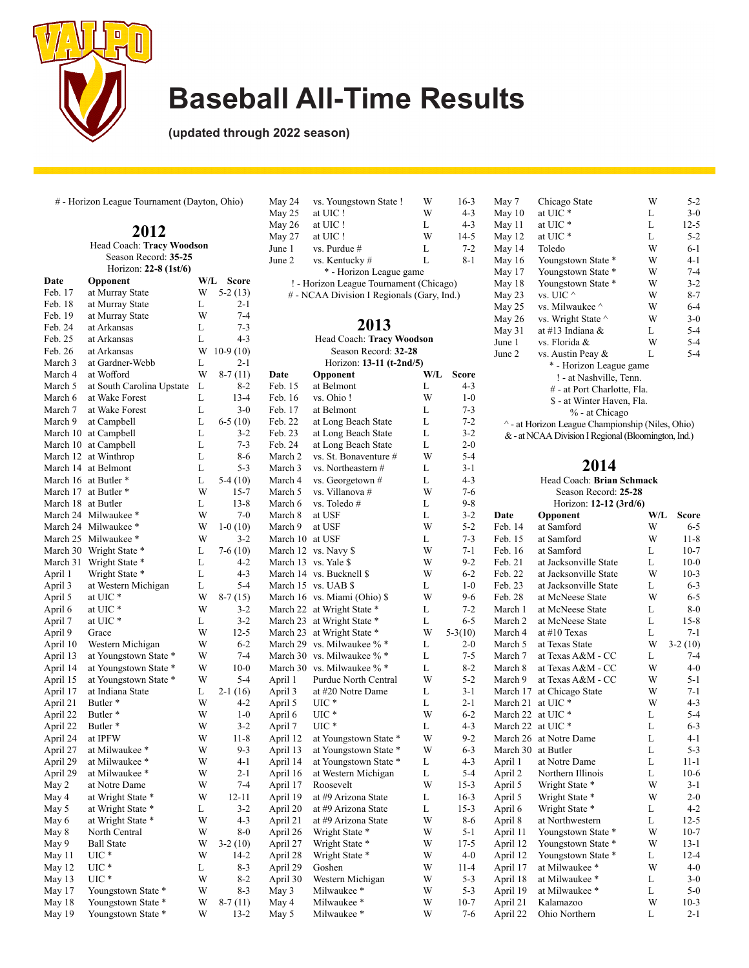

**(updated through 2022 season)**

# - Horizon League Tournament (Dayton, Ohio)

|  | May 26               |                                |        |                  |                      |
|--|----------------------|--------------------------------|--------|------------------|----------------------|
|  | May 27               |                                |        |                  |                      |
|  | June 1               |                                |        |                  |                      |
|  |                      | Season Record: 35-25           |        |                  | June 2               |
|  |                      | Horizon: 22-8 (1st/6)          |        |                  |                      |
|  | Date                 | Opponent                       | W/L    | Score            | ! - H                |
|  | Feb. 17              | at Murray State                | W      | $5-2(13)$        | # - N                |
|  | Feb. 18              | at Murray State                | L      | 2-1              |                      |
|  | Feb. 19              | at Murray State                | W      | $7 - 4$          |                      |
|  | Feb. 24              | at Arkansas                    | L      | $7 - 3$          |                      |
|  | Feb. 25              | at Arkansas                    | L      | $4 - 3$          |                      |
|  | Feb. 26              | at Arkansas                    | W      | $10-9(10)$       |                      |
|  | March 3              | at Gardner-Webb                | L      | 2-1              |                      |
|  | March 4              | at Wofford                     | W      | $8-7(11)$        | Date                 |
|  | March 5              | at South Carolina Upstate      | L      | $8-2$            | Feb. 15              |
|  | March 6              | at Wake Forest                 | L      | $13 - 4$         | Feb. 16              |
|  | March 7              | at Wake Forest                 | L      | $3-0$            | Feb. 17              |
|  | March 9              | at Campbell                    | L      | $6-5(10)$        | Feb. 22              |
|  | March 10             | at Campbell                    | L      | $3-2$            | Feb. 23              |
|  | March 10             | at Campbell                    | L      | $7 - 3$          | Feb. 24              |
|  | March 12             | at Winthrop                    | L      | $8-6$            | March 2              |
|  | March 14             | at Belmont                     | L      | $5 - 3$          | March 3              |
|  | March 16             | at Butler <sup>*</sup>         | L      | 5-4 (10)         | March 4              |
|  | March 17             | at Butler *                    | W      | 15-7             | March 5              |
|  | March 18             | at Butler                      | L      | $13 - 8$         | March 6              |
|  | March 24             | Milwaukee*                     | W      | $7-0$            | March 8              |
|  | March 24             | Milwaukee *                    | W      | $1-0(10)$        | March 9              |
|  | March 25             | Milwaukee*                     | W      | $3 - 2$          | March 10             |
|  | March 30             | Wright State *                 | L      | $7-6(10)$        | March 12             |
|  | March 31             | Wright State *                 | L      | $4 - 2$          | March 13             |
|  | April 1              | Wright State *                 | L      | $4 - 3$          | March 14             |
|  | April 3              | at Western Michigan            | L      | $5 - 4$          | March 15             |
|  | April 5              | at UIC *                       | W      | $8-7(15)$        | March 16             |
|  | April 6              | at UIC *                       | W      | $3-2$            | March 22             |
|  | April 7              | at UIC *                       | L      | $3 - 2$          | March 23             |
|  | April 9              | Grace                          | W      | $12 - 5$         | March 23             |
|  | April 10             | Western Michigan               | W      | $6 - 2$          | March 29             |
|  | April 13             | at Youngstown State *          | W      | $7 - 4$          | March 30             |
|  | April 14             | at Youngstown State *          | W      | $10-0$           | March 30             |
|  | April 15             | at Youngstown State *          | W      | $5 - 4$          | April 1              |
|  | April 17             | at Indiana State               | L      | $2-1(16)$        | April 3              |
|  | April 21             | Butler <sup>*</sup>            | W<br>W | 4-2              | April 5              |
|  | April 22             | Butler <sup>*</sup>            | W      | $1-0$<br>$3 - 2$ | April 6              |
|  | April 22             | Butler <sup>*</sup><br>at IPFW | W      | $11-8$           | April 7              |
|  | April 24             | at Milwaukee *                 | W      | $9-3$            | April 12             |
|  | April 27<br>April 29 | at Milwaukee *                 | W      | $4-1$            | April 13<br>April 14 |
|  | April 29             | at Milwaukee *                 | W      | $2 - 1$          |                      |
|  | May 2                | at Notre Dame                  | W      | $7 - 4$          | April 16             |
|  | May 4                | at Wright State *              | W      | 12-11            | April 17<br>April 19 |
|  |                      | at Wright State *              | L      | $3 - 2$          |                      |
|  | May 5<br>May 6       | at Wright State *              | W      | 4-3              | April 20<br>April 21 |
|  | May 8                | North Central                  | W      | $8-0$            |                      |
|  | May 9                | <b>Ball State</b>              | W      | $3-2(10)$        | April 26<br>April 27 |
|  | May 11               | UIC *                          | W      | 14-2             | April 28             |
|  | May 12               | UIC *                          | L      | 8-3              | April 29             |
|  | May 13               | $_{\mathrm{UIC}}$ *            | W      | 8-2              | April 30             |
|  | May 17               | Youngstown State *             | W      | $8 - 3$          | May 3                |
|  | May 18               | Youngstown State *             | W      | $8-7(11)$        | May 4                |
|  | May 19               | Youngstown State *             | W      | $13 - 2$         | May 5                |
|  |                      |                                |        |                  |                      |

| May 24 | vs. Youngstown State !                     | W | $16-3$   |
|--------|--------------------------------------------|---|----------|
| May 25 | at UIC!                                    | W | $4 - 3$  |
| May 26 | at UIC!                                    | L | $4 - 3$  |
| May 27 | at UIC!                                    | W | $14 - 5$ |
| June 1 | $vs.$ Purdue $#$                           | L | $7 - 2$  |
| June 2 | vs. Kentucky #                             | L | $8 - 1$  |
|        | * - Horizon League game                    |   |          |
|        | ! - Horizon League Tournament (Chicago)    |   |          |
|        | # - NCAA Division I Regionals (Gary, Ind.) |   |          |
|        |                                            |   |          |
|        | 2013                                       |   |          |

Head Coach: **Tracy Woodson** Season Record: **32-28** Horizon: **13-11 (t-2nd/5)**

| $_{\rm l}$     | Date     | Opponent              | W/L | Score     |
|----------------|----------|-----------------------|-----|-----------|
| .2             | Feb. 15  | at Belmont            | L   | $4 - 3$   |
| -4             | Feb. 16  | vs. Ohio !            | W   | $1-0$     |
| -0             | Feb. 17  | at Belmont            | L   | $7 - 3$   |
| ))             | Feb. 22  | at Long Beach State   | L   | $7 - 2$   |
| $\cdot$ 2      | Feb. 23  | at Long Beach State   | L   | $3 - 2$   |
| $\cdot$ 3      | Feb. 24  | at Long Beach State   | L   | $2 - 0$   |
| -6             | March 2  | vs. St. Bonaventure # | W   | $5 - 4$   |
| .3             | March 3  | vs. Northeastern #    | L   | $3-1$     |
| ))             | March 4  | vs. Georgetown #      | L   | $4 - 3$   |
| -7             | March 5  | vs. Villanova #       | W   | $7 - 6$   |
| -8             | March 6  | vs. Toledo #          | L   | $9 - 8$   |
| $\cdot 0$      | March 8  | at USF                | L   | $3 - 2$   |
| )              | March 9  | at USF                | W   | $5 - 2$   |
| -2             | March 10 | at USF                | L   | $7 - 3$   |
| ))             | March 12 | vs. Navy \$           | W   | $7 - 1$   |
| .2             | March 13 | vs. Yale \$           | W   | $9 - 2$   |
| .3             | March 14 | vs. Bucknell \$       | W   | $6 - 2$   |
| -4             | March 15 | vs. UAB \$            | L   | $1-0$     |
| 5)             | March 16 | vs. Miami (Ohio) \$   | W   | $9-6$     |
| $\cdot$ 2      | March 22 | at Wright State *     | L   | $7 - 2$   |
| $\cdot$ 2      | March 23 | at Wright State *     | L   | $6 - 5$   |
| $\cdot$ 5      | March 23 | at Wright State *     | W   | $5-3(10)$ |
| $\cdot$ 2      | March 29 | vs. Milwaukee % *     | L   | $2 - 0$   |
| -4             | March 30 | vs. Milwaukee % *     | L   | $7 - 5$   |
| $\cdot 0$      | March 30 | vs. Milwaukee % *     | L   | $8 - 2$   |
| $\cdot$ 4      | April 1  | Purdue North Central  | W   | $5 - 2$   |
| 5)             | April 3  | at #20 Notre Dame     | L   | $3 - 1$   |
| $\cdot 2$      | April 5  | $UIC*$                | L   | $2 - 1$   |
| -0             | April 6  | $_{\text{UIC}}$       | W   | $6 - 2$   |
| $\overline{2}$ | April 7  | UIC *                 | L   | $4 - 3$   |
| -8             | April 12 | at Youngstown State * | W   | $9 - 2$   |
| .3             | April 13 | at Youngstown State * | W   | $6 - 3$   |
| -1             | April 14 | at Youngstown State * | L   | $4 - 3$   |
| -1             | April 16 | at Western Michigan   | L   | $5 - 4$   |
| -4             | April 17 | Roosevelt             | W   | $15-3$    |
| $\mathbf{1}$   | April 19 | at #9 Arizona State   | L   | $16-3$    |
| $\cdot$ 2      | April 20 | at #9 Arizona State   | L   | $15-3$    |
| .3             | April 21 | at #9 Arizona State   | W   | $8-6$     |
| $\cdot 0$      | April 26 | Wright State *        | W   | $5 - 1$   |
| )              | April 27 | Wright State *        | W   | $17 - 5$  |
| $\cdot$ 2      | April 28 | Wright State *        | W   | $4 - 0$   |
| $\cdot$ 3      | April 29 | Goshen                | W   | $11 - 4$  |
| $\cdot$ 2      | April 30 | Western Michigan      | W   | $5 - 3$   |
| $-3$           | May 3    | Milwaukee*            | W   | $5 - 3$   |
| $\mathbf{I}$   | May 4    | Milwaukee*            | W   | $10-7$    |
| $\cdot$ 2      | May 5    | Milwaukee*            | W   | $7 - 6$   |

| May 7  | Chicago State                                       | W | $5 - 2$  |
|--------|-----------------------------------------------------|---|----------|
| May 10 | at UIC*                                             | L | $3-0$    |
| May 11 | at UIC <sup>*</sup>                                 | L | $12 - 5$ |
| May 12 | at UIC <sup>*</sup>                                 | L | $5 - 2$  |
| May 14 | Toledo                                              | W | $6 - 1$  |
| May 16 | Youngstown State *                                  | W | $4 - 1$  |
| May 17 | Youngstown State *                                  | W | $7 - 4$  |
| May 18 | Youngstown State *                                  | W | $3 - 2$  |
| May 23 | vs. UIC $^{\wedge}$                                 | W | $8 - 7$  |
| May 25 | vs. Milwaukee ^                                     | W | $6 - 4$  |
| May 26 | vs. Wright State $\wedge$                           | W | $3-0$    |
| May 31 | at #13 Indiana $&$                                  | L | $5-4$    |
| June 1 | vs. Florida &                                       | W | $5 - 4$  |
| June 2 | vs. Austin Peay &                                   | L | $5 - 4$  |
|        | * - Horizon League game                             |   |          |
|        | ! - at Nashville, Tenn.                             |   |          |
|        | # - at Port Charlotte, Fla.                         |   |          |
|        | \$ - at Winter Haven, Fla.                          |   |          |
|        | % - at Chicago                                      |   |          |
|        | ^ - at Horizon League Championship (Niles, Ohio)    |   |          |
|        | & - at NCAA Division I Regional (Bloomington, Ind.) |   |          |
|        |                                                     |   |          |

| $7-6$<br>Season Record: 25-28<br>$9 - 8$ |                                                                                                                                                                  |                                                                                                                                                                                                                                                         |                                                                                                                                                      |  |  |  |  |
|------------------------------------------|------------------------------------------------------------------------------------------------------------------------------------------------------------------|---------------------------------------------------------------------------------------------------------------------------------------------------------------------------------------------------------------------------------------------------------|------------------------------------------------------------------------------------------------------------------------------------------------------|--|--|--|--|
|                                          |                                                                                                                                                                  |                                                                                                                                                                                                                                                         |                                                                                                                                                      |  |  |  |  |
| Date                                     | Opponent                                                                                                                                                         |                                                                                                                                                                                                                                                         | <b>Score</b>                                                                                                                                         |  |  |  |  |
| Feb. 14                                  | at Samford                                                                                                                                                       | W                                                                                                                                                                                                                                                       | $6 - 5$                                                                                                                                              |  |  |  |  |
| Feb. 15                                  | at Samford                                                                                                                                                       | W                                                                                                                                                                                                                                                       | $11 - 8$                                                                                                                                             |  |  |  |  |
| Feb. 16                                  | at Samford                                                                                                                                                       | L                                                                                                                                                                                                                                                       | $10-7$                                                                                                                                               |  |  |  |  |
| Feb. 21                                  | at Jacksonville State                                                                                                                                            | L                                                                                                                                                                                                                                                       | $10-0$                                                                                                                                               |  |  |  |  |
| Feb. 22                                  | at Jacksonville State                                                                                                                                            | W                                                                                                                                                                                                                                                       | $10-3$                                                                                                                                               |  |  |  |  |
| Feb. 23                                  | at Jacksonville State                                                                                                                                            | L                                                                                                                                                                                                                                                       | $6 - 3$                                                                                                                                              |  |  |  |  |
| Feb. 28                                  | at McNeese State                                                                                                                                                 | W                                                                                                                                                                                                                                                       | $6 - 5$                                                                                                                                              |  |  |  |  |
| March 1                                  | at McNeese State                                                                                                                                                 | L                                                                                                                                                                                                                                                       | $8-0$                                                                                                                                                |  |  |  |  |
| March 2                                  | at McNeese State                                                                                                                                                 | L                                                                                                                                                                                                                                                       | $15 - 8$                                                                                                                                             |  |  |  |  |
| March 4                                  | at $#10$ Texas                                                                                                                                                   | L                                                                                                                                                                                                                                                       | $7 - 1$                                                                                                                                              |  |  |  |  |
| March 5                                  | at Texas State                                                                                                                                                   | W                                                                                                                                                                                                                                                       | $3-2(10)$                                                                                                                                            |  |  |  |  |
| March 7                                  | at Texas A&M - CC                                                                                                                                                | L                                                                                                                                                                                                                                                       | $7-4$                                                                                                                                                |  |  |  |  |
| March 8                                  | at Texas A&M - CC                                                                                                                                                | W                                                                                                                                                                                                                                                       | $4 - 0$                                                                                                                                              |  |  |  |  |
| March 9                                  | at Texas A&M - CC                                                                                                                                                | W                                                                                                                                                                                                                                                       | $5 - 1$                                                                                                                                              |  |  |  |  |
| March 17                                 | at Chicago State                                                                                                                                                 | W                                                                                                                                                                                                                                                       | $7 - 1$                                                                                                                                              |  |  |  |  |
| March 21                                 | at UIC *                                                                                                                                                         |                                                                                                                                                                                                                                                         | $4 - 3$                                                                                                                                              |  |  |  |  |
| March 22                                 | at UIC*                                                                                                                                                          | L                                                                                                                                                                                                                                                       | $5 - 4$                                                                                                                                              |  |  |  |  |
| March 22                                 |                                                                                                                                                                  |                                                                                                                                                                                                                                                         | $6 - 3$                                                                                                                                              |  |  |  |  |
|                                          |                                                                                                                                                                  |                                                                                                                                                                                                                                                         | $4 - 1$                                                                                                                                              |  |  |  |  |
|                                          |                                                                                                                                                                  |                                                                                                                                                                                                                                                         | $5 - 3$                                                                                                                                              |  |  |  |  |
| April 1                                  | at Notre Dame                                                                                                                                                    |                                                                                                                                                                                                                                                         | $11 - 1$                                                                                                                                             |  |  |  |  |
| April 2                                  | Northern Illinois                                                                                                                                                |                                                                                                                                                                                                                                                         | $10-6$                                                                                                                                               |  |  |  |  |
|                                          |                                                                                                                                                                  |                                                                                                                                                                                                                                                         | $3-1$                                                                                                                                                |  |  |  |  |
|                                          |                                                                                                                                                                  |                                                                                                                                                                                                                                                         | $2 - 0$                                                                                                                                              |  |  |  |  |
|                                          |                                                                                                                                                                  |                                                                                                                                                                                                                                                         | $4 - 2$                                                                                                                                              |  |  |  |  |
|                                          |                                                                                                                                                                  |                                                                                                                                                                                                                                                         | $12 - 5$                                                                                                                                             |  |  |  |  |
|                                          |                                                                                                                                                                  |                                                                                                                                                                                                                                                         | $10-7$                                                                                                                                               |  |  |  |  |
|                                          |                                                                                                                                                                  |                                                                                                                                                                                                                                                         | $13 - 1$                                                                                                                                             |  |  |  |  |
|                                          |                                                                                                                                                                  |                                                                                                                                                                                                                                                         | $12 - 4$                                                                                                                                             |  |  |  |  |
|                                          |                                                                                                                                                                  |                                                                                                                                                                                                                                                         | $4 - 0$                                                                                                                                              |  |  |  |  |
|                                          |                                                                                                                                                                  |                                                                                                                                                                                                                                                         | $3-0$                                                                                                                                                |  |  |  |  |
|                                          |                                                                                                                                                                  |                                                                                                                                                                                                                                                         | $5 - 0$                                                                                                                                              |  |  |  |  |
|                                          | Kalamazoo                                                                                                                                                        |                                                                                                                                                                                                                                                         | $10-3$                                                                                                                                               |  |  |  |  |
|                                          |                                                                                                                                                                  |                                                                                                                                                                                                                                                         | $2 - 1$                                                                                                                                              |  |  |  |  |
|                                          | March 26<br>March 30<br>April 5<br>April 5<br>April 6<br>April 8<br>April 11<br>April 12<br>April 12<br>April 17<br>April 18<br>April 19<br>April 21<br>April 22 | at UIC*<br>at Notre Dame<br>at Butler<br>Wright State *<br>Wright State *<br>Wright State *<br>at Northwestern<br>Youngstown State *<br>Youngstown State *<br>Youngstown State *<br>at Milwaukee *<br>at Milwaukee *<br>at Milwaukee *<br>Ohio Northern | Head Coach: Brian Schmack<br>Horizon: 12-12 (3rd/6)<br>W/L<br>W<br>L<br>L<br>L<br>L<br>L<br>W<br>W<br>L<br>L<br>W<br>W<br>L<br>W<br>L<br>L<br>W<br>L |  |  |  |  |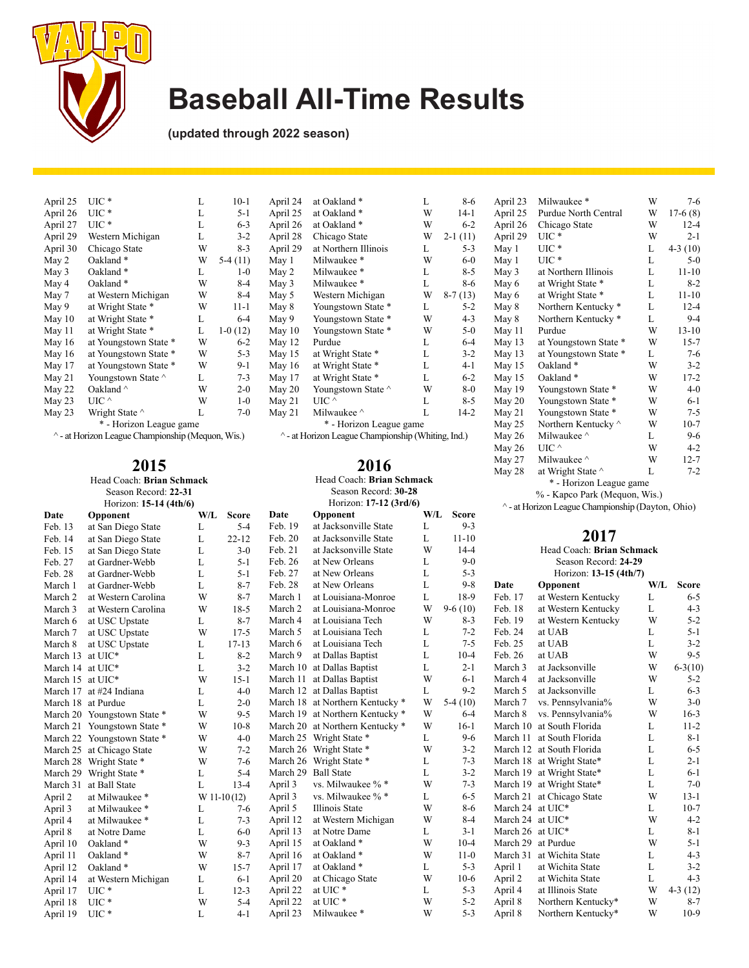

May 2 Milwaukee \* May 3 Milwaukee \*

May 12<br>May 15

 $May 21$ 

April 24 at Oakland \* L 8-6 April 25 at Oakland \* W 14-1 April 26 at Oakland \* W 6-2<br>April 28 Chicago State W 2-1 (11) April 28 Chicago State W 2-1 (11)<br>April 29 at Northern Illinois L 5-3 April 29 at Northern Illinois L 5-3<br>May 1 Milwaukee \* W 6-0 May 1 Milwaukee \* W 6-0<br>May 2 Milwaukee \* L 8-5

May 3 Milwaukee \* L 8-6<br>May 5 Western Michigan W 8-7 (13) May 5 Western Michigan W<br>May 8 Youngstown State \* L May 8 Youngstown State \* L 5-2<br>May 9 Youngstown State \* W 4-3 May 9 Youngstown State \* W 4-3<br>May 10 Youngstown State \* W 5-0

May 15 at Wright State \* L 3-2<br>May 16 at Wright State \* L 4-1 May 16 at Wright State \* L 4-1<br>May 17 at Wright State \* L 6-2 May 17 at Wright State \* L 6-2<br>May 20 Youngstown State ^ W 8-0 Youngstown State  $\wedge$  W 8-0<br>UIC  $\wedge$  L 8-5

May 21 Milwaukee  $\sim$  L 14-2 \* - Horizon League game ^ - at Horizon League Championship (Whiting, Ind.)

> **2016** Head Coach: **Brian Schmack**

Youngstown State \* W 5-0<br>Purdue L 6-4

**(updated through 2022 season)**

| April 25 | UIC *                   | L | $10-1$    |
|----------|-------------------------|---|-----------|
| April 26 | UIC *                   | L | $5 - 1$   |
| April 27 | $_{\mathrm{UIC}}$ *     | L | $6 - 3$   |
| April 29 | Western Michigan        | L | $3 - 2$   |
| April 30 | Chicago State           | W | 8-3       |
| May 2    | Oakland <sup>*</sup>    | W | $5-4(11)$ |
| May 3    | Oakland <sup>*</sup>    | L | $1 - 0$   |
| May 4    | Oakland <sup>*</sup>    | W | 8-4       |
| May 7    | at Western Michigan     | W | 8-4       |
| May 9    | at Wright State *       | W | $11 - 1$  |
| May 10   | at Wright State *       | L | $6 - 4$   |
| May 11   | at Wright State *       | L | $1-0(12)$ |
| May 16   | at Youngstown State *   | W | $6 - 2$   |
| May 16   | at Youngstown State *   | W | $5 - 3$   |
| May 17   | at Youngstown State *   | W | $9-1$     |
| May 21   | Youngstown State ^      | L | $7 - 3$   |
| May 22   | Oakland $\wedge$        | W | $2 - 0$   |
| May 23   | UIC $\wedge$            | W | $1 - 0$   |
| May 23   | Wright State ^          | L | $7-0$     |
|          | * - Horizon League game |   |           |

^ - at Horizon League Championship (Mequon, Wis.)

**2015**

Head Coach: **Brian Schmack** Season Record: **22-31**

|                  | Season Record: 22-31        |     |               | Season Record: 30-28   |                                 |     |              |
|------------------|-----------------------------|-----|---------------|------------------------|---------------------------------|-----|--------------|
|                  | Horizon: 15-14 (4th/6)      |     |               | Horizon: 17-12 (3rd/6) |                                 |     |              |
| Date             | Opponent                    | W/L | <b>Score</b>  | Date                   | Opponent                        | W/L | <b>Score</b> |
| Feb. 13          | at San Diego State          | L   | $5 - 4$       | Feb. 19                | at Jacksonville State           | L   | $9 - 3$      |
| Feb. 14          | at San Diego State          | L   | $22 - 12$     | Feb. 20                | at Jacksonville State           | L   | $11 - 10$    |
| Feb. 15          | at San Diego State          | L   | $3-0$         | Feb. 21                | at Jacksonville State           | W   | $14 - 4$     |
| Feb. 27          | at Gardner-Webb             | L   | $5 - 1$       | Feb. 26                | at New Orleans                  | L   | $9 - 0$      |
| Feb. 28          | at Gardner-Webb             | L   | $5 - 1$       | Feb. 27                | at New Orleans                  | L   | $5 - 3$      |
| March 1          | at Gardner-Webb             | L   | $8 - 7$       | Feb. 28                | at New Orleans                  | L   | $9 - 8$      |
| March 2          | at Western Carolina         | W   | $8 - 7$       | March 1                | at Louisiana-Monroe             | L   | 18-9         |
| March 3          | at Western Carolina         | W   | $18-5$        | March 2                | at Louisiana-Monroe             | W   | $9-6(10)$    |
| March 6          | at USC Upstate              | L   | $8 - 7$       | March 4                | at Louisiana Tech               | W   | $8-3$        |
| March 7          | at USC Upstate              | W   | $17-5$        | March 5                | at Louisiana Tech               | L   | $7 - 2$      |
| March 8          | at USC Upstate              | L   | $17 - 13$     | March 6                | at Louisiana Tech               | L   | $7 - 5$      |
| March 13         | at UIC*                     | L   | $8 - 2$       | March 9                | at Dallas Baptist               | L   | $10-4$       |
| March 14 at UIC* |                             | L   | $3 - 2$       |                        | March 10 at Dallas Baptist      | L   | $2 - 1$      |
| March 15 at UIC* |                             | W   | $15 - 1$      |                        | March 11 at Dallas Baptist      | W   | $6 - 1$      |
| March 17         | at #24 Indiana              | L   | $4 - 0$       |                        | March 12 at Dallas Baptist      | L   | $9 - 2$      |
|                  | March 18 at Purdue          | L   | $2 - 0$       |                        | March 18 at Northern Kentucky * | W   | $5-4(10)$    |
|                  | March 20 Youngstown State * | W   | $9 - 5$       |                        | March 19 at Northern Kentucky * | W   | $6 - 4$      |
|                  | March 21 Youngstown State * | W   | $10-8$        |                        | March 20 at Northern Kentucky * | W   | $16-1$       |
|                  | March 22 Youngstown State * | W   | $4 - 0$       |                        | March 25 Wright State *         | L   | $9 - 6$      |
|                  | March 25 at Chicago State   | W   | $7 - 2$       |                        | March 26 Wright State *         | W   | $3 - 2$      |
|                  | March 28 Wright State *     | W   | $7-6$         |                        | March 26 Wright State *         | L   | $7 - 3$      |
|                  | March 29 Wright State *     | L   | $5 - 4$       |                        | March 29 Ball State             | L   | $3 - 2$      |
|                  | March 31 at Ball State      | L   | $13 - 4$      | April 3                | vs. Milwaukee % *               | W   | $7 - 3$      |
| April 2          | at Milwaukee *              |     | $W 11-10(12)$ | April 3                | vs. Milwaukee % *               | L   | $6 - 5$      |
| April 3          | at Milwaukee *              | L   | $7-6$         | April 5                | Illinois State                  | W   | $8 - 6$      |
| April 4          | at Milwaukee *              | L   | $7 - 3$       | April 12               | at Western Michigan             | W   | $8 - 4$      |
| April 8          | at Notre Dame               | L   | $6-0$         | April 13               | at Notre Dame                   | L   | $3 - 1$      |
| April 10         | Oakland*                    | W   | $9 - 3$       | April 15               | at Oakland *                    | W   | $10-4$       |
| April 11         | Oakland*                    | W   | $8 - 7$       | April 16               | at Oakland *                    | W   | $11-0$       |
| April 12         | Oakland*                    | W   | $15 - 7$      | April 17               | at Oakland *                    | L   | $5 - 3$      |
| April 14         | at Western Michigan         | L   | $6 - 1$       | April 20               | at Chicago State                | W   | $10-6$       |
| April 17         | $UIC*$                      | L   | $12 - 3$      | April 22               | at UIC*                         | L   | $5 - 3$      |
| April 18         | $UIC*$                      | W   | $5 - 4$       | April 22               | at UIC*                         | W   | $5 - 2$      |
| April 19         | $UIC*$                      | L   | $4 - 1$       | April 23               | Milwaukee*                      | W   | $5 - 3$      |

| April 23                | Milwaukee*                     | W | $7 - 6$   |  |  |  |  |
|-------------------------|--------------------------------|---|-----------|--|--|--|--|
| April 25                | Purdue North Central           | W | $17-6(8)$ |  |  |  |  |
| April 26                | Chicago State                  | W | $12 - 4$  |  |  |  |  |
| April 29                | $UL^*$                         | W | $2 - 1$   |  |  |  |  |
| May 1                   | $_{\mathrm{UIC}}$ *            | L | $4-3(10)$ |  |  |  |  |
| May 1                   | $_{\mathrm{UIC}}$ *            | L | $5-0$     |  |  |  |  |
| May 3                   | at Northern Illinois           | L | $11 - 10$ |  |  |  |  |
| May 6                   | at Wright State *              | L | $8-2$     |  |  |  |  |
| May 6                   | at Wright State *              | L | $11 - 10$ |  |  |  |  |
| May 8                   | Northern Kentucky *            | L | $12 - 4$  |  |  |  |  |
| May 8                   | Northern Kentucky <sup>*</sup> | L | $9 - 4$   |  |  |  |  |
| May 11                  | Purdue                         | W | $13 - 10$ |  |  |  |  |
| May 13                  | at Youngstown State *          | W | $15 - 7$  |  |  |  |  |
| May $13$                | at Youngstown State *          | L | $7-6$     |  |  |  |  |
| May 15                  | Oakland*                       | W | $3-2$     |  |  |  |  |
| May 15                  | Oakland <sup>*</sup>           | W | $17 - 2$  |  |  |  |  |
| May 19                  | Youngstown State *             | W | $4 - 0$   |  |  |  |  |
| May 20                  | Youngstown State *             | W | $6 - 1$   |  |  |  |  |
| May 21                  | Youngstown State *             | W | $7 - 5$   |  |  |  |  |
| May 25                  | Northern Kentucky ^            | W | $10-7$    |  |  |  |  |
| May 26                  | Milwaukee ^                    | L | $9-6$     |  |  |  |  |
| May 26                  | UIC $\wedge$                   | W | $4-2$     |  |  |  |  |
| May 27                  | Milwaukee ^                    | W | 12-7      |  |  |  |  |
| May 28                  | at Wright State ^              | L | $7 - 2$   |  |  |  |  |
| * - Horizon League game |                                |   |           |  |  |  |  |

% - Kapco Park (Mequon, Wis.)

^ - at Horizon League Championship (Dayton, Ohio)

| L | $11 - 10$ |                           | 20 F Z                    |         |              |  |  |  |  |
|---|-----------|---------------------------|---------------------------|---------|--------------|--|--|--|--|
| W | $14 - 4$  | Head Coach: Brian Schmack |                           |         |              |  |  |  |  |
| L | $9 - 0$   | Season Record: 24-29      |                           |         |              |  |  |  |  |
| L | $5 - 3$   |                           | Horizon: 13-15 (4th/7)    |         |              |  |  |  |  |
| L | $9 - 8$   | Date                      | Opponent                  | $W/I$ . | <b>Score</b> |  |  |  |  |
| L | 18-9      | Feb. 17                   | at Western Kentucky       | L       | $6 - 5$      |  |  |  |  |
| W | $9-6(10)$ | Feb. 18                   | at Western Kentucky       | L       | $4 - 3$      |  |  |  |  |
| W | $8 - 3$   | Feb. 19                   | at Western Kentucky       | W       | $5 - 2$      |  |  |  |  |
| L | $7 - 2$   | Feb. 24                   | at UAB                    | L       | $5 - 1$      |  |  |  |  |
| L | $7 - 5$   | Feb. 25                   | at UAB                    | L       | $3 - 2$      |  |  |  |  |
| L | $10-4$    | Feb. 26                   | at UAB                    | W       | $9 - 5$      |  |  |  |  |
| L | $2 - 1$   | March 3                   | at Jacksonville           | W       | $6 - 3(10)$  |  |  |  |  |
| W | $6-1$     | March 4                   | at Jacksonville           | W       | $5 - 2$      |  |  |  |  |
| L | $9 - 2$   | March 5                   | at Jacksonville           | L       | $6-3$        |  |  |  |  |
| W | $5-4(10)$ | March 7                   | vs. Pennsylvania%         | W       | $3-0$        |  |  |  |  |
| W | $6 - 4$   | March 8                   | vs. Pennsylvania%         | W       | $16 - 3$     |  |  |  |  |
| W | $16-1$    | March 10                  | at South Florida          | L       | $11 - 2$     |  |  |  |  |
| L | $9-6$     | March 11                  | at South Florida          | L       | $8-1$        |  |  |  |  |
| W | $3 - 2$   |                           | March 12 at South Florida | L       | $6 - 5$      |  |  |  |  |
| L | $7 - 3$   | March 18                  | at Wright State*          | L       | $2 - 1$      |  |  |  |  |
| L | $3 - 2$   | March 19                  | at Wright State*          | L       | $6 - 1$      |  |  |  |  |
| W | $7 - 3$   | March 19                  | at Wright State*          | L       | $7-0$        |  |  |  |  |
| L | $6 - 5$   | March 21                  | at Chicago State          | W       | $13 - 1$     |  |  |  |  |
| W | $8 - 6$   | March 24                  | at UIC*                   | L       | $10-7$       |  |  |  |  |
| W | $8 - 4$   | March 24                  | at UIC*                   | W       | $4 - 2$      |  |  |  |  |
| L | $3 - 1$   | March 26 at UIC*          |                           | L       | $8 - 1$      |  |  |  |  |
| W | $10-4$    | March 29                  | at Purdue                 | W       | $5 - 1$      |  |  |  |  |
| W | $11-0$    | March 31                  | at Wichita State          | L       | $4 - 3$      |  |  |  |  |
| L | $5 - 3$   | April 1                   | at Wichita State          | L       | $3-2$        |  |  |  |  |
| W | $10-6$    | April 2                   | at Wichita State          | L       | $4 - 3$      |  |  |  |  |
| L | $5 - 3$   | April 4                   | at Illinois State         | W       | $4-3(12)$    |  |  |  |  |
| W | $5 - 2$   | April 8                   | Northern Kentucky*        | W       | 8-7          |  |  |  |  |
| W | $5 - 3$   | April 8                   | Northern Kentucky*        | W       | $10-9$       |  |  |  |  |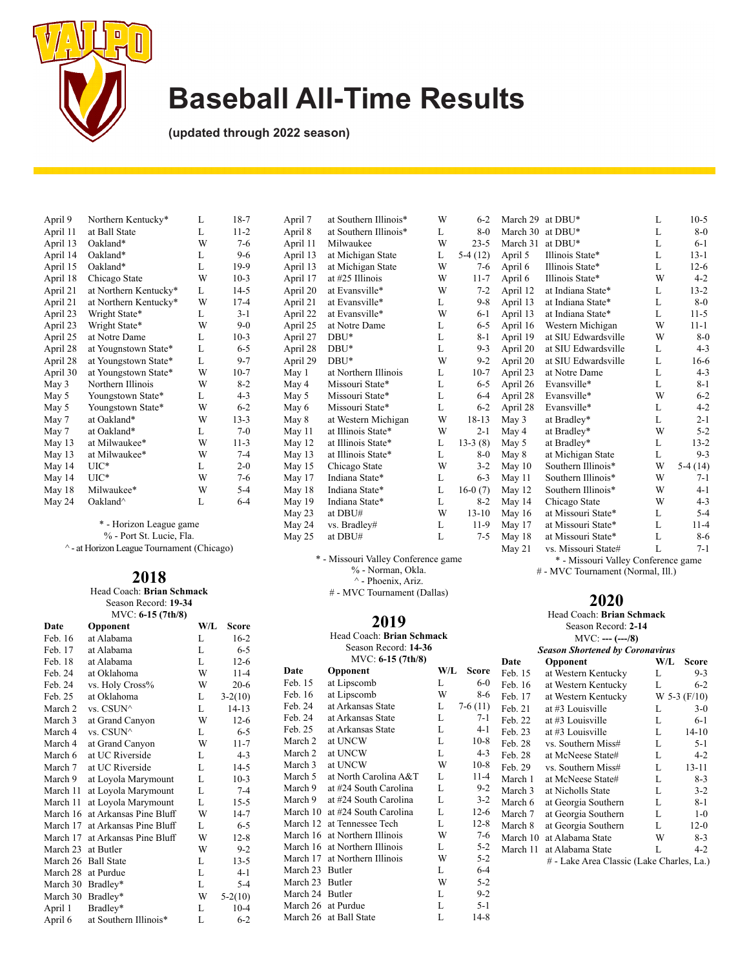

**(updated through 2022 season)**

| April 9  | Northern Kentucky*    | L | $18-7$   |
|----------|-----------------------|---|----------|
| April 11 | at Ball State         | L | $11 - 2$ |
| April 13 | Oakland*              | W | $7-6$    |
| April 14 | Oakland*              | L | $9-6$    |
| April 15 | Oakland*              | L | 19-9     |
| April 18 | Chicago State         | W | $10-3$   |
| April 21 | at Northern Kentucky* | L | $14-5$   |
| April 21 | at Northern Kentucky* | W | $17 - 4$ |
| April 23 | Wright State*         | L | $3 - 1$  |
| April 23 | Wright State*         | W | $9-0$    |
| April 25 | at Notre Dame         | L | $10-3$   |
| April 28 | at Yougnstown State*  | L | $6 - 5$  |
| April 28 | at Youngstown State*  | L | $9 - 7$  |
| April 30 | at Youngstown State*  | W | $10-7$   |
| May 3    | Northern Illinois     | W | $8-2$    |
| May 5    | Youngstown State*     | L | 4-3      |
| May 5    | Youngstown State*     | W | $6 - 2$  |
| May 7    | at Oakland*           | W | $13-3$   |
| May 7    | at Oakland*           | L | $7 - 0$  |
| May 13   | at Milwaukee*         | W | $11-3$   |
| May 13   | at Milwaukee*         | W | $7 - 4$  |
| May 14   | $_{\mathrm{UIC}*}$    | L | $2 - 0$  |
| May 14   | $_{\mathrm{UIC}*}$    | W | $7-6$    |
| May 18   | Milwaukee*            | W | $5 - 4$  |
| May 24   | Oakland <sup>^</sup>  | L | $6 - 4$  |

\* - Horizon League game % - Port St. Lucie, Fla.

^ - at Horizon League Tournament (Chicago)

#### **2018** Head Coach: **Brian Schmack**

Season Record: **19-34** MVC: **6-15 (7th/8)**

| $1$ vi v $\vee$ . U-1 $\vee$ ( / UI/U) |                        |     |           |  |  |  |  |  |
|----------------------------------------|------------------------|-----|-----------|--|--|--|--|--|
| Date                                   | Opponent               | W/L | Score     |  |  |  |  |  |
| Feb. 16                                | at Alabama             | L   | $16-2$    |  |  |  |  |  |
| Feb. 17                                | at Alabama             | L   | $6 - 5$   |  |  |  |  |  |
| Feb. 18                                | at Alabama             | L   | $12-6$    |  |  |  |  |  |
| Feb. 24                                | at Oklahoma            | W   | $11 - 4$  |  |  |  |  |  |
| Feb. 24                                | vs. Holy Cross%        | W   | $20-6$    |  |  |  |  |  |
| Feb. 25                                | at Oklahoma            | L   | $3-2(10)$ |  |  |  |  |  |
| March 2                                | vs. CSUN^              | L   | $14 - 13$ |  |  |  |  |  |
| March 3                                | at Grand Canyon        | W   | $12-6$    |  |  |  |  |  |
| March 4                                | vs. CSUN^              | L   | $6 - 5$   |  |  |  |  |  |
| March 4                                | at Grand Canyon        | W   | $11 - 7$  |  |  |  |  |  |
| March 6                                | at UC Riverside        | L   | $4 - 3$   |  |  |  |  |  |
| March 7                                | at UC Riverside        | L   | $14-5$    |  |  |  |  |  |
| March 9                                | at Loyola Marymount    | L   | $10-3$    |  |  |  |  |  |
| March 11                               | at Loyola Marymount    | L   | $7 - 4$   |  |  |  |  |  |
| March 11                               | at Loyola Marymount    | L   | $15 - 5$  |  |  |  |  |  |
| March 16                               | at Arkansas Pine Bluff | W   | 14-7      |  |  |  |  |  |
| March 17                               | at Arkansas Pine Bluff | L   | $6 - 5$   |  |  |  |  |  |
| March 17                               | at Arkansas Pine Bluff | W   | $12 - 8$  |  |  |  |  |  |
| March 23                               | at Butler              | W   | $9-2$     |  |  |  |  |  |
| March 26                               | <b>Ball State</b>      | L   | $13-5$    |  |  |  |  |  |
| March 28                               | at Purdue              | L   | 4-1       |  |  |  |  |  |
| March 30                               | Bradley*               | L   | $5 - 4$   |  |  |  |  |  |
| March 30                               | Bradley*               | W   | $5-2(10)$ |  |  |  |  |  |
| April 1                                | Bradley*               | L   | $10-4$    |  |  |  |  |  |
| April 6                                | at Southern Illinois*  | L   | $6 - 2$   |  |  |  |  |  |
|                                        |                        |     |           |  |  |  |  |  |

| April 11 | Milwaukee            | W | $23 - 5$  |
|----------|----------------------|---|-----------|
| April 13 | at Michigan State    | L | $5-4(12)$ |
| April 13 | at Michigan State    | W | $7-6$     |
| April 17 | at #25 Illinois      | W | $11 - 7$  |
| April 20 | at Evansville*       | W | $7 - 2$   |
| April 21 | at Evansville*       | L | $9 - 8$   |
| April 22 | at Evansville*       | W | $6-1$     |
| April 25 | at Notre Dame        | L | $6 - 5$   |
| April 27 | $DBU^*$              | L | $8 - 1$   |
| April 28 | DBU*                 | L | $9 - 3$   |
| April 29 | $DBU^*$              | W | $9 - 2$   |
| May 1    | at Northern Illinois | L | $10-7$    |
| May 4    | Missouri State*      | L | $6 - 5$   |
| May 5    | Missouri State*      | L | $6 - 4$   |
| May 6    | Missouri State*      | L | $6 - 2$   |
| May 8    | at Western Michigan  | W | 18-13     |
| May 11   | at Illinois State*   | W | $2 - 1$   |
| May 12   | at Illinois State*   | L | $13-3(8)$ |
| May 13   | at Illinois State*   | L | $8-0$     |
| May 15   | Chicago State        | W | $3-2$     |
| May 17   | Indiana State*       | L | $6 - 3$   |
| May 18   | Indiana State*       | L | $16-0(7)$ |
| May 19   | Indiana State*       | L | $8-2$     |
| May 23   | at DBU#              | W | $13 - 10$ |
| May 24   | vs. Bradley#         | L | $11-9$    |
| May 25   | at DBU#              | L | 7-5       |
|          |                      |   |           |

\* - Missouri Valley Conference game % - Norman, Okla. ^ - Phoenix, Ariz. # - MVC Tournament (Dallas)

#### **2019**

Head Coach: **Brian Schmack** Season Record: **14-36** MVC: **6-15 (7th/8)**

|                 | $11.7 \times 0.0 - 1.01$   |     |              |
|-----------------|----------------------------|-----|--------------|
| Date            | Opponent                   | W/L | <b>Score</b> |
| Feb. 15         | at Lipscomb                | L   | $6 - 0$      |
| Feb. 16         | at Lipscomb                | W   | 8-6          |
| Feb. 24         | at Arkansas State          | L   | $7-6(11)$    |
| Feb. 24         | at Arkansas State          | L   | $7 - 1$      |
| Feb. 25         | at Arkansas State          | L   | $4 - 1$      |
| March 2         | at UNCW                    | L   | $10-8$       |
| March 2         | at UNCW                    | L   | $4 - 3$      |
| March 3         | at UNCW                    | W   | $10-8$       |
| March 5         | at North Carolina A&T      | L   | $11 - 4$     |
| March 9         | at #24 South Carolina      | L   | $9 - 2$      |
| March 9         | at #24 South Carolina      | L   | $3 - 2$      |
| March 10        | at #24 South Carolina      | L   | $12-6$       |
|                 | March 12 at Tennessee Tech | L   | $12-8$       |
| March 16        | at Northern Illinois       | W   | $7-6$        |
| March 16        | at Northern Illinois       | L   | $5 - 2$      |
| March 17        | at Northern Illinois       | W   | $5 - 2$      |
| March 23 Butler |                            | L   | $6 - 4$      |
| March 23 Butler |                            | W   | $5 - 2$      |
| March 24 Butler |                            | L   | $9 - 2$      |
|                 | March 26 at Purdue         | L   | $5 - 1$      |
|                 | March 26 at Ball State     | L   | $14-8$       |
|                 |                            |     |              |

| April 7  | at Southern Illinois* | W | $6 - 2$   | March 29 | at DBU*             | L | $10-5$    |
|----------|-----------------------|---|-----------|----------|---------------------|---|-----------|
| April 8  | at Southern Illinois* | L | $8-0$     | March 30 | at DBU*             | L | $8-0$     |
| April 11 | Milwaukee             | W | $23 - 5$  | March 31 | at DBU*             | L | $6 - 1$   |
| April 13 | at Michigan State     | L | $5-4(12)$ | April 5  | Illinois State*     | L | $13 - 1$  |
| April 13 | at Michigan State     | W | 7-6       | April 6  | Illinois State*     | L | $12-6$    |
| April 17 | at #25 Illinois       | W | $11 - 7$  | April 6  | Illinois State*     | W | $4 - 2$   |
| April 20 | at Evansville*        | W | $7 - 2$   | April 12 | at Indiana State*   | L | $13 - 2$  |
| April 21 | at Evansville*        | L | $9 - 8$   | April 13 | at Indiana State*   | L | $8-0$     |
| April 22 | at Evansville*        | W | $6-1$     | April 13 | at Indiana State*   | L | $11-5$    |
| April 25 | at Notre Dame         | L | $6 - 5$   | April 16 | Western Michigan    | W | $11 - 1$  |
| April 27 | $DBU^*$               | L | 8-1       | April 19 | at SIU Edwardsville | W | $8-0$     |
| April 28 | $DBU^*$               | L | $9 - 3$   | April 20 | at SIU Edwardsville | L | $4 - 3$   |
| April 29 | $DBU^*$               | W | $9-2$     | April 20 | at SIU Edwardsville | L | $16-6$    |
| May 1    | at Northern Illinois  | L | $10-7$    | April 23 | at Notre Dame       | L | $4 - 3$   |
| May 4    | Missouri State*       | L | $6 - 5$   | April 26 | Evansville*         | L | $8 - 1$   |
| May 5    | Missouri State*       | L | $6-4$     | April 28 | Evansville*         | W | $6 - 2$   |
| May 6    | Missouri State*       | L | $6 - 2$   | April 28 | Evansville*         | L | $4 - 2$   |
| May 8    | at Western Michigan   | W | 18-13     | May 3    | at Bradley*         | L | $2 - 1$   |
| May 11   | at Illinois State*    | W | $2 - 1$   | May 4    | at Bradley*         | W | $5 - 2$   |
| May 12   | at Illinois State*    | L | $13-3(8)$ | May 5    | at Bradley*         | L | $13 - 2$  |
| May 13   | at Illinois State*    | L | $8-0$     | May 8    | at Michigan State   | L | $9 - 3$   |
| May 15   | Chicago State         | W | $3-2$     | May $10$ | Southern Illinois*  | W | $5-4(14)$ |
| May 17   | Indiana State*        | L | $6 - 3$   | May 11   | Southern Illinois*  | W | $7 - 1$   |
| May 18   | Indiana State*        | L | $16-0(7)$ | May 12   | Southern Illinois*  | W | 4-1       |
| May 19   | Indiana State*        | L | $8-2$     | May 14   | Chicago State       | W | $4 - 3$   |
| May 23   | at DBU#               | W | $13 - 10$ | May $16$ | at Missouri State*  | L | $5-4$     |
| May 24   | vs. Bradley#          | L | $11-9$    | May 17   | at Missouri State*  | L | $11 - 4$  |
| May 25   | at DBU#               | L | $7 - 5$   | May 18   | at Missouri State*  | L | 8-6       |
|          |                       |   |           | May 21   | vs. Missouri State# | L | $7 - 1$   |

\* - Missouri Valley Conference game

# - MVC Tournament (Normal, Ill.)

|                                        |                     | Head Coach: <b>Brian Schmack</b>          |     |                    |  |  |  |  |  |  |
|----------------------------------------|---------------------|-------------------------------------------|-----|--------------------|--|--|--|--|--|--|
|                                        | Season Record: 2-14 |                                           |     |                    |  |  |  |  |  |  |
|                                        |                     | $MVC: --- (-0.48)$                        |     |                    |  |  |  |  |  |  |
| <b>Season Shortened by Coronavirus</b> |                     |                                           |     |                    |  |  |  |  |  |  |
|                                        | Date                | Opponent                                  | W/L | Score              |  |  |  |  |  |  |
| ore                                    | Feb. 15             | at Western Kentucky                       | L   | $9-3$              |  |  |  |  |  |  |
| $6-0$                                  | Feb. 16             | at Western Kentucky                       | L   | $6 - 2$            |  |  |  |  |  |  |
| 8-6                                    | Feb. 17             | at Western Kentucky                       |     | $W$ 5-3 ( $F/10$ ) |  |  |  |  |  |  |
| (11)                                   | Feb. 21             | at #3 Louisville                          | L   | $3-0$              |  |  |  |  |  |  |
| $7 - 1$                                | Feb. 22             | at #3 Louisville                          | L   | 6-1                |  |  |  |  |  |  |
| $4-1$                                  | Feb. 23             | at #3 Louisville                          | L   | $14 - 10$          |  |  |  |  |  |  |
| $0-8$                                  | Feb. 28             | vs. Southern Miss#                        | L   | $5 - 1$            |  |  |  |  |  |  |
| 4-3                                    | Feb. 28             | at McNeese State#                         | L   | $4 - 2$            |  |  |  |  |  |  |
| $0-8$                                  | Feb. 29             | vs. Southern Miss#                        | L   | 13-11              |  |  |  |  |  |  |
| $1-4$                                  | March 1             | at McNeese State#                         | L   | $8-3$              |  |  |  |  |  |  |
| $9 - 2$                                | March 3             | at Nicholls State                         | L   | $3-2$              |  |  |  |  |  |  |
| $3 - 2$                                | March 6             | at Georgia Southern                       | L   | 8-1                |  |  |  |  |  |  |
| $2 - 6$                                | March 7             | at Georgia Southern                       | L   | $1-0$              |  |  |  |  |  |  |
| $2 - 8$                                | March 8             | at Georgia Southern                       | L   | $12-0$             |  |  |  |  |  |  |
| $7-6$                                  | March 10            | at Alabama State                          | W   | 8-3                |  |  |  |  |  |  |
| $5 - 2$                                | March 11            | at Alabama State                          | L   | 4-2                |  |  |  |  |  |  |
| $5 - 2$                                |                     | # - Lake Area Classic (Lake Charles, La.) |     |                    |  |  |  |  |  |  |
| $6 - 4$                                |                     |                                           |     |                    |  |  |  |  |  |  |
| $5 - 2$                                |                     |                                           |     |                    |  |  |  |  |  |  |
| $9 - 2$                                |                     |                                           |     |                    |  |  |  |  |  |  |
| $5 - 1$                                |                     |                                           |     |                    |  |  |  |  |  |  |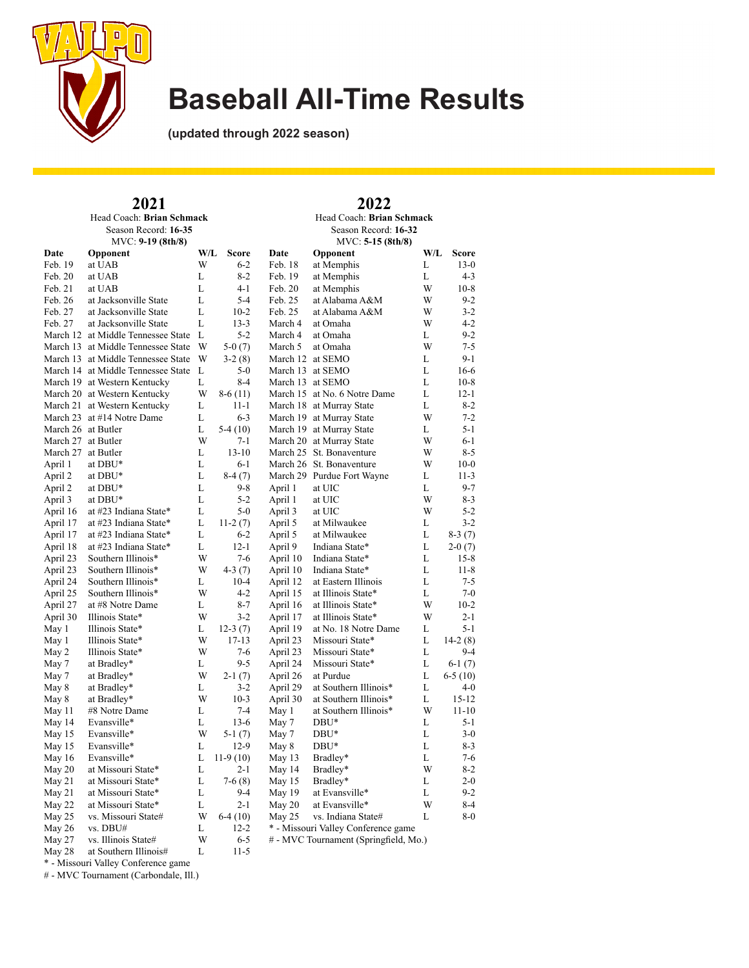

**(updated through 2022 season)**

|                    | 2021                                 |     |              | 2022                 |                                       |     |           |  |  |
|--------------------|--------------------------------------|-----|--------------|----------------------|---------------------------------------|-----|-----------|--|--|
|                    | Head Coach: Brian Schmack            |     |              |                      | Head Coach: Brian Schmack             |     |           |  |  |
|                    | Season Record: 16-35                 |     |              | Season Record: 16-32 |                                       |     |           |  |  |
|                    | MVC: 9-19 (8th/8)                    |     |              | $MVC: 5-15 (8th/8)$  |                                       |     |           |  |  |
| Date               | Opponent                             | W/L | <b>Score</b> | Date                 | Opponent                              | W/L | Score     |  |  |
| Feb. 19            | at UAB                               | W   | $6 - 2$      | Feb. 18              | at Memphis                            | L   | $13-0$    |  |  |
| Feb. 20            | at UAB                               | L   | $8 - 2$      | Feb. 19              | at Memphis                            | L   | $4 - 3$   |  |  |
| Feb. 21            | at UAB                               | L   | $4 - 1$      | Feb. 20              | at Memphis                            | W   | $10-8$    |  |  |
| Feb. 26            | at Jacksonville State                | L   | $5 - 4$      | Feb. 25              | at Alabama A&M                        | W   | 9-2       |  |  |
| Feb. 27            | at Jacksonville State                | L   | $10-2$       | Feb. 25              | at Alabama A&M                        | W   | $3 - 2$   |  |  |
| Feb. 27            | at Jacksonville State                | L   | $13 - 3$     | March 4              | at Omaha                              | W   | 4-2       |  |  |
|                    | March 12 at Middle Tennessee State L |     | $5 - 2$      | March 4              | at Omaha                              | L   | $9-2$     |  |  |
|                    | March 13 at Middle Tennessee State   | W   | $5-0(7)$     | March 5              | at Omaha                              | W   | $7 - 5$   |  |  |
|                    | March 13 at Middle Tennessee State   | W   | $3-2(8)$     | March 12 at SEMO     |                                       | L   | $9-1$     |  |  |
|                    | March 14 at Middle Tennessee State   | L   | $5-0$        | March 13             | at SEMO                               | L   | $16-6$    |  |  |
|                    | March 19 at Western Kentucky         | L   | $8 - 4$      | March 13 at SEMO     |                                       | L   | $10-8$    |  |  |
|                    | March 20 at Western Kentucky         | W   | $8-6(11)$    |                      | March 15 at No. 6 Notre Dame          | L   | $12 - 1$  |  |  |
|                    | March 21 at Western Kentucky         | L   | $11 - 1$     |                      | March 18 at Murray State              | L   | $8 - 2$   |  |  |
|                    | March 23 at #14 Notre Dame           | L   | $6 - 3$      |                      | March 19 at Murray State              | W   | $7 - 2$   |  |  |
| March 26 at Butler |                                      | L   | $5-4(10)$    | March 19             | at Murray State                       | L   | 5-1       |  |  |
| March 27 at Butler |                                      | W   | 7-1          |                      | March 20 at Murray State              | W   | 6-1       |  |  |
| March 27 at Butler |                                      | L   | $13 - 10$    |                      | March 25 St. Bonaventure              | W   | $8 - 5$   |  |  |
| April 1            | at DBU*                              | L   | $6 - 1$      |                      | March 26 St. Bonaventure              | W   | $10-0$    |  |  |
| April 2            | at DBU*                              | L   | $8-4(7)$     |                      | March 29 Purdue Fort Wayne            | L   | $11-3$    |  |  |
| April 2            | at DBU*                              | L   | $9 - 8$      | April 1              | at UIC                                | L   | $9 - 7$   |  |  |
| April 3            | at DBU*                              | L   | $5 - 2$      | April 1              | at UIC                                | W   | 8-3       |  |  |
| April 16           | at #23 Indiana State*                | L   | $5-0$        | April 3              | at UIC                                | W   | $5 - 2$   |  |  |
| April 17           | at #23 Indiana State*                | L   | $11-2(7)$    | April 5              | at Milwaukee                          | L   | $3 - 2$   |  |  |
| April 17           | at #23 Indiana State*                | L   | $6 - 2$      | April 5              | at Milwaukee                          | L   | $8-3(7)$  |  |  |
| April 18           | at #23 Indiana State*                | L   | $12 - 1$     | April 9              | Indiana State*                        | L   | $2-0(7)$  |  |  |
| April 23           | Southern Illinois*                   | W   | $7 - 6$      | April 10             | Indiana State*                        | L   | $15-8$    |  |  |
| April 23           | Southern Illinois*                   | W   | $4-3(7)$     | April 10             | Indiana State*                        | L   | $11 - 8$  |  |  |
| April 24           | Southern Illinois*                   | L   | $10-4$       | April 12             | at Eastern Illinois                   | L   | $7 - 5$   |  |  |
| April 25           | Southern Illinois*                   | W   | $4 - 2$      | April 15             | at Illinois State*                    | L   | $7 - 0$   |  |  |
| April 27           | at #8 Notre Dame                     | L   | $8 - 7$      | April 16             | at Illinois State*                    | W   | $10-2$    |  |  |
| April 30           | Illinois State*                      | W   | $3 - 2$      | April 17             | at Illinois State*                    | W   | $2 - 1$   |  |  |
| May 1              | Illinois State*                      | L   | $12-3(7)$    | April 19             | at No. 18 Notre Dame                  | L   | $5 - 1$   |  |  |
| May 1              | Illinois State*                      | W   | $17 - 13$    | April 23             | Missouri State*                       | L   | $14-2(8)$ |  |  |
| May 2              | Illinois State*                      | W   | 7-6          | April 23             | Missouri State*                       | L   | 9-4       |  |  |
| May 7              | at Bradley*                          | L   | $9 - 5$      | April 24             | Missouri State*                       | L   | $6-1(7)$  |  |  |
| May 7              | at Bradley*                          | W   | $2-1(7)$     | April 26             | at Purdue                             | L   | $6-5(10)$ |  |  |
| May 8              | at Bradley*                          | L   | $3 - 2$      | April 29             | at Southern Illinois*                 | L   | $4 - 0$   |  |  |
| May 8              | at Bradley*                          | W   | $10-3$       | April 30             | at Southern Illinois*                 | L   | $15 - 12$ |  |  |
| May 11             | #8 Notre Dame                        | L   | $7 - 4$      | May 1                | at Southern Illinois*                 | W   | $11 - 10$ |  |  |
| May 14             | Evansville*                          | L   | $13-6$       | May 7                | $DBU^*$                               | L   | 5-1       |  |  |
| May 15             | Evansville*                          | W   | $5-1(7)$     | May 7                | $DBU^*$                               | L   | $3-0$     |  |  |
| May 15             | Evansville*                          | L   | $12-9$       | May $8$              | $DBU^*$                               | L   | $8 - 3$   |  |  |
| May 16             | Evansville*                          | L   | $11-9(10)$   | May 13               | Bradley*                              | L   | 7-6       |  |  |
| May 20             | at Missouri State*                   | L   | $2 - 1$      | May 14               | Bradley*                              | W   | $8 - 2$   |  |  |
| May 21             | at Missouri State*                   | L   | $7-6(8)$     | May 15               | Bradley*                              | L   | $2 - 0$   |  |  |
| May 21             | at Missouri State*                   | L   | 9-4          | May 19               | at Evansville*                        | L   | 9-2       |  |  |
| May 22             | at Missouri State*                   | L   | $2 - 1$      | May 20               | at Evansville*                        | W   | 8-4       |  |  |
| May 25             | vs. Missouri State#                  | W   | $6-4(10)$    | May 25               | vs. Indiana State#                    | L   | 8-0       |  |  |
| May 26             | vs. DBU#                             | L   | $12 - 2$     |                      | * - Missouri Valley Conference game   |     |           |  |  |
| May 27             | vs. Illinois State#                  | W   | $6 - 5$      |                      | # - MVC Tournament (Springfield, Mo.) |     |           |  |  |
| May 28             | at Southern Illinois#                | L   | $11 - 5$     |                      |                                       |     |           |  |  |
|                    |                                      |     |              |                      |                                       |     |           |  |  |

\* - Missouri Valley Conference game

# - MVC Tournament (Carbondale, Ill.)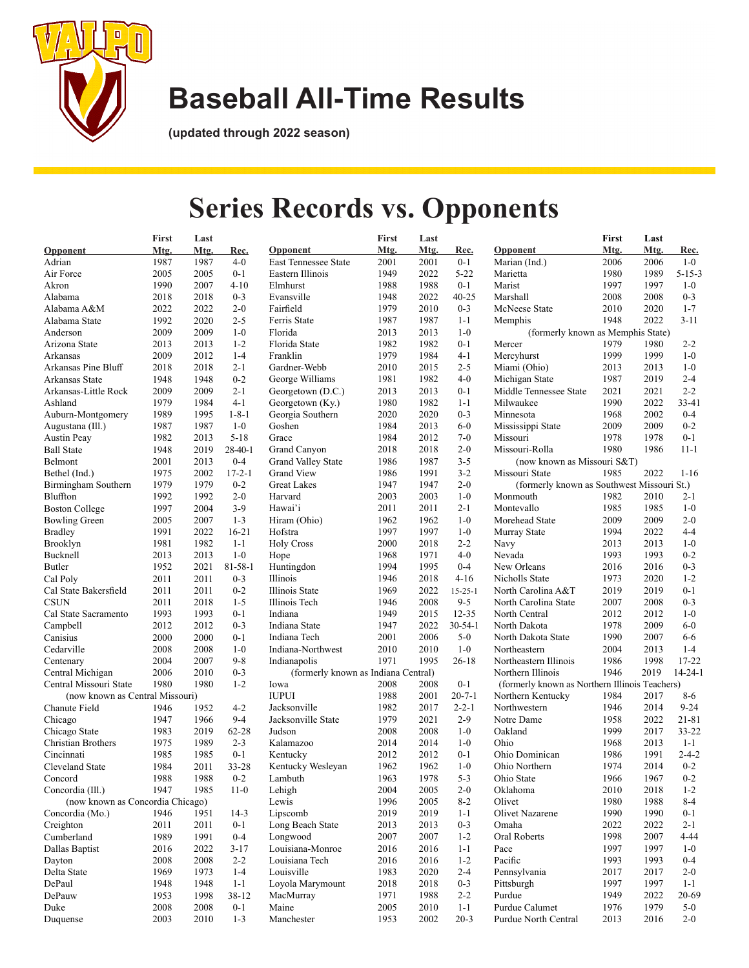

**(updated through 2022 season)**

## **Series Records vs. Opponents**

|                                  | <b>First</b> | Last |               |                                     | First | Last |               |                                                | First | Last |               |
|----------------------------------|--------------|------|---------------|-------------------------------------|-------|------|---------------|------------------------------------------------|-------|------|---------------|
| <b>Opponent</b>                  | Mtg.         | Mtg. | Rec.          | <b>Opponent</b>                     | Mtg.  | Mtg. | <u>Rec.</u>   | <b>Opponent</b>                                | Mtg.  | Mtg. | Rec.          |
| Adrian                           | 1987         | 1987 | $4 - 0$       | East Tennessee State                | 2001  | 2001 | $0 - 1$       | Marian (Ind.)                                  | 2006  | 2006 | $1-0$         |
| Air Force                        | 2005         | 2005 | $0 - 1$       | Eastern Illinois                    | 1949  | 2022 | $5 - 22$      | Marietta                                       | 1980  | 1989 | $5 - 15 - 3$  |
| Akron                            | 1990         | 2007 | $4 - 10$      | Elmhurst                            | 1988  | 1988 | $0 - 1$       | Marist                                         | 1997  | 1997 | $1-0$         |
| Alabama                          | 2018         | 2018 | $0 - 3$       | Evansville                          | 1948  | 2022 | $40 - 25$     | Marshall                                       | 2008  | 2008 | $0 - 3$       |
| Alabama A&M                      | 2022         | 2022 | $2 - 0$       | Fairfield                           | 1979  | 2010 | $0 - 3$       | McNeese State                                  | 2010  | 2020 | $1 - 7$       |
| Alabama State                    | 1992         | 2020 | $2 - 5$       | Ferris State                        | 1987  | 1987 | $1 - 1$       | Memphis                                        | 1948  | 2022 | $3 - 11$      |
| Anderson                         | 2009         | 2009 | $1-0$         | Florida                             | 2013  | 2013 | $1-0$         | (formerly known as Memphis State)              |       |      |               |
| Arizona State                    | 2013         | 2013 | $1 - 2$       | Florida State                       | 1982  | 1982 | $0 - 1$       | Mercer                                         | 1979  | 1980 | $2 - 2$       |
| Arkansas                         | 2009         | 2012 | $1 - 4$       | Franklin                            | 1979  | 1984 | $4 - 1$       | Mercyhurst                                     | 1999  | 1999 | $1-0$         |
| Arkansas Pine Bluff              | 2018         | 2018 | $2 - 1$       | Gardner-Webb                        | 2010  | 2015 | $2 - 5$       | Miami (Ohio)                                   | 2013  | 2013 | $1-0$         |
| Arkansas State                   | 1948         | 1948 | $0 - 2$       | George Williams                     | 1981  | 1982 | $4-0$         | Michigan State                                 | 1987  | 2019 | $2 - 4$       |
| Arkansas-Little Rock             | 2009         | 2009 | $2 - 1$       | Georgetown (D.C.)                   | 2013  | 2013 | $0 - 1$       | Middle Tennessee State                         | 2021  | 2021 | $2 - 2$       |
| Ashland                          | 1979         | 1984 | $4-1$         | Georgetown (Ky.)                    | 1980  | 1982 | $1 - 1$       | Milwaukee                                      | 1990  | 2022 | 33-41         |
| Auburn-Montgomery                | 1989         | 1995 | $1 - 8 - 1$   | Georgia Southern                    | 2020  | 2020 | $0 - 3$       | Minnesota                                      | 1968  | 2002 | $0 - 4$       |
| Augustana (Ill.)                 | 1987         | 1987 | $1-0$         | Goshen                              | 1984  | 2013 | $6-0$         | Mississippi State                              | 2009  | 2009 | $0 - 2$       |
| <b>Austin Peay</b>               | 1982         | 2013 | $5 - 18$      | Grace                               | 1984  | 2012 | $7-0$         | Missouri                                       | 1978  | 1978 | $0 - 1$       |
| <b>Ball State</b>                | 1948         | 2019 | $28-40-1$     | Grand Canyon                        | 2018  | 2018 | $2 - 0$       | Missouri-Rolla                                 | 1980  | 1986 | $11 - 1$      |
| Belmont                          | 2001         | 2013 | $0 - 4$       | <b>Grand Valley State</b>           | 1986  | 1987 | $3 - 5$       | (now known as Missouri S&T)                    |       |      |               |
| Bethel (Ind.)                    | 1975         | 2002 | $17 - 2 - 1$  | <b>Grand View</b>                   | 1986  | 1991 | $3-2$         | Missouri State                                 | 1985  | 2022 | $1 - 16$      |
| Birmingham Southern              | 1979         | 1979 | $0 - 2$       | <b>Great Lakes</b>                  | 1947  | 1947 | $2 - 0$       | (formerly known as Southwest Missouri St.)     |       |      |               |
| Bluffton                         |              |      |               |                                     |       |      |               |                                                |       |      |               |
|                                  | 1992         | 1992 | $2 - 0$       | Harvard                             | 2003  | 2003 | $1-0$         | Monmouth                                       | 1982  | 2010 | $2 - 1$       |
| <b>Boston College</b>            | 1997         | 2004 | $3-9$         | Hawai'i                             | 2011  | 2011 | $2 - 1$       | Montevallo                                     | 1985  | 1985 | $1-0$         |
| <b>Bowling Green</b>             | 2005         | 2007 | $1 - 3$       | Hiram (Ohio)                        | 1962  | 1962 | $1-0$         | Morehead State                                 | 2009  | 2009 | $2 - 0$       |
| <b>Bradley</b>                   | 1991         | 2022 | $16 - 21$     | Hofstra                             | 1997  | 1997 | $1-0$         | Murray State                                   | 1994  | 2022 | $4 - 4$       |
| Brooklyn                         | 1981         | 1982 | $1 - 1$       | <b>Holy Cross</b>                   | 2000  | 2018 | $2 - 2$       | Navy                                           | 2013  | 2013 | $1-0$         |
| Bucknell                         | 2013         | 2013 | $1-0$         | Hope                                | 1968  | 1971 | $4 - 0$       | Nevada                                         | 1993  | 1993 | $0 - 2$       |
| Butler                           | 1952         | 2021 | $81 - 58 - 1$ | Huntingdon                          | 1994  | 1995 | $0 - 4$       | New Orleans                                    | 2016  | 2016 | $0 - 3$       |
| Cal Poly                         | 2011         | 2011 | $0 - 3$       | Illinois                            | 1946  | 2018 | $4 - 16$      | Nicholls State                                 | 1973  | 2020 | $1 - 2$       |
| Cal State Bakersfield            | 2011         | 2011 | $0 - 2$       | Illinois State                      | 1969  | 2022 | $15 - 25 - 1$ | North Carolina A&T                             | 2019  | 2019 | $0 - 1$       |
| <b>CSUN</b>                      | 2011         | 2018 | $1 - 5$       | Illinois Tech                       | 1946  | 2008 | $9 - 5$       | North Carolina State                           | 2007  | 2008 | $0 - 3$       |
| Cal State Sacramento             | 1993         | 1993 | $0 - 1$       | Indiana                             | 1949  | 2015 | $12 - 35$     | North Central                                  | 2012  | 2012 | $1-0$         |
| Campbell                         | 2012         | 2012 | $0 - 3$       | Indiana State                       | 1947  | 2022 | $30 - 54 - 1$ | North Dakota                                   | 1978  | 2009 | $6-0$         |
| Canisius                         | 2000         | 2000 | $0 - 1$       | Indiana Tech                        | 2001  | 2006 | $5-0$         | North Dakota State                             | 1990  | 2007 | $6-6$         |
| Cedarville                       | 2008         | 2008 | $1-0$         | Indiana-Northwest                   | 2010  | 2010 | $1-0$         | Northeastern                                   | 2004  | 2013 | $1 - 4$       |
| Centenary                        | 2004         | 2007 | $9 - 8$       | Indianapolis                        | 1971  | 1995 | $26 - 18$     | Northeastern Illinois                          | 1986  | 1998 | $17 - 22$     |
| Central Michigan                 | 2006         | 2010 | $0 - 3$       | (formerly known as Indiana Central) |       |      |               | Northern Illinois                              | 1946  | 2019 | $14 - 24 - 1$ |
| Central Missouri State           | 1980         | 1980 | $1 - 2$       | Iowa                                | 2008  | 2008 | $0 - 1$       | (formerly known as Northern Illinois Teachers) |       |      |               |
| (now known as Central Missouri)  |              |      |               | <b>IUPUI</b>                        | 1988  | 2001 | $20 - 7 - 1$  | Northern Kentucky                              | 1984  | 2017 | $8 - 6$       |
| Chanute Field                    | 1946         | 1952 | $4 - 2$       | Jacksonville                        | 1982  | 2017 | $2 - 2 - 1$   | Northwestern                                   | 1946  | 2014 | $9 - 24$      |
| Chicago                          | 1947         | 1966 | $9 - 4$       | Jacksonville State                  | 1979  | 2021 | $2-9$         | Notre Dame                                     | 1958  | 2022 | $21 - 81$     |
| Chicago State                    | 1983         | 2019 | $62 - 28$     | Judson                              | 2008  | 2008 | $1-0$         | Oakland                                        | 1999  | 2017 | $33 - 22$     |
| Christian Brothers               | 1975         | 1989 | $2 - 3$       | Kalamazoo                           | 2014  | 2014 | $1-0$         | Ohio                                           | 1968  | 2013 | $1 - 1$       |
| Cincinnati                       | 1985         | 1985 | $0 - 1$       | Kentucky                            | 2012  | 2012 | $0 - 1$       | Ohio Dominican                                 | 1986  | 1991 | $2 - 4 - 2$   |
| Cleveland State                  | 1984         | 2011 | 33-28         | Kentucky Wesleyan                   | 1962  | 1962 | $1-0$         | Ohio Northern                                  | 1974  | 2014 | $0 - 2$       |
| Concord                          | 1988         | 1988 | $0 - 2$       |                                     | 1963  | 1978 | $5 - 3$       | Ohio State                                     | 1966  | 1967 | $0 - 2$       |
| Concordia (Ill.)                 | 1947         | 1985 | $11-0$        | Lambuth<br>Lehigh                   | 2004  | 2005 | $2 - 0$       | Oklahoma                                       | 2010  | 2018 | $1 - 2$       |
| (now known as Concordia Chicago) |              |      |               | Lewis                               | 1996  | 2005 | $8 - 2$       | Olivet                                         | 1980  | 1988 | $8 - 4$       |
|                                  |              |      |               |                                     |       |      |               |                                                |       |      |               |
| Concordia (Mo.)                  | 1946         | 1951 | $14-3$        | Lipscomb                            | 2019  | 2019 | $1 - 1$       | Olivet Nazarene                                | 1990  | 1990 | $0 - 1$       |
| Creighton                        | 2011         | 2011 | $0 - 1$       | Long Beach State                    | 2013  | 2013 | $0 - 3$       | Omaha                                          | 2022  | 2022 | $2 - 1$       |
| Cumberland                       | 1989         | 1991 | $0 - 4$       | Longwood                            | 2007  | 2007 | $1 - 2$       | <b>Oral Roberts</b>                            | 1998  | 2007 | $4 - 44$      |
| Dallas Baptist                   | 2016         | 2022 | $3-17$        | Louisiana-Monroe                    | 2016  | 2016 | $1 - 1$       | Pace                                           | 1997  | 1997 | $1-0$         |
| Dayton                           | 2008         | 2008 | $2 - 2$       | Louisiana Tech                      | 2016  | 2016 | $1 - 2$       | Pacific                                        | 1993  | 1993 | $0 - 4$       |
| Delta State                      | 1969         | 1973 | $1 - 4$       | Louisville                          | 1983  | 2020 | $2 - 4$       | Pennsylvania                                   | 2017  | 2017 | $2 - 0$       |
| DePaul                           | 1948         | 1948 | $1 - 1$       | Loyola Marymount                    | 2018  | 2018 | $0 - 3$       | Pittsburgh                                     | 1997  | 1997 | $1 - 1$       |
| DePauw                           | 1953         | 1998 | 38-12         | MacMurray                           | 1971  | 1988 | $2 - 2$       | Purdue                                         | 1949  | 2022 | 20-69         |
| Duke                             | 2008         | 2008 | $0 - 1$       | Maine                               | 2005  | 2010 | $1 - 1$       | Purdue Calumet                                 | 1976  | 1979 | $5-0$         |
| Duquense                         | 2003         | 2010 | $1 - 3$       | Manchester                          | 1953  | 2002 | $20 - 3$      | Purdue North Central                           | 2013  | 2016 | $2 - 0$       |